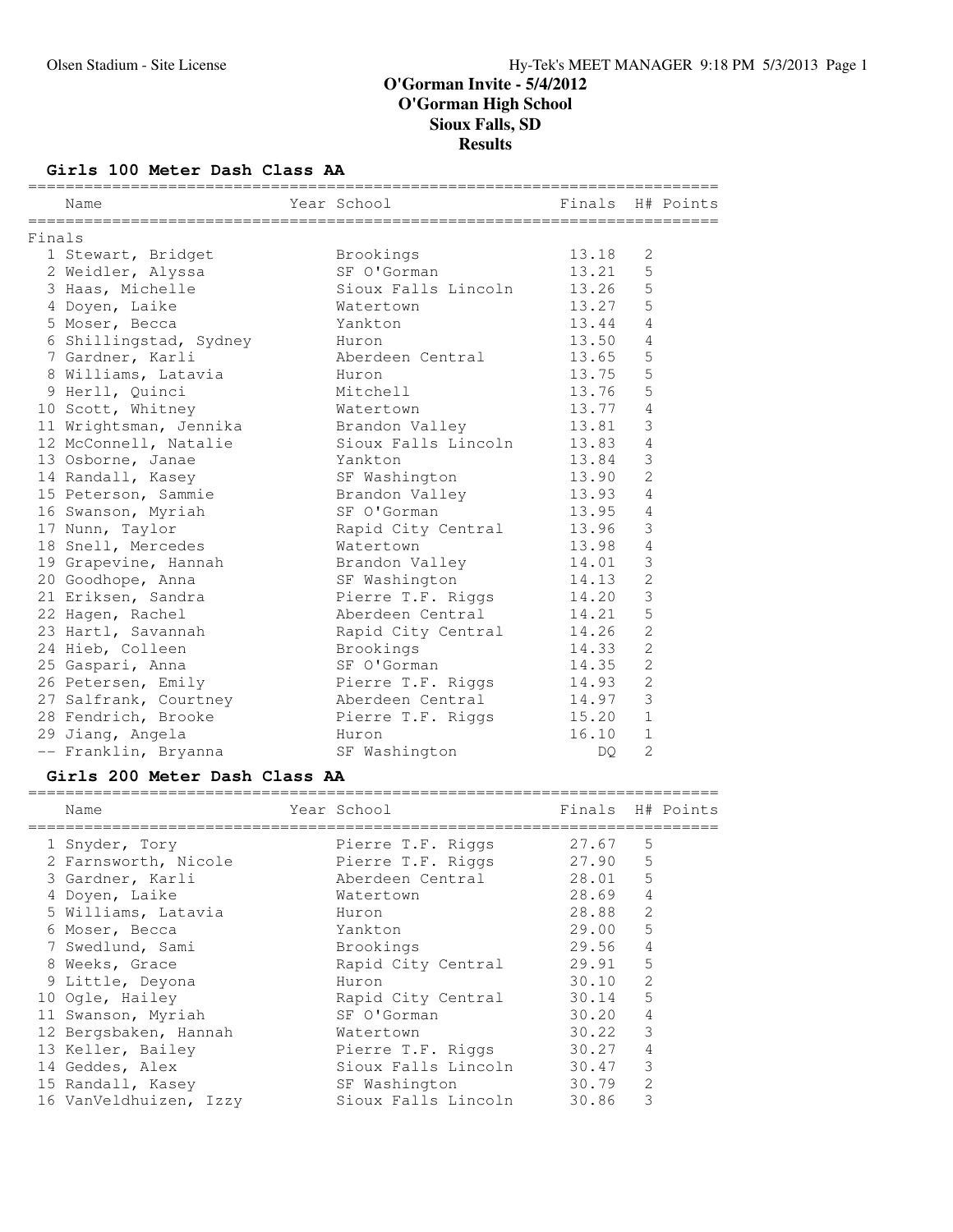### **Girls 100 Meter Dash Class AA**

|        | Name                                      | Year School in the control of the control of the control of the control of the control of the control of the c | Finals H# Points |                |  |
|--------|-------------------------------------------|----------------------------------------------------------------------------------------------------------------|------------------|----------------|--|
| Finals |                                           |                                                                                                                |                  |                |  |
|        | 1 Stewart, Bridget                        | Brookings                                                                                                      | 13.18            | 2              |  |
|        | 2 Weidler, Alyssa                         | SF O'Gorman                                                                                                    | 13.21            | 5              |  |
|        | 3 Haas, Michelle                          | Sioux Falls Lincoln 13.26                                                                                      |                  | 5              |  |
|        | 4 Doyen, Laike                            | Watertown                                                                                                      | 13.27            | 5              |  |
|        | 5 Moser, Becca                            | Yankton                                                                                                        | 13.44            | $\overline{4}$ |  |
|        | 6 Shillingstad, Sydney Huron              |                                                                                                                | 13.50            | $\overline{4}$ |  |
|        | 7 Gardner, Karli                          | Aberdeen Central                                                                                               | 13.65            | $\mathsf S$    |  |
|        | 8 Williams, Latavia                       | Huron                                                                                                          | 13.75            | 5              |  |
|        | 9 Herll, Quinci                           | Mitchell                                                                                                       | 13.76            | 5              |  |
|        | 10 Scott, Whitney                         | Watertown                                                                                                      | 13.77            | $\overline{4}$ |  |
|        | 11 Wrightsman, Jennika                    | Brandon Valley                                                                                                 | 13.81            | 3              |  |
|        | 12 McConnell, Natalie                     | Sioux Falls Lincoln 13.83 4                                                                                    |                  |                |  |
|        | 13 Osborne, Janae                         | Yankton                                                                                                        | 13.84            | 3              |  |
|        | 14 Randall, Kasey                         | SF Washington                                                                                                  | 13.90            | $\overline{2}$ |  |
|        | 15 Peterson, Sammie                       | Brandon Valley                                                                                                 | 13.93            | 4              |  |
|        | 16 Swanson, Myriah                        | SF O'Gorman                                                                                                    | 13.95            | $\overline{4}$ |  |
|        | 17 Nunn, Taylor                           | Rapid City Central 13.96                                                                                       |                  | 3              |  |
|        | 18 Snell, Mercedes                        | Watertown                                                                                                      | 13.98            | $\overline{4}$ |  |
|        | 19 Grapevine, Hannah       Brandon Valley |                                                                                                                | 14.01            | $\mathfrak{Z}$ |  |
|        | 20 Goodhope, Anna                         | SF Washington                                                                                                  | 14.13            | $\overline{2}$ |  |
|        | 21 Eriksen, Sandra                        | Pierre T.F. Riggs                                                                                              | 14.20            | $\mathfrak{Z}$ |  |
|        | 22 Hagen, Rachel                          | Aberdeen Central                                                                                               | 14.21            | 5              |  |
|        | 23 Hartl, Savannah                        | Rapid City Central 14.26                                                                                       |                  | $\overline{2}$ |  |
|        | 24 Hieb, Colleen                          | Brookings                                                                                                      | 14.33            | $\overline{2}$ |  |
|        | 25 Gaspari, Anna                          | SF O'Gorman                                                                                                    | 14.35            | $\overline{2}$ |  |
|        | 26 Petersen, Emily                        | Pierre T.F. Riggs                                                                                              | 14.93            | $\overline{c}$ |  |
|        |                                           |                                                                                                                | 14.97            | $\mathfrak{Z}$ |  |
|        | 28 Fendrich, Brooke                       | Pierre T.F. Riggs 15.20                                                                                        |                  | $\mathbf{1}$   |  |
|        | 29 Jiang, Angela                          | Huron                                                                                                          | 16.10            | $\mathbf{1}$   |  |
|        | -- Franklin, Bryanna                      | SF Washington                                                                                                  | DO.              | $\overline{2}$ |  |

**Girls 200 Meter Dash Class AA** ========================================================================== Name The Year School Team Points H# Points ========================================================================== 1 Snyder, Tory Pierre T.F. Riggs 27.67 5 2 Farnsworth, Nicole Pierre T.F. Riggs 27.90 5 3 Gardner, Karli Aberdeen Central 28.01 5 4 Doyen, Laike Watertown 28.69 4 5 Williams, Latavia Huron 28.88 2 6 Moser, Becca Yankton 29.00 5 7 Swedlund, Sami Brookings 29.56 4 8 Weeks, Grace Rapid City Central 29.91 5 9 Little, Deyona Huron 30.10 2 10 Ogle, Hailey Rapid City Central 30.14 5 11 Swanson, Myriah SF O'Gorman 30.20 4 12 Bergsbaken, Hannah Watertown 30.22 3 13 Keller, Bailey **Pierre T.F. Riggs 30.27** 4 14 Geddes, Alex Sioux Falls Lincoln 30.47 3

 15 Randall, Kasey SF Washington 30.79 2 16 VanVeldhuizen, Izzy Sioux Falls Lincoln 30.86 3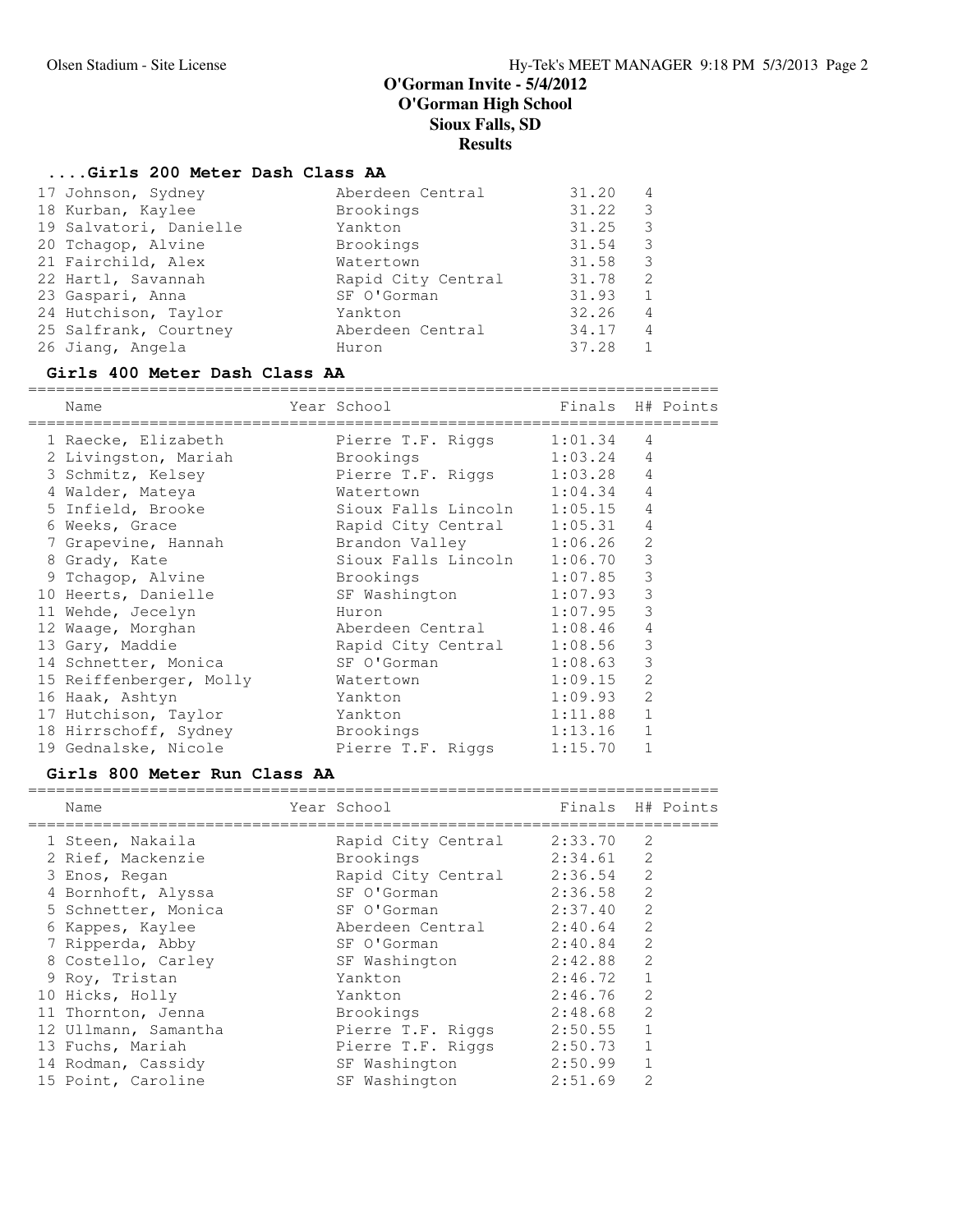# **....Girls 200 Meter Dash Class AA**

| 17 Johnson, Sydney     | Aberdeen Central   | 31.20 | $\overline{4}$ |
|------------------------|--------------------|-------|----------------|
| 18 Kurban, Kaylee      | Brookings          | 31.22 | - 3            |
| 19 Salvatori, Danielle | Yankton            | 31.25 | - 3            |
| 20 Tchagop, Alvine     | Brookings          | 31.54 | -3             |
| 21 Fairchild, Alex     | Watertown          | 31.58 | - 3            |
| 22 Hartl, Savannah     | Rapid City Central | 31.78 | $\overline{2}$ |
| 23 Gaspari, Anna       | SF O'Gorman        | 31.93 | -1             |
| 24 Hutchison, Taylor   | Yankton            | 32.26 | $\overline{4}$ |
| 25 Salfrank, Courtney  | Aberdeen Central   | 34.17 | $\overline{4}$ |
| 26 Jiang, Angela       | Huron              | 37.28 | 1              |
|                        |                    |       |                |

### **Girls 400 Meter Dash Class AA**

========================================================================== Name Year School Finals H# Points

| name                              | rear ponoof                 | r fuats |                | H# POINLS |
|-----------------------------------|-----------------------------|---------|----------------|-----------|
| 1 Raecke, Elizabeth               | Pierre T.F. Riggs           | 1:01.34 | 4              |           |
| 2 Livingston, Mariah              | Brookings                   | 1:03.24 | $\overline{4}$ |           |
| 3 Schmitz, Kelsey                 | Pierre T.F. Riggs 1:03.28   |         | $\overline{4}$ |           |
| 4 Walder, Mateya                  | Watertown                   | 1:04.34 | $\overline{4}$ |           |
| 5 Infield, Brooke                 | Sioux Falls Lincoln         | 1:05.15 | 4              |           |
| 6 Weeks, Grace                    | Rapid City Central          | 1:05.31 | 4              |           |
| 7 Grapevine, Hannah               | Brandon Valley 1:06.26      |         | 2              |           |
| 8 Grady, Kate                     | Sioux Falls Lincoln 1:06.70 |         | $\mathcal{S}$  |           |
| 9 Tchagop, Alvine                 | Brookings                   | 1:07.85 | 3              |           |
| 10 Heerts, Danielle               | SF Washington 1:07.93       |         | 3              |           |
| 11 Wehde, Jecelyn                 | Huron                       | 1:07.95 | 3              |           |
| 12 Waaqe, Morghan                 | Aberdeen Central            | 1:08.46 | $\overline{4}$ |           |
| 13 Gary, Maddie                   | Rapid City Central 1:08.56  |         | $\mathfrak{Z}$ |           |
| 14 Schnetter, Monica              | SF O'Gorman                 | 1:08.63 | 3              |           |
| 15 Reiffenberger, Molly Watertown |                             | 1:09.15 | $\overline{2}$ |           |
| 16 Haak, Ashtyn                   | Yankton                     | 1:09.93 | 2              |           |
| 17 Hutchison, Taylor              | Yankton                     | 1:11.88 | $\mathbf{1}$   |           |
| 18 Hirrschoff, Sydney             | Brookings                   | 1:13.16 | $\mathbf{1}$   |           |
| 19 Gednalske, Nicole              | Pierre T.F. Riggs           | 1:15.70 | $\mathbf{1}$   |           |

### **Girls 800 Meter Run Class AA**

==========================================================================

| Name                 | Year School        | Finals  |                | H# Points |
|----------------------|--------------------|---------|----------------|-----------|
| 1 Steen, Nakaila     | Rapid City Central | 2:33.70 | 2              |           |
| 2 Rief, Mackenzie    | Brookings          | 2:34.61 | 2              |           |
| 3 Enos, Regan        | Rapid City Central | 2:36.54 | $\mathcal{L}$  |           |
| 4 Bornhoft, Alyssa   | SF O'Gorman        | 2:36.58 | 2              |           |
| 5 Schnetter, Monica  | SF O'Gorman        | 2:37.40 | 2              |           |
| 6 Kappes, Kaylee     | Aberdeen Central   | 2:40.64 | $\mathfrak{D}$ |           |
| 7 Ripperda, Abby     | SF O'Gorman        | 2:40.84 | $\mathfrak{D}$ |           |
| 8 Costello, Carley   | SF Washington      | 2:42.88 | $\overline{2}$ |           |
| 9 Roy, Tristan       | Yankton            | 2:46.72 |                |           |
| 10 Hicks, Holly      | Yankton            | 2:46.76 | $\mathcal{L}$  |           |
| 11 Thornton, Jenna   | Brookings          | 2:48.68 | $\mathfrak{D}$ |           |
| 12 Ullmann, Samantha | Pierre T.F. Riggs  | 2:50.55 |                |           |
| 13 Fuchs, Mariah     | Pierre T.F. Riggs  | 2:50.73 |                |           |
| 14 Rodman, Cassidy   | SF Washington      | 2:50.99 |                |           |
| 15 Point, Caroline   | SF Washington      | 2:51.69 | 2              |           |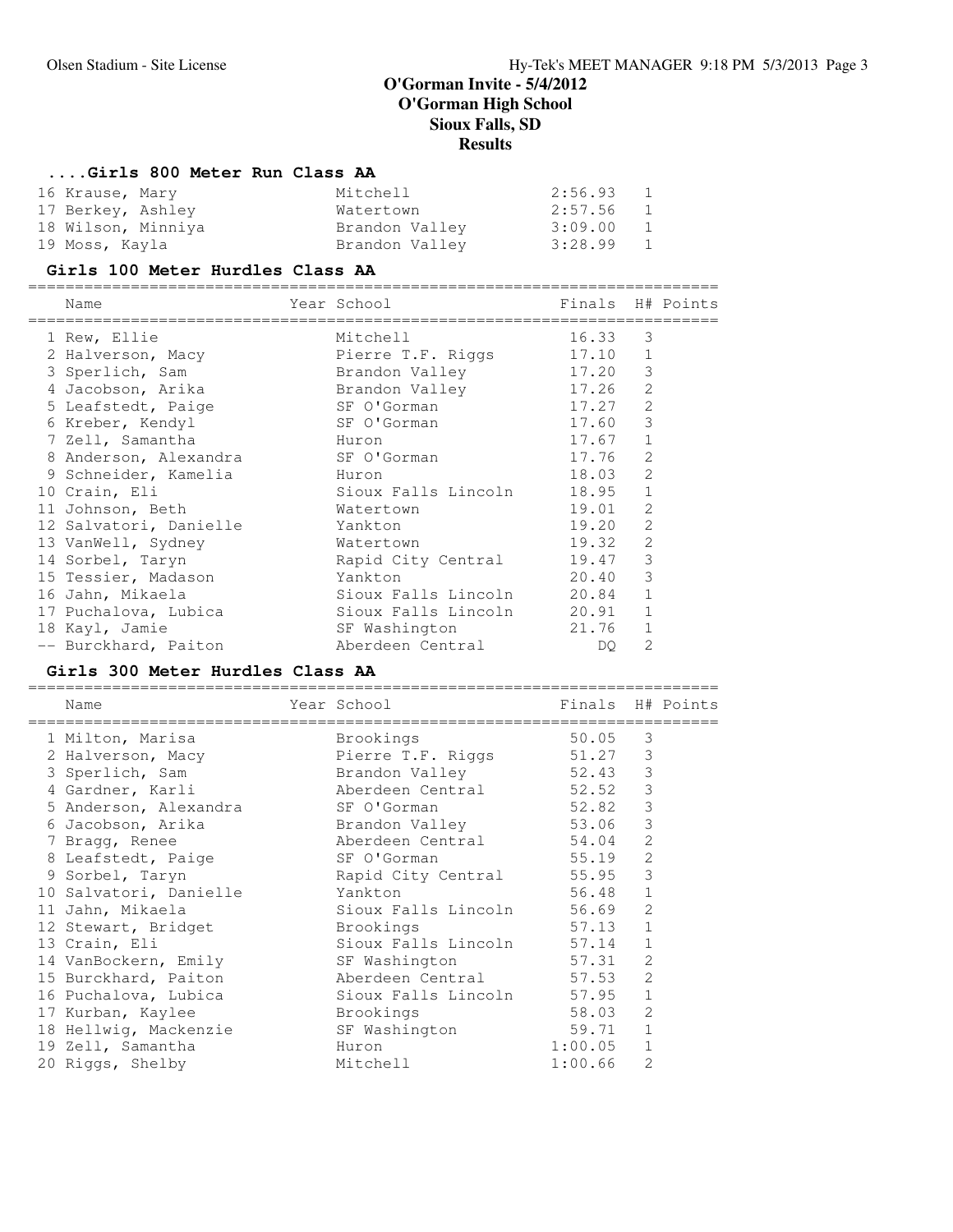# **....Girls 800 Meter Run Class AA**

| 16 Krause, Mary    | Mitchell       | 2:56.93   | $\mathbf{1}$ |
|--------------------|----------------|-----------|--------------|
| 17 Berkey, Ashley  | Watertown      | 2:57.56 1 |              |
| 18 Wilson, Minniya | Brandon Valley | 3:09.00   | $\mathbf{1}$ |
| 19 Moss, Kayla     | Brandon Valley | 3:28.99 1 |              |

### **Girls 100 Meter Hurdles Class AA**

========================================================================== Name The Year School Times H# Points

| 1 Rew, Ellie                      | Mitchell                    | 16.33 3   |              |
|-----------------------------------|-----------------------------|-----------|--------------|
| 2 Halverson, Macy                 | Pierre T.F. Riggs           | 17.10 1   |              |
| 3 Sperlich, Sam                   | Brandon Valley              | 17.20 3   |              |
| 4 Jacobson, Arika                 | Brandon Valley              | 17.26 2   |              |
| 5 Leafstedt, Paige                | SF O'Gorman                 | 17.27 2   |              |
| 6 Kreber, Kendyl                  | SF O'Gorman                 | 17.60 3   |              |
| 7 Zell, Samantha                  | Huron                       | $17.67$ 1 |              |
| 8 Anderson, Alexandra SF O'Gorman |                             | 17.76     | 2            |
| 9 Schneider, Kamelia              | Huron                       | 18.03     | 2            |
| 10 Crain, Eli                     | Sioux Falls Lincoln         | 18.95     | $\mathbf{1}$ |
| 11 Johnson, Beth                  | Watertown                   | 19.01 2   |              |
| 12 Salvatori, Danielle            | Yankton                     | 19.20     | 2            |
| 13 VanWell, Sydney                | Watertown                   | 19.32 2   |              |
| 14 Sorbel, Taryn                  | Rapid City Central 19.47 3  |           |              |
| 15 Tessier, Madason               | Yankton                     | 20.40 3   |              |
| 16 Jahn, Mikaela                  |                             |           | $\mathbf{1}$ |
| 17 Puchalova, Lubica              | Sioux Falls Lincoln 20.91 1 |           |              |
| 18 Kayl, Jamie                    | SF Washington               | 21.76 1   |              |
| -- Burckhard, Paiton              | Aberdeen Central            | DQ.       | 2            |

### **Girls 300 Meter Hurdles Class AA**

| Name                   | Year School            | Finals H# Points |                |  |
|------------------------|------------------------|------------------|----------------|--|
| 1 Milton, Marisa       | Brookings              | 50.05            | 3              |  |
| 2 Halverson, Macy      | Pierre T.F. Riggs      | 51.27            | 3              |  |
| 3 Sperlich, Sam        | Brandon Valley         | 52.43            | 3              |  |
| 4 Gardner, Karli       | Aberdeen Central 52.52 |                  | 3              |  |
| 5 Anderson, Alexandra  | SF O'Gorman            | 52.82            | 3              |  |
| 6 Jacobson, Arika      | Brandon Valley         | 53.06            | 3              |  |
| 7 Bragg, Renee         | Aberdeen Central       | 54.04            | $\mathfrak{Z}$ |  |
| 8 Leafstedt, Paige     | SF O'Gorman            | 55.19            | $\mathfrak{L}$ |  |
| 9 Sorbel, Taryn        | Rapid City Central     | 55.95            | 3              |  |
| 10 Salvatori, Danielle | Yankton                | 56.48            | 1              |  |
| 11 Jahn, Mikaela       | Sioux Falls Lincoln    | 56.69            | $\mathfrak{Z}$ |  |
| 12 Stewart, Bridget    | Brookings              | 57.13            | $\mathbf{1}$   |  |
| 13 Crain, Eli          | Sioux Falls Lincoln    | 57.14            | $\mathbf{1}$   |  |
| 14 VanBockern, Emily   | SF Washington          | 57.31            | $\mathfrak{D}$ |  |
| 15 Burckhard, Paiton   | Aberdeen Central 57.53 |                  | $\mathfrak{D}$ |  |
| 16 Puchalova, Lubica   | Sioux Falls Lincoln    | 57.95            | $\mathbf{1}$   |  |
| 17 Kurban, Kaylee      | Brookings              | 58.03            | $\mathfrak{D}$ |  |
| 18 Hellwig, Mackenzie  | SF Washington          | 59.71            | $\mathbf{1}$   |  |
| 19 Zell, Samantha      | Huron                  | 1:00.05          | $\mathbf 1$    |  |
| 20 Riggs, Shelby       | Mitchell               | 1:00.66          | $\overline{2}$ |  |
|                        |                        |                  |                |  |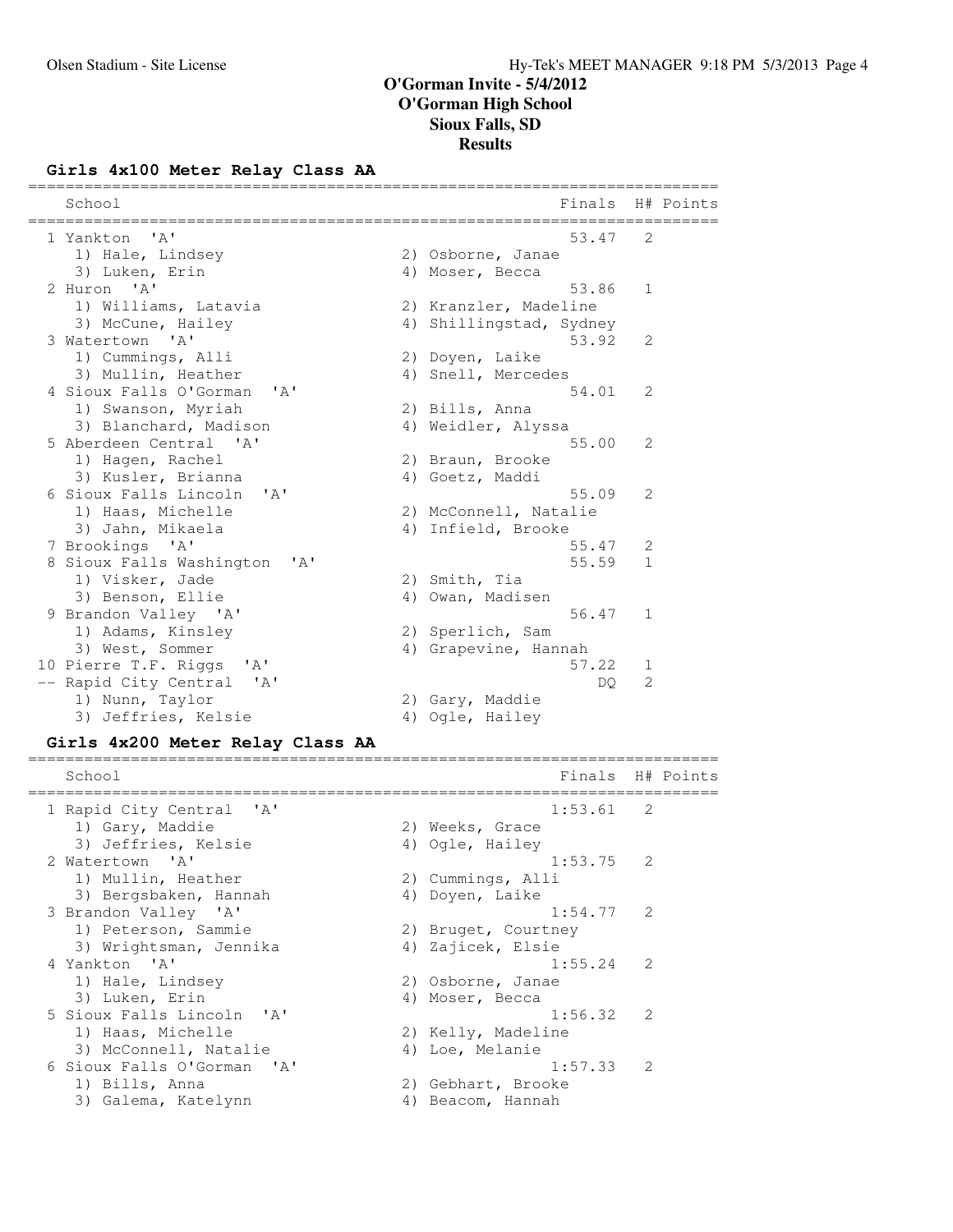# **Girls 4x100 Meter Relay Class AA**

| School                                              | Finals                  |   | H# Points |
|-----------------------------------------------------|-------------------------|---|-----------|
| 1 Yankton<br>$^{\prime}$ A $^{\prime}$              | 53.47                   | 2 |           |
| 1) Hale, Lindsey                                    | 2) Osborne, Janae       |   |           |
| 3) Luken, Erin                                      | 4) Moser, Becca         |   |           |
| 2 Huron 'A'                                         | 53.86                   | 1 |           |
| 1) Williams, Latavia                                | 2) Kranzler, Madeline   |   |           |
| 3) McCune, Hailey                                   | 4) Shillingstad, Sydney |   |           |
| 3 Watertown 'A'                                     | 53.92                   | 2 |           |
| 1) Cummings, Alli                                   | 2) Doyen, Laike         |   |           |
| 3) Mullin, Heather                                  | 4) Snell, Mercedes      |   |           |
| 4 Sioux Falls O'Gorman<br>$^{\prime}$ A $^{\prime}$ | 54.01                   | 2 |           |
| 1) Swanson, Myriah                                  | 2) Bills, Anna          |   |           |
| 3) Blanchard, Madison                               | 4) Weidler, Alyssa      |   |           |
| 5 Aberdeen Central 'A'                              | 55.00                   | 2 |           |
| 1) Hagen, Rachel                                    | 2) Braun, Brooke        |   |           |
| 3) Kusler, Brianna                                  | 4) Goetz, Maddi         |   |           |
| 6 Sioux Falls Lincoln<br>' A'                       | 55.09                   | 2 |           |
| 1) Haas, Michelle                                   | 2) McConnell, Natalie   |   |           |
| 3) Jahn, Mikaela                                    | 4) Infield, Brooke      |   |           |
| 7 Brookings 'A'                                     | 55.47                   | 2 |           |
| 8 Sioux Falls Washington<br>'A'                     | 55.59                   | 1 |           |
| 1) Visker, Jade                                     | 2) Smith, Tia           |   |           |
| 3) Benson, Ellie                                    | 4) Owan, Madisen        |   |           |
| 9 Brandon Valley 'A'                                | 56.47                   | 1 |           |
| 1) Adams, Kinsley                                   | 2) Sperlich, Sam        |   |           |
| 3) West, Sommer                                     | 4) Grapevine, Hannah    |   |           |
| 10 Pierre T.F. Riggs<br>' A '                       | 57.22                   | 1 |           |
| -- Rapid City Central<br>' A'                       | DQ.                     | 2 |           |
| 1) Nunn, Taylor                                     | 2) Gary, Maddie         |   |           |
| 3) Jeffries, Kelsie                                 | 4) Ogle, Hailey         |   |           |
| Girls 4x200 Meter Relay Class AA                    |                         |   |           |
| School                                              | Finals                  |   | H# Points |
|                                                     |                         |   |           |
| 1 Rapid City Central<br>' A '                       | 1:53.61                 | 2 |           |
| 1) Gary, Maddie                                     | 2) Weeks, Grace         |   |           |
| 3) Jeffries, Kelsie                                 | 4) Ogle, Hailey         |   |           |
| 2 Watertown 'A'                                     | 1:53.75                 | 2 |           |
| 1) Mullin, Heather                                  | 2) Cummings, Alli       |   |           |
| 3) Bergsbaken, Hannah                               | 4) Doyen, Laike         |   |           |
| ' A'<br>3 Brandon Valley                            | 1:54.77                 | 2 |           |
| 1) Peterson, Sammie                                 | 2) Bruget, Courtney     |   |           |
| 3) Wrightsman, Jennika                              | 4) Zajicek, Elsie       |   |           |
| 4 Yankton 'A'                                       | 1:55.24                 | 2 |           |
| 1) Hale, Lindsey                                    | 2) Osborne, Janae       |   |           |
| 3) Luken, Erin                                      | 4) Moser, Becca         |   |           |
| 5 Sioux Falls Lincoln<br>' A'                       | 1:56.32                 | 2 |           |
| 1) Haas, Michelle                                   | 2) Kelly, Madeline      |   |           |
| 3) McConnell, Natalie                               | 4) Loe, Melanie         |   |           |
| 6 Sioux Falls O'Gorman<br>' A'                      | 1:57.33                 | 2 |           |
| 1) Bills, Anna                                      | 2) Gebhart, Brooke      |   |           |
| 3) Galema, Katelynn                                 | 4) Beacom, Hannah       |   |           |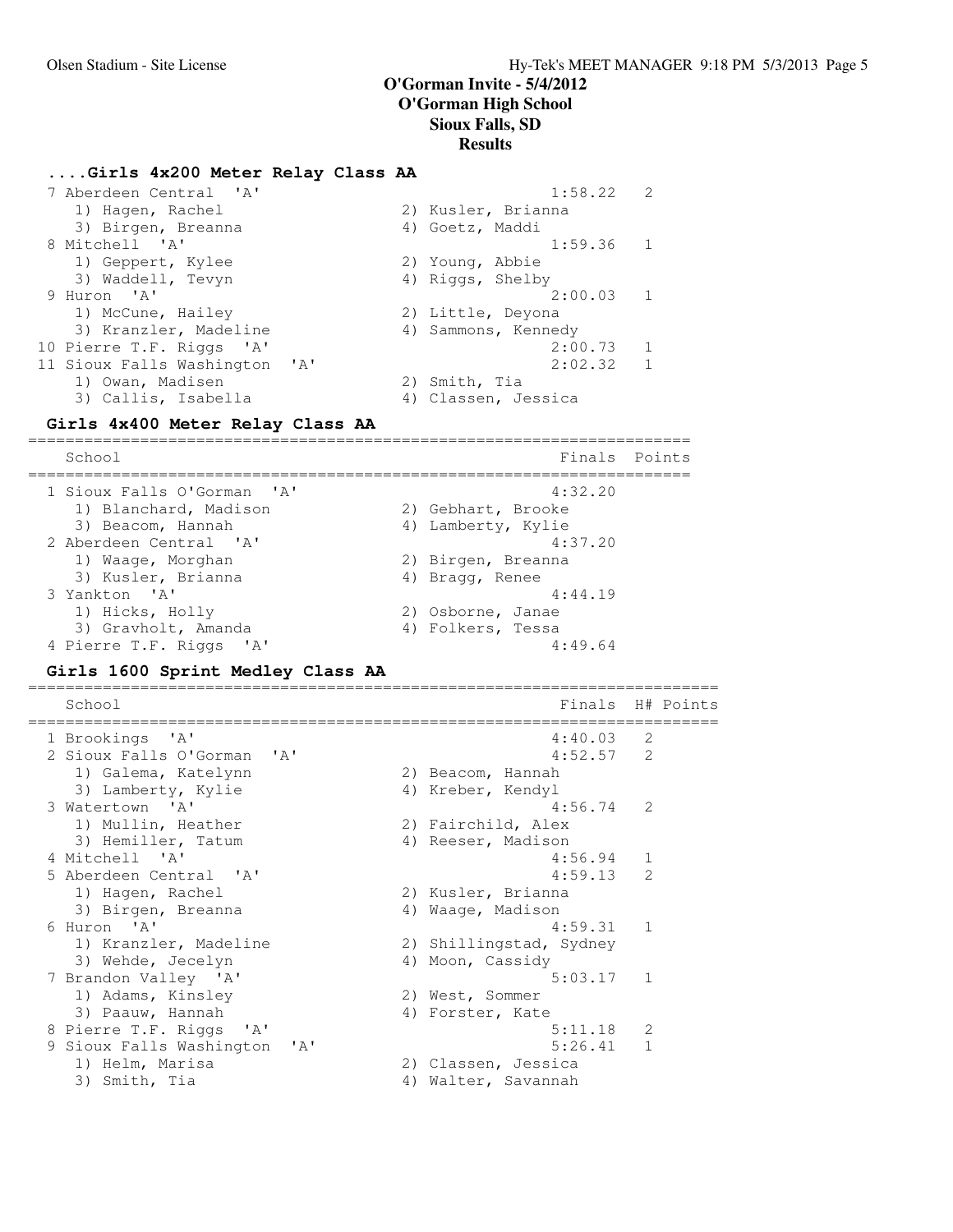### **....Girls 4x200 Meter Relay Class AA**

| 7 Aberdeen Central 'A'           | $1:58.22$ 2               |
|----------------------------------|---------------------------|
| 1) Hagen, Rachel                 | 2) Kusler, Brianna        |
| 3) Birgen, Breanna               | 4) Goetz, Maddi           |
| 8 Mitchell 'A'                   | $1:59.36$ 1               |
| 1) Geppert, Kylee                | 2) Young, Abbie           |
| 3) Waddell, Tevyn                | 4) Riggs, Shelby          |
| 9 Huron 'A'                      | $2:00.03$ 1               |
| 1) McCune, Hailey                | 2) Little, Deyona         |
| 3) Kranzler, Madeline            | 4) Sammons, Kennedy       |
| 10 Pierre T.F. Riggs 'A'         | $\overline{1}$<br>2:00.73 |
| 11 Sioux Falls Washington 'A'    | $\overline{1}$<br>2:02.32 |
| 1) Owan, Madisen                 | 2) Smith, Tia             |
| 3) Callis, Isabella              | 4) Classen, Jessica       |
| Girls 4x400 Meter Relay Class AA |                           |

School **Finals Points** ======================================================================= 1 Sioux Falls O'Gorman 'A' 4:32.20 1) Blanchard, Madison 2) Gebhart, Brooke 3) Beacom, Hannah (4) Lamberty, Kylie 2 Aberdeen Central 'A' 4:37.20 1) Waage, Morghan 2) Birgen, Breanna 3) Kusler, Brianna (and 4) Bragg, Renee 3 Yankton 'A' 4:44.19 1) Hicks, Holly 2) Osborne, Janae 3) Gravholt, Amanda (4) Folkers, Tessa 4 Pierre T.F. Riggs 'A' 4:49.64

### **Girls 1600 Sprint Medley Class AA**

| School                                                   |    | Finals                  |               | H# Points |
|----------------------------------------------------------|----|-------------------------|---------------|-----------|
|                                                          |    |                         |               |           |
| 1 Brookings 'A'                                          |    | 4:40.03                 | 2             |           |
| 2 Sioux Falls O'Gorman<br>$\mathsf{I} \wedge \mathsf{I}$ |    | $4:52.57$ 2             |               |           |
| 1) Galema, Katelynn                                      |    | 2) Beacom, Hannah       |               |           |
| 3) Lamberty, Kylie                                       |    | 4) Kreber, Kendyl       |               |           |
| 3 Watertown 'A'                                          |    | 4:56.74                 | 2             |           |
| 1) Mullin, Heather                                       |    | 2) Fairchild, Alex      |               |           |
| 3) Hemiller, Tatum                                       |    | 4) Reeser, Madison      |               |           |
| 4 Mitchell 'A'                                           |    | 4:56.94                 | 1             |           |
| 5 Aberdeen Central 'A'                                   |    | 4:59.13                 | $\mathcal{L}$ |           |
| 1) Hagen, Rachel                                         |    | 2) Kusler, Brianna      |               |           |
| 3) Birgen, Breanna                                       |    | 4) Waaqe, Madison       |               |           |
| 6 Huron 'A'                                              |    | 4:59.31                 | $\mathbf{1}$  |           |
| 1) Kranzler, Madeline                                    |    | 2) Shillingstad, Sydney |               |           |
| 3) Wehde, Jecelyn                                        |    | 4) Moon, Cassidy        |               |           |
| 7 Brandon Valley 'A'                                     |    | 5:03.17                 | 1             |           |
| 1) Adams, Kinsley                                        |    | 2) West, Sommer         |               |           |
| 3) Paauw, Hannah                                         |    | 4) Forster, Kate        |               |           |
| 8 Pierre T.F. Riggs 'A'                                  |    | 5:11.18                 | 2             |           |
| 9 Sioux Falls Washington<br>' A'                         |    | 5:26.41                 | $\mathbf 1$   |           |
| 1) Helm, Marisa                                          |    | 2) Classen, Jessica     |               |           |
| 3) Smith, Tia                                            | 4) | Walter, Savannah        |               |           |
|                                                          |    |                         |               |           |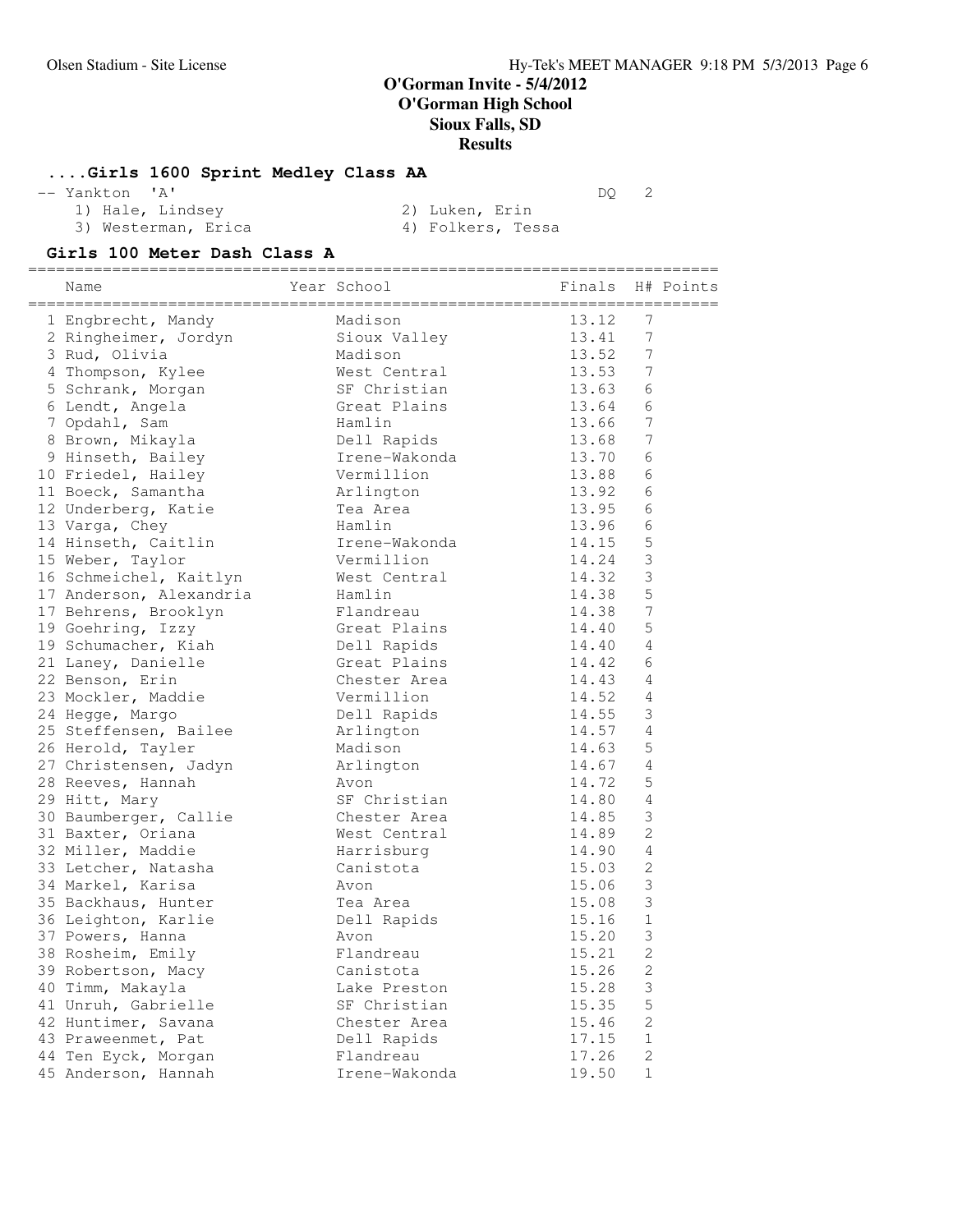### **....Girls 1600 Sprint Medley Class AA**

-- Yankton 'A' DQ 2

- 1) Hale, Lindsey (2) Luken, Erin
	-

- 3) Westerman, Erica (4) Folkers, Tessa
- 

### **Girls 100 Meter Dash Class A**

========================================================================== Name The Year School The Finals H# Points ========================================================================== 1 Engbrecht, Mandy Madison 13.12 7 2 Ringheimer, Jordyn Sioux Valley 13.41 7 3 Rud, Olivia Madison 13.52 7 4 Thompson, Kylee West Central 13.53 7 5 Schrank, Morgan SF Christian 13.63 6 6 Lendt, Angela Great Plains 13.64 6 7 Opdahl, Sam Hamlin 13.66 7 8 Brown, Mikayla Dell Rapids 13.68 7 9 Hinseth, Bailey Irene-Wakonda 13.70 6 10 Friedel, Hailey Vermillion 13.88 6 11 Boeck, Samantha **13.92** 6 12 Underberg, Katie 12 Tea Area 13.95 6 13 Varga, Chey Hamlin 13.96 6 14 Hinseth, Caitlin 11:00 Irene-Wakonda 14.15 5 15 Weber, Taylor **14.24 COVID-Vermillion** 14.24 3 16 Schmeichel, Kaitlyn Mest Central 14.32 3 17 Anderson, Alexandria Hamlin 14.38 5 17 Behrens, Brooklyn Flandreau 14.38 7 19 Goehring, Izzy Great Plains 14.40 5 19 Schumacher, Kiah Dell Rapids 14.40 4 21 Laney, Danielle Great Plains 14.42 6 22 Benson, Erin Chester Area 14.43 4 23 Mockler, Maddie Vermillion 14.52 4 24 Hegge, Margo Dell Rapids 14.55 3 25 Steffensen, Bailee Arlington 14.57 4 26 Herold, Tayler Madison 14.63 5 27 Christensen, Jadyn Arlington 14.67 4 28 Reeves, Hannah Avon 14.72 5 29 Hitt, Mary SF Christian 14.80 4 30 Baumberger, Callie Chester Area 14.85 3 31 Baxter, Oriana 6 Mest Central 14.89 2 32 Miller, Maddie Harrisburg 14.90 4 33 Letcher, Natasha Canistota 15.03 2 34 Markel, Karisa Avon 15.06 3 35 Backhaus, Hunter Tea Area 15.08 3 36 Leighton, Karlie Dell Rapids 15.16 1 37 Powers, Hanna Avon 15.20 3 38 Rosheim, Emily **Flandreau** 15.21 2 39 Robertson, Macy Canistota 15.26 2 40 Timm, Makayla Lake Preston 15.28 3 41 Unruh, Gabrielle SF Christian 15.35 5 42 Huntimer, Savana **Chester Area** 15.46 2 43 Praweenmet, Pat 17.15 1 44 Ten Eyck, Morgan and Flandreau and 17.26 2 45 Anderson, Hannah Irene-Wakonda 19.50 1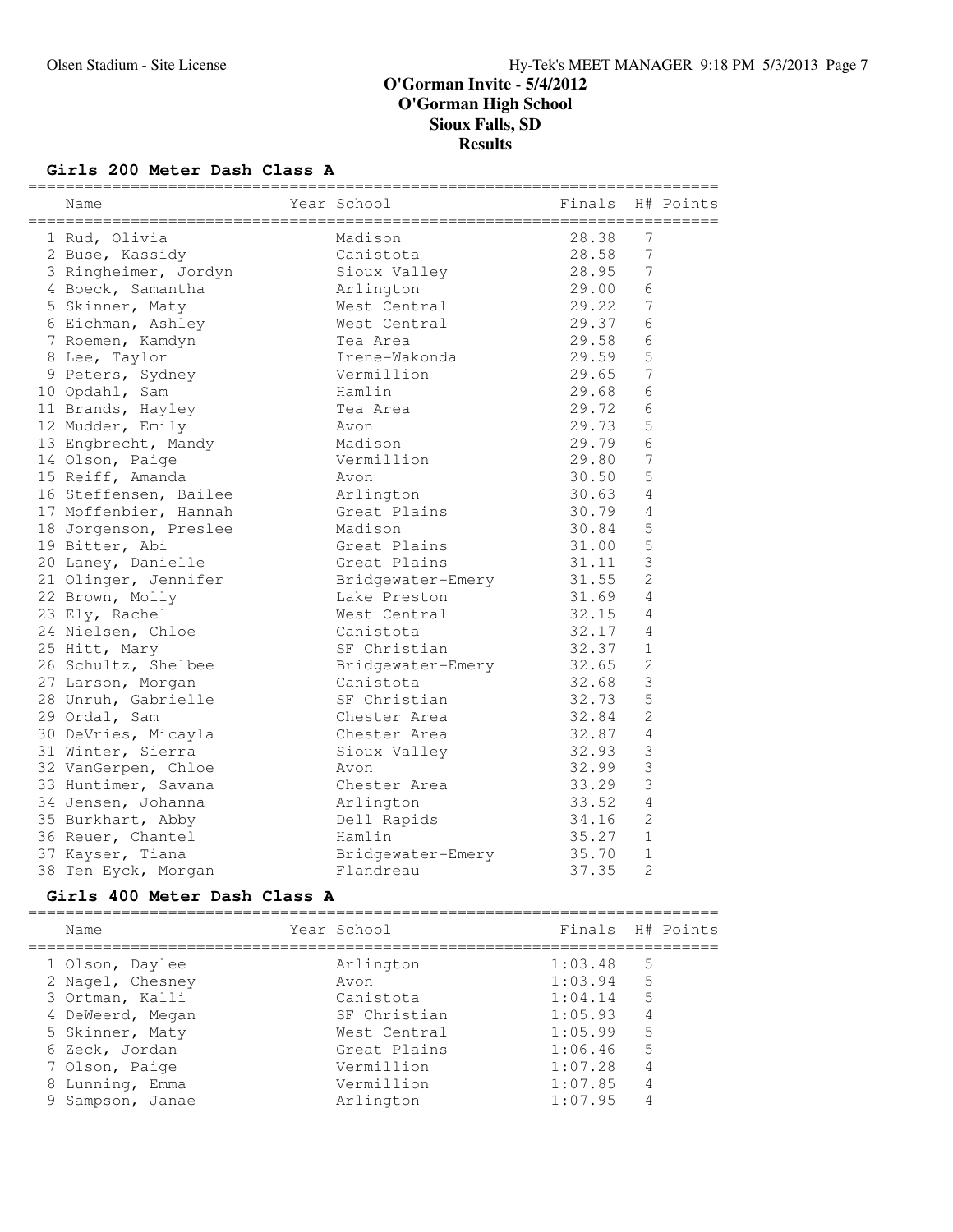### **Girls 200 Meter Dash Class A**

| Name                  | Year School       | Finals |                | H# Points |
|-----------------------|-------------------|--------|----------------|-----------|
| 1 Rud, Olivia         | Madison           | 28.38  | 7              |           |
| 2 Buse, Kassidy       | Canistota         | 28.58  | 7              |           |
| 3 Ringheimer, Jordyn  | Sioux Valley      | 28.95  | $\overline{7}$ |           |
| 4 Boeck, Samantha     | Arlington         | 29.00  | 6              |           |
| 5 Skinner, Maty       | West Central      | 29.22  | 7              |           |
| 6 Eichman, Ashley     | West Central      | 29.37  | 6              |           |
| 7 Roemen, Kamdyn      | Tea Area          | 29.58  | 6              |           |
| 8 Lee, Taylor         | Irene-Wakonda     | 29.59  | 5              |           |
| 9 Peters, Sydney      | Vermillion        | 29.65  | $\overline{7}$ |           |
| 10 Opdahl, Sam        | Hamlin            | 29.68  | 6              |           |
| 11 Brands, Hayley     | Tea Area          | 29.72  | 6              |           |
| 12 Mudder, Emily      | Avon              | 29.73  | 5              |           |
| 13 Engbrecht, Mandy   | Madison           | 29.79  | 6              |           |
| 14 Olson, Paige       | Vermillion        | 29.80  | 7              |           |
| 15 Reiff, Amanda      | Avon              | 30.50  | 5              |           |
| 16 Steffensen, Bailee | Arlington         | 30.63  | 4              |           |
| 17 Moffenbier, Hannah | Great Plains      | 30.79  | 4              |           |
| 18 Jorgenson, Preslee | Madison           | 30.84  | 5              |           |
| 19 Bitter, Abi        | Great Plains      | 31.00  | 5              |           |
| 20 Laney, Danielle    | Great Plains      | 31.11  | 3              |           |
| 21 Olinger, Jennifer  | Bridgewater-Emery | 31.55  | $\overline{c}$ |           |
| 22 Brown, Molly       | Lake Preston      | 31.69  | 4              |           |
| 23 Ely, Rachel        | West Central      | 32.15  | 4              |           |
| 24 Nielsen, Chloe     | Canistota         | 32.17  | 4              |           |
| 25 Hitt, Mary         | SF Christian      | 32.37  | $\mathbf{1}$   |           |
| 26 Schultz, Shelbee   | Bridgewater-Emery | 32.65  | $\mathbf{2}$   |           |
| 27 Larson, Morgan     | Canistota         | 32.68  | $\mathfrak{Z}$ |           |
| 28 Unruh, Gabrielle   | SF Christian      | 32.73  | 5              |           |
| 29 Ordal, Sam         | Chester Area      | 32.84  | $\overline{c}$ |           |
| 30 DeVries, Micayla   | Chester Area      | 32.87  | 4              |           |
| 31 Winter, Sierra     | Sioux Valley      | 32.93  | 3              |           |
| 32 VanGerpen, Chloe   | Avon              | 32.99  | 3              |           |
| 33 Huntimer, Savana   | Chester Area      | 33.29  | 3              |           |
| 34 Jensen, Johanna    | Arlington         | 33.52  | 4              |           |
| 35 Burkhart, Abby     | Dell Rapids       | 34.16  | $\overline{2}$ |           |
| 36 Reuer, Chantel     | Hamlin            | 35.27  | $\mathbf{1}$   |           |
| 37 Kayser, Tiana      | Bridgewater-Emery | 35.70  | $\mathbf{1}$   |           |
| 38 Ten Eyck, Morgan   | Flandreau         | 37.35  | $\overline{2}$ |           |

# **Girls 400 Meter Dash Class A**

| Name             | Year School  | Finals H# Points |   |  |
|------------------|--------------|------------------|---|--|
| 1 Olson, Daylee  | Arlington    | 1:03.48          | 5 |  |
| 2 Nagel, Chesney | Avon         | 1:03.94          | 5 |  |
| 3 Ortman, Kalli  | Canistota    | 1:04.14          | 5 |  |
| 4 DeWeerd, Megan | SF Christian | 1:05.93          | 4 |  |
| 5 Skinner, Maty  | West Central | 1:05.99          | 5 |  |
| 6 Zeck, Jordan   | Great Plains | 1:06.46          | 5 |  |
| 7 Olson, Paige   | Vermillion   | 1:07.28          | 4 |  |
| 8 Lunning, Emma  | Vermillion   | 1:07.85          | 4 |  |
| 9 Sampson, Janae | Arlington    | 1:07.95          |   |  |
|                  |              |                  |   |  |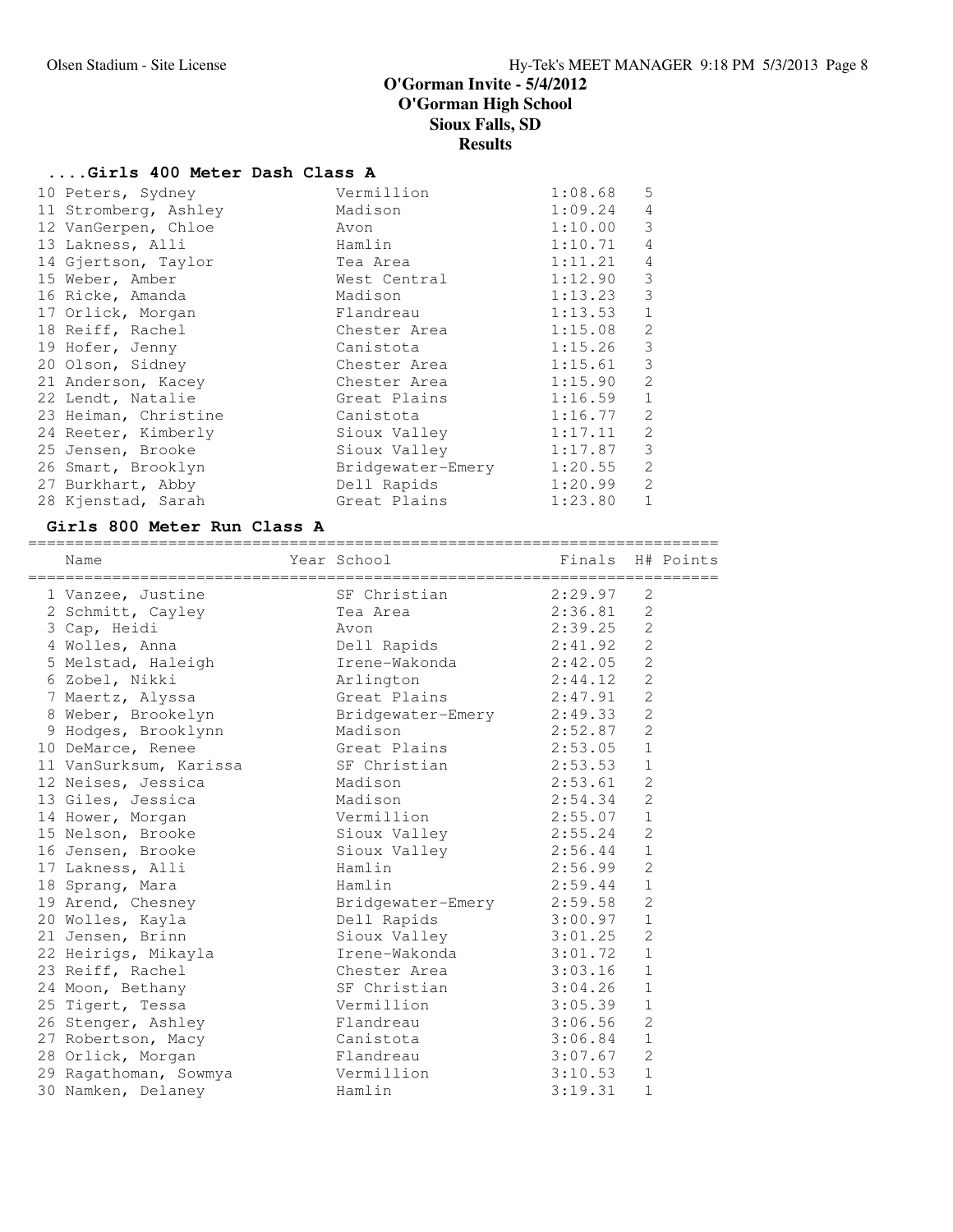# **....Girls 400 Meter Dash Class A**

| 10 Peters, Sydney    | Vermillion        | 1:08.68 | 5              |
|----------------------|-------------------|---------|----------------|
| 11 Stromberg, Ashley | Madison           | 1:09.24 | 4              |
| 12 VanGerpen, Chloe  | Avon              | 1:10.00 | 3              |
| 13 Lakness, Alli     | Hamlin            | 1:10.71 | $\overline{4}$ |
| 14 Gjertson, Taylor  | Tea Area          | 1:11.21 | $\overline{4}$ |
| 15 Weber, Amber      | West Central      | 1:12.90 | 3              |
| 16 Ricke, Amanda     | Madison           | 1:13.23 | 3              |
| 17 Orlick, Morgan    | Flandreau         | 1:13.53 | $\mathbf{1}$   |
| 18 Reiff, Rachel     | Chester Area      | 1:15.08 | $\overline{2}$ |
| 19 Hofer, Jenny      | Canistota         | 1:15.26 | 3              |
| 20 Olson, Sidney     | Chester Area      | 1:15.61 | 3              |
| 21 Anderson, Kacey   | Chester Area      | 1:15.90 | $\mathfrak{D}$ |
| 22 Lendt, Natalie    | Great Plains      | 1:16.59 | $\mathbf 1$    |
| 23 Heiman, Christine | Canistota         | 1:16.77 | $\mathfrak{D}$ |
| 24 Reeter, Kimberly  | Sioux Valley      | 1:17.11 | $\mathfrak{D}$ |
| 25 Jensen, Brooke    | Sioux Valley      | 1:17.87 | 3              |
| 26 Smart, Brooklyn   | Bridgewater-Emery | 1:20.55 | $\mathfrak{D}$ |
| 27 Burkhart, Abby    | Dell Rapids       | 1:20.99 | $\mathfrak{D}$ |
| 28 Kjenstad, Sarah   | Great Plains      | 1:23.80 | $\mathbf 1$    |
|                      |                   |         |                |

# **Girls 800 Meter Run Class A**

| Name                                | Year School               | Finals H# Points |                |  |
|-------------------------------------|---------------------------|------------------|----------------|--|
| 1 Vanzee, Justine                   | SF Christian              | 2:29.97          | $\mathfrak{D}$ |  |
| 2 Schmitt, Cayley                   | Tea Area                  | 2:36.81          | 2              |  |
| 3 Cap, Heidi                        | Avon                      | 2:39.25          | $\overline{2}$ |  |
| 4 Wolles, Anna                      | Dell Rapids               | 2:41.92          | $\overline{2}$ |  |
| 5 Melstad, Haleigh                  | Irene-Wakonda             | 2:42.05          | $\overline{2}$ |  |
| 6 Zobel, Nikki                      | Arlington                 | 2:44.12          | 2              |  |
| 7 Maertz, Alyssa                    | Great Plains 2:47.91      |                  | $\overline{2}$ |  |
| 8 Weber, Brookelyn                  | Bridgewater-Emery 2:49.33 |                  | $\overline{c}$ |  |
| 9 Hodges, Brooklynn                 | Madison                   | 2:52.87          | $\overline{c}$ |  |
| 10 DeMarce, Renee                   | Great Plains              | 2:53.05          | $\mathbf{1}$   |  |
| 11 VanSurksum, Karissa SF Christian |                           | 2:53.53          | $\mathbf 1$    |  |
| 12 Neises, Jessica                  | Madison                   | 2:53.61          | $\overline{c}$ |  |
| 13 Giles, Jessica                   | Madison                   | 2:54.34          | $\overline{2}$ |  |
| 14 Hower, Morgan                    | Vermillion                | 2:55.07          | $\mathbf{1}$   |  |
| 15 Nelson, Brooke                   | Sioux Valley              | 2:55.24          | 2              |  |
| 16 Jensen, Brooke                   | Sioux Valley              | 2:56.44          | $\mathbf{1}$   |  |
| 17 Lakness, Alli                    | Hamlin                    | 2:56.99          | $\overline{c}$ |  |
| 18 Sprang, Mara                     | Hamlin                    | 2:59.44          | $\mathbf{1}$   |  |
| 19 Arend, Chesney                   | Bridgewater-Emery 2:59.58 |                  | $\overline{c}$ |  |
| 20 Wolles, Kayla                    | Dell Rapids               | 3:00.97          | $\mathbf 1$    |  |
| 21 Jensen, Brinn                    | Sioux Valley 3:01.25      |                  | $\overline{2}$ |  |
| 22 Heirigs, Mikayla                 | Irene-Wakonda             | 3:01.72          | $\mathbf{1}$   |  |
| 23 Reiff, Rachel                    | Chester Area              | 3:03.16          | $\mathbf{1}$   |  |
| 24 Moon, Bethany                    | SF Christian              | 3:04.26          | $\mathbf 1$    |  |
| 25 Tigert, Tessa                    | Vermillion                | 3:05.39          | $\mathbf{1}$   |  |
| 26 Stenger, Ashley                  | Flandreau                 | 3:06.56          | $\overline{2}$ |  |
| 27 Robertson, Macy                  | Canistota                 | 3:06.84          | $\mathbf{1}$   |  |
| 28 Orlick, Morgan                   | Flandreau                 | 3:07.67          | 2              |  |
| 29 Ragathoman, Sowmya               | Vermillion                | 3:10.53          | $\mathbf{1}$   |  |
| 30 Namken, Delaney                  | Hamlin                    | 3:19.31          | $\mathbf{1}$   |  |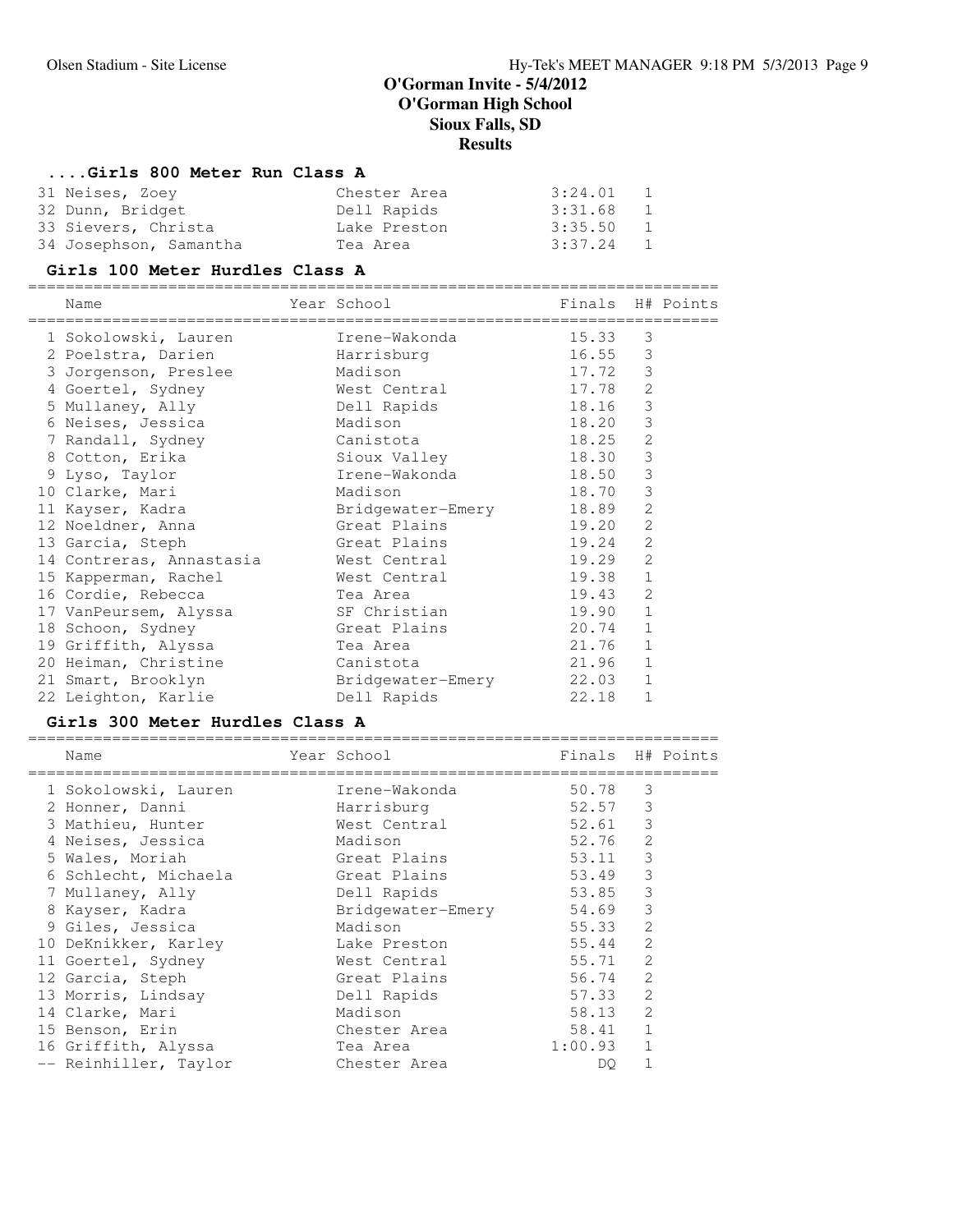# **....Girls 800 Meter Run Class A**

| 31 Neises, Zoey        | Chester Area | 3:24.01   | $\sim$ 1 |
|------------------------|--------------|-----------|----------|
| 32 Dunn, Bridget       | Dell Rapids  | 3:31.68   | $\sim$ 1 |
| 33 Sievers, Christa    | Lake Preston | 3:35.50 1 |          |
| 34 Josephson, Samantha | Tea Area     | 3:37.24 1 |          |

## **Girls 100 Meter Hurdles Class A**

| Name                     | Year School       | Finals |                | H# Points |
|--------------------------|-------------------|--------|----------------|-----------|
| 1 Sokolowski, Lauren     | Irene-Wakonda     | 15.33  | 3              |           |
| 2 Poelstra, Darien       | Harrisburg        | 16.55  | 3              |           |
| 3 Jorgenson, Preslee     | Madison           | 17.72  | 3              |           |
| 4 Goertel, Sydney        | West Central      | 17.78  | 2              |           |
| 5 Mullaney, Ally         | Dell Rapids       | 18.16  | $\mathfrak{Z}$ |           |
| 6 Neises, Jessica        | Madison           | 18.20  | 3              |           |
| 7 Randall, Sydney        | Canistota         | 18.25  | 2              |           |
| 8 Cotton, Erika          | Sioux Valley      | 18.30  | 3              |           |
| 9 Lyso, Taylor           | Irene-Wakonda     | 18.50  | 3              |           |
| 10 Clarke, Mari          | Madison           | 18.70  | 3              |           |
| 11 Kayser, Kadra         | Bridgewater-Emery | 18.89  | $\overline{c}$ |           |
| 12 Noeldner, Anna        | Great Plains      | 19.20  | 2              |           |
| 13 Garcia, Steph         | Great Plains      | 19.24  | 2              |           |
| 14 Contreras, Annastasia | West Central      | 19.29  | 2              |           |
| 15 Kapperman, Rachel     | West Central      | 19.38  | $\mathbf{1}$   |           |
| 16 Cordie, Rebecca       | Tea Area          | 19.43  | $\mathfrak{Z}$ |           |
| 17 VanPeursem, Alyssa    | SF Christian      | 19.90  | $\mathbf{1}$   |           |
| 18 Schoon, Sydney        | Great Plains      | 20.74  | 1              |           |
| 19 Griffith, Alyssa      | Tea Area          | 21.76  | $\mathbf{1}$   |           |
| 20 Heiman, Christine     | Canistota         | 21.96  | 1              |           |
| 21 Smart, Brooklyn       | Bridgewater-Emery | 22.03  | 1              |           |
| 22 Leighton, Karlie      | Dell Rapids       | 22.18  | 1              |           |

### **Girls 300 Meter Hurdles Class A**

| Name                  | Year School       | Finals H# Points |                |  |
|-----------------------|-------------------|------------------|----------------|--|
| 1 Sokolowski, Lauren  | Irene-Wakonda     | 50.78            | 3              |  |
| 2 Honner, Danni       | Harrisburg        | 52.57            | 3              |  |
| 3 Mathieu, Hunter     | West Central      | 52.61            | 3              |  |
| 4 Neises, Jessica     | Madison           | 52.76            | 2              |  |
| 5 Wales, Moriah       | Great Plains      | 53.11            | 3              |  |
| 6 Schlecht, Michaela  | Great Plains      | 53.49            | 3              |  |
| 7 Mullaney, Ally      | Dell Rapids       | 53.85            | $\mathfrak{Z}$ |  |
| 8 Kayser, Kadra       | Bridgewater-Emery | 54.69            | 3              |  |
| 9 Giles, Jessica      | Madison           | 55.33            | $\mathfrak{D}$ |  |
| 10 DeKnikker, Karley  | Lake Preston      | 55.44            | 2              |  |
| 11 Goertel, Sydney    | West Central      | 55.71            | $\mathfrak{Z}$ |  |
| 12 Garcia, Steph      | Great Plains      | 56.74            | $\mathfrak{Z}$ |  |
| 13 Morris, Lindsay    | Dell Rapids       | 57.33            | 2              |  |
| 14 Clarke, Mari       | Madison           | 58.13            | 2              |  |
| 15 Benson, Erin       | Chester Area      | 58.41            | 1              |  |
| 16 Griffith, Alyssa   | Tea Area          | 1:00.93          | $\mathbf{1}$   |  |
| -- Reinhiller, Taylor | Chester Area      | DO.              |                |  |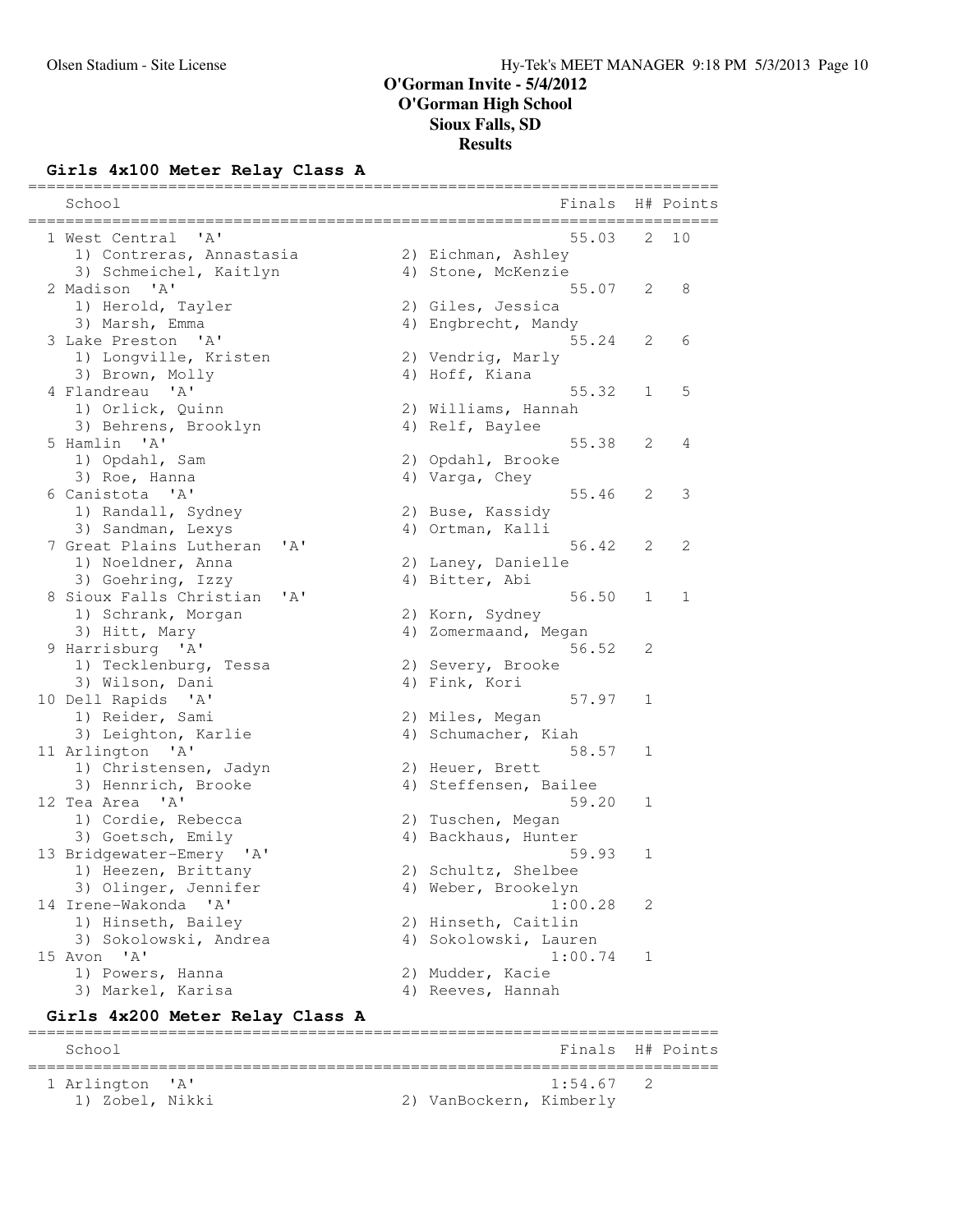# **Girls 4x100 Meter Relay Class A**

| ====================================<br>School<br>===========                       | Finals H# Points                           |   |               |
|-------------------------------------------------------------------------------------|--------------------------------------------|---|---------------|
| 1 West Central<br>$\mathsf{A}$<br>1) Contreras, Annastasia                          | 55.03<br>2) Eichman, Ashley                | 2 | 10            |
| 3) Schmeichel, Kaitlyn                                                              | 4) Stone, McKenzie                         |   |               |
| 2 Madison 'A'<br>1) Herold, Tayler                                                  | 55.07<br>2) Giles, Jessica                 | 2 | 8             |
| 3) Marsh, Emma                                                                      | 4) Engbrecht, Mandy                        |   |               |
| 3 Lake Preston 'A'                                                                  | 55.24                                      | 2 | 6             |
| 1) Longville, Kristen                                                               | 2) Vendrig, Marly                          |   |               |
| 3) Brown, Molly<br>4 Flandreau 'A'                                                  | 4) Hoff, Kiana<br>55.32                    |   |               |
| 1) Orlick, Quinn                                                                    | 2) Williams, Hannah                        | 1 | 5             |
| 3) Behrens, Brooklyn                                                                | 4) Relf, Baylee                            |   |               |
| 5 Hamlin 'A'                                                                        | 55.38                                      | 2 | 4             |
| 1) Opdahl, Sam                                                                      | 2) Opdahl, Brooke                          |   |               |
| 3) Roe, Hanna                                                                       | 4) Varga, Chey                             |   |               |
| 6 Canistota 'A'<br>1) Randall, Sydney                                               | 55.46<br>2) Buse, Kassidy                  | 2 | 3             |
| 3) Sandman, Lexys                                                                   | 4) Ortman, Kalli                           |   |               |
| 7 Great Plains Lutheran<br>'A'                                                      | 56.42                                      | 2 | 2             |
| 1) Noeldner, Anna                                                                   | 2) Laney, Danielle                         |   |               |
| 3) Goehring, Izzy                                                                   | 4) Bitter, Abi                             |   |               |
| 8 Sioux Falls Christian<br>' A'                                                     | 56.50                                      | 1 | 1             |
| 1) Schrank, Morgan                                                                  | 2) Korn, Sydney<br>4) Zomermaand, Megan    |   |               |
| 3) Hitt, Mary<br>9 Harrisburg 'A'                                                   | 56.52                                      | 2 |               |
| 1) Tecklenburg, Tessa                                                               | 2) Severy, Brooke                          |   |               |
| 3) Wilson, Dani                                                                     | 4) Fink, Kori                              |   |               |
| 10 Dell Rapids 'A'                                                                  | 57.97                                      | 1 |               |
| 1) Reider, Sami                                                                     | 2) Miles, Megan                            |   |               |
| 3) Leighton, Karlie<br>11 Arlington 'A'                                             | 4) Schumacher, Kiah<br>58.57               |   |               |
| 1) Christensen, Jadyn                                                               | 2) Heuer, Brett                            | 1 |               |
| 3) Hennrich, Brooke                                                                 | 4) Steffensen, Bailee                      |   |               |
| 12 Tea Area 'A'                                                                     | 59.20                                      | 1 |               |
| 1) Cordie, Rebecca                                                                  | 2) Tuschen, Megan                          |   |               |
| 3) Goetsch, Emily                                                                   | 4) Backhaus, Hunter                        |   |               |
| 13 Bridgewater-Emery 'A'                                                            | 59.93                                      | 1 |               |
| 1) Heezen, Brittany<br>3) Olinger, Jennifer                                         | 2) Schultz, Shelbee<br>4) Weber, Brookelyn |   |               |
| 14 Irene-Wakonda 'A'                                                                | 1:00.28                                    | 2 |               |
| 1) Hinseth, Bailey                                                                  | 2) Hinseth, Caitlin                        |   |               |
| 3) Sokolowski, Andrea                                                               | 4) Sokolowski, Lauren                      |   |               |
| 15 Avon 'A'                                                                         | 1:00.74                                    | 1 |               |
| 1) Powers, Hanna                                                                    | 2) Mudder, Kacie                           |   |               |
| 3) Markel, Karisa                                                                   | 4) Reeves, Hannah                          |   |               |
| Girls 4x200 Meter Relay Class A<br>====================================<br>======== | ____________________________               |   |               |
| School                                                                              | Finals H# Points                           |   | ============= |

 1 Arlington 'A' 1:54.67 2 1) Zobel, Nikki 2) VanBockern, Kimberly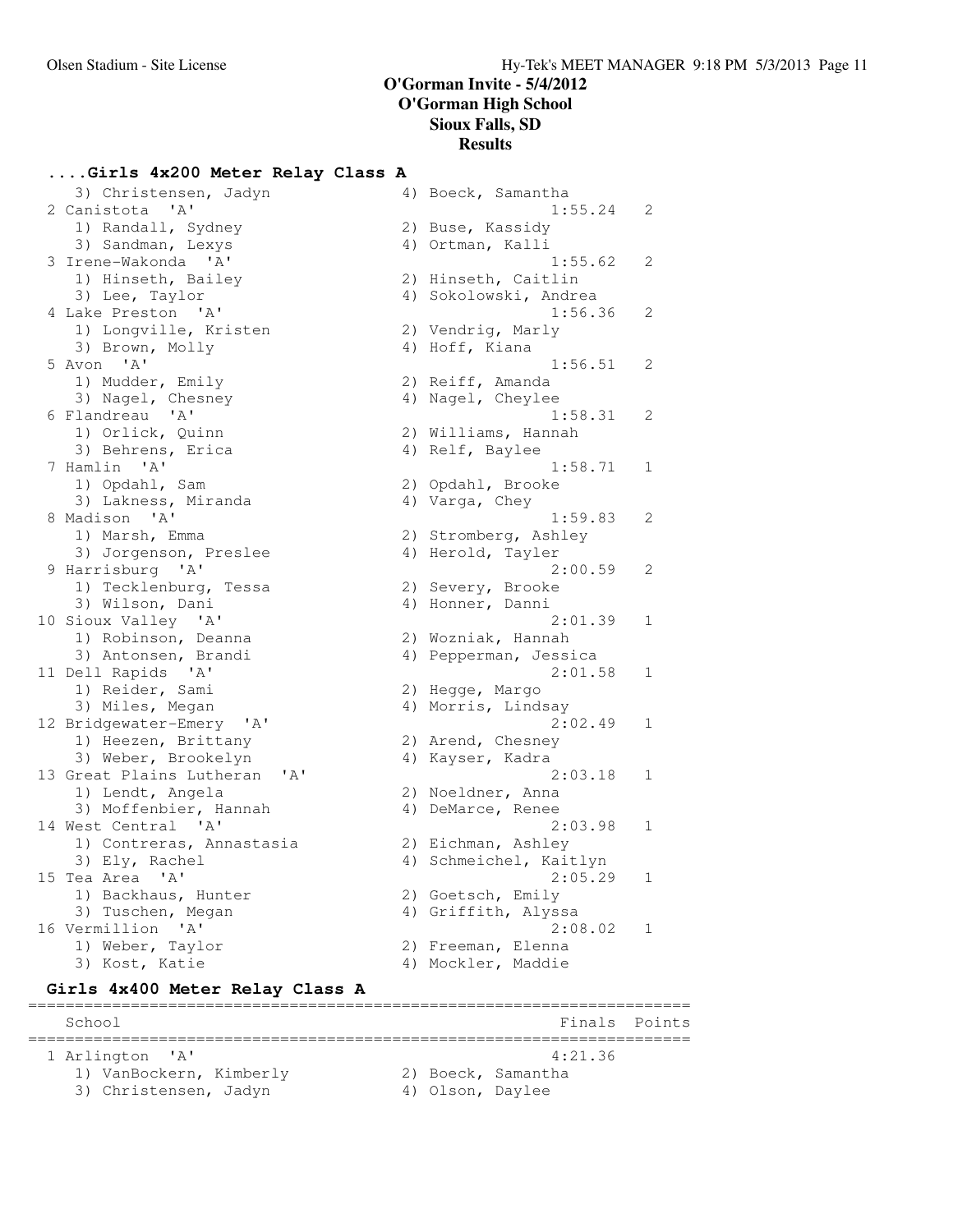# **....Girls 4x200 Meter Relay Class A**

| 3) Christensen, Jadyn                                 | 4) Boeck, Samantha     |                |
|-------------------------------------------------------|------------------------|----------------|
| 2 Canistota 'A'                                       | 1:55.24                | 2              |
| 1) Randall, Sydney                                    | 2) Buse, Kassidy       |                |
| 3) Sandman, Lexys                                     | 4) Ortman, Kalli       |                |
| 3 Irene-Wakonda 'A'                                   | 1:55.62                | 2              |
| 1) Hinseth, Bailey                                    | 2) Hinseth, Caitlin    |                |
| 3) Lee, Taylor                                        | 4) Sokolowski, Andrea  |                |
| 4 Lake Preston 'A'                                    | 1:56.36                | 2              |
| 1) Longville, Kristen                                 | 2) Vendrig, Marly      |                |
| 3) Brown, Molly                                       | 4) Hoff, Kiana         |                |
| 5 Avon<br>' A'                                        | 1:56.51                | 2              |
| 1) Mudder, Emily                                      | 2) Reiff, Amanda       |                |
| 3) Nagel, Chesney                                     | 4) Nagel, Cheylee      |                |
| 6 Flandreau 'A'                                       | 1:58.31                | 2              |
|                                                       | 2) Williams, Hannah    |                |
| 1) Orlick, Quinn                                      |                        |                |
| 3) Behrens, Erica                                     | 4) Relf, Baylee        |                |
| 7 Hamlin 'A'                                          | 1:58.71                | 1              |
| 1) Opdahl, Sam                                        | 2) Opdahl, Brooke      |                |
| 3) Lakness, Miranda                                   | 4) Varga, Chey         |                |
| 8 Madison 'A'                                         | 1:59.83                | 2              |
| 1) Marsh, Emma                                        | 2) Stromberg, Ashley   |                |
| 3) Jorgenson, Preslee                                 | 4) Herold, Tayler      |                |
| 9 Harrisburg 'A'                                      | 2:00.59                | $\overline{2}$ |
| 1) Tecklenburg, Tessa                                 | 2) Severy, Brooke      |                |
| 3) Wilson, Dani                                       | 4) Honner, Danni       |                |
| 10 Sioux Valley 'A'                                   | 2:01.39                | 1              |
| 1) Robinson, Deanna                                   | 2) Wozniak, Hannah     |                |
| 3) Antonsen, Brandi                                   | 4) Pepperman, Jessica  |                |
| 11 Dell Rapids 'A'                                    | 2:01.58                | 1              |
| 1) Reider, Sami                                       | 2) Hegge, Margo        |                |
| 3) Miles, Megan                                       | 4) Morris, Lindsay     |                |
| 12 Bridgewater-Emery 'A'                              | 2:02.49                | $\mathbf 1$    |
| 1) Heezen, Brittany                                   | 2) Arend, Chesney      |                |
| 3) Weber, Brookelyn                                   | 4) Kayser, Kadra       |                |
| 13 Great Plains Lutheran<br>$^{\prime}$ A $^{\prime}$ | 2:03.18                | 1              |
| 1) Lendt, Angela                                      | 2) Noeldner, Anna      |                |
| 3) Moffenbier, Hannah                                 | 4) DeMarce, Renee      |                |
| 14 West Central 'A'                                   | 2:03.98                | 1              |
| 1) Contreras, Annastasia                              | 2) Eichman, Ashley     |                |
| 3) Ely, Rachel                                        | 4) Schmeichel, Kaitlyn |                |
| 15 Tea Area 'A'                                       | 2:05.29                | 1              |
| 1) Backhaus, Hunter                                   | 2) Goetsch, Emily      |                |
| 3) Tuschen, Megan                                     | 4) Griffith, Alyssa    |                |
| 16 Vermillion 'A'                                     | 2:08.02                | 1              |
| 1) Weber, Taylor                                      | 2) Freeman, Elenna     |                |
| 3) Kost, Katie                                        | 4) Mockler, Maddie     |                |
|                                                       |                        |                |
| Girls 4x400 Meter Relay Class A                       |                        |                |

======================================================================= School **Finals** Points ======================================================================= 1 Arlington 'A' 4:21.36 1) VanBockern, Kimberly 12) Boeck, Samantha 3) Christensen, Jadyn (4) Olson, Daylee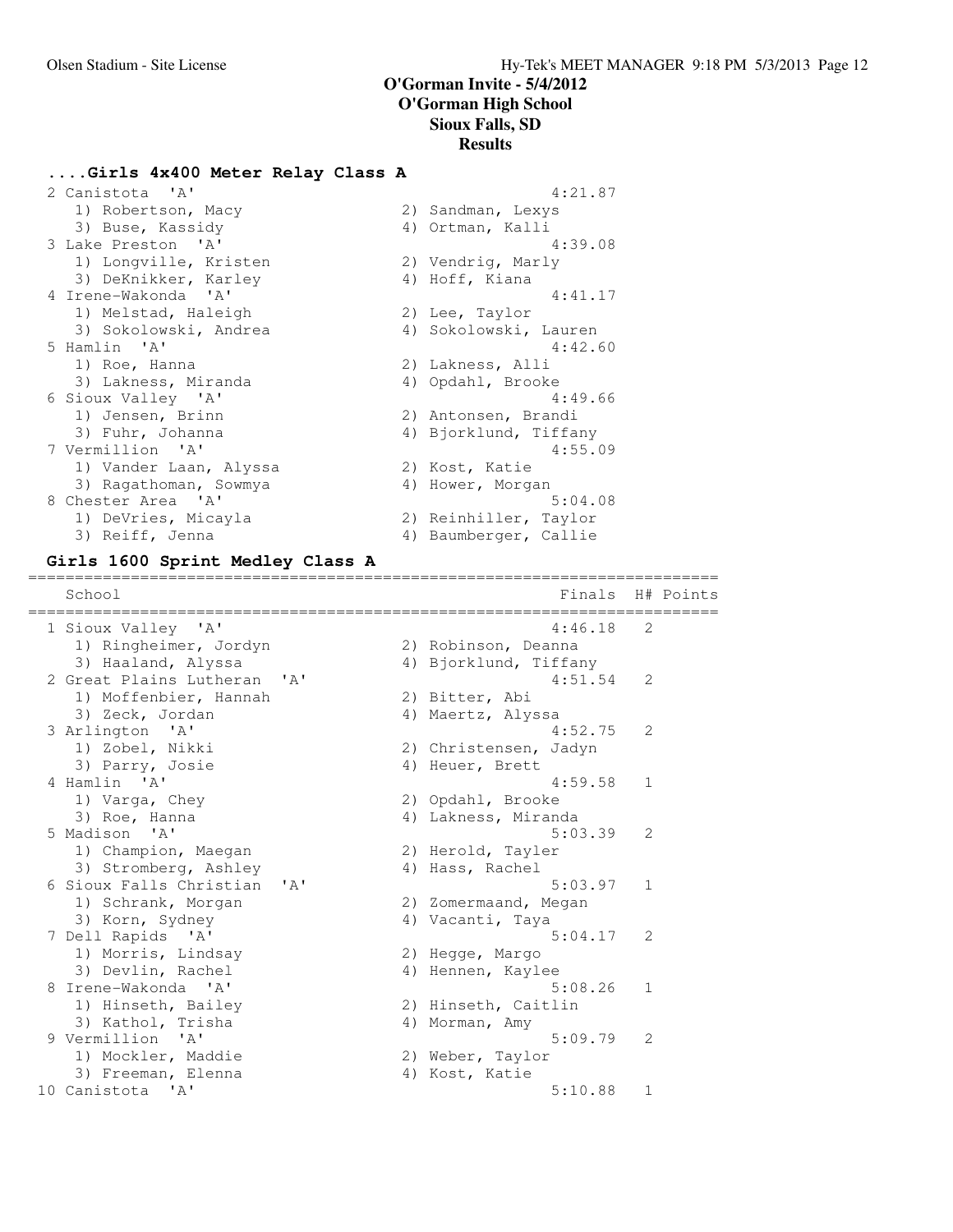### **....Girls 4x400 Meter Relay Class A**

| 2 Canistota 'A'        | 4:21.87               |
|------------------------|-----------------------|
| 1) Robertson, Macy     | 2) Sandman, Lexys     |
| 3) Buse, Kassidy       | 4) Ortman, Kalli      |
| 3 Lake Preston 'A'     | 4:39.08               |
| 1) Longville, Kristen  | 2) Vendrig, Marly     |
| 3) DeKnikker, Karley   | 4) Hoff, Kiana        |
| 4 Irene-Wakonda 'A'    | 4:41.17               |
| 1) Melstad, Haleigh    | 2) Lee, Taylor        |
| 3) Sokolowski, Andrea  | 4) Sokolowski, Lauren |
| 5 Hamlin 'A'           | 4:42.60               |
| 1) Roe, Hanna          | 2) Lakness, Alli      |
| 3) Lakness, Miranda    | 4) Opdahl, Brooke     |
| 6 Sioux Valley 'A'     | 4:49.66               |
| 1) Jensen, Brinn       | 2) Antonsen, Brandi   |
| 3) Fuhr, Johanna       | 4) Bjorklund, Tiffany |
| 7 Vermillion 'A'       | 4:55.09               |
| 1) Vander Laan, Alyssa | 2) Kost, Katie        |
| 3) Ragathoman, Sowmya  | 4) Hower, Morgan      |
| 8 Chester Area 'A'     | 5:04.08               |
| 1) DeVries, Micayla    | 2) Reinhiller, Taylor |
| 3) Reiff, Jenna        | 4) Baumberger, Callie |

### **Girls 1600 Sprint Medley Class A**

========================================================================== School **Finals H**# Points ========================================================================== 1 Sioux Valley 'A' 4:46.18 2 1) Ringheimer, Jordyn 1988 (2008) 20 Robinson, Deanna 3) Haaland, Alyssa 4) Bjorklund, Tiffany 2 Great Plains Lutheran 'A' 4:51.54 2 1) Moffenbier, Hannah (2) Bitter, Abi 3) Zeck, Jordan (4) Maertz, Alyssa 3 Arlington 'A' 4:52.75 2 1) Zobel, Nikki 2) Christensen, Jadyn 3) Parry, Josie (4) Heuer, Brett 4 Hamlin 'A' 4:59.58 1 1) Varga, Chey 2) Opdahl, Brooke 3) Roe, Hanna 4) Lakness, Miranda 5 Madison 'A' 5:03.39 2 1) Champion, Maegan 1988 (2) Herold, Tayler 3) Stromberg, Ashley (4) Hass, Rachel 6 Sioux Falls Christian 'A' 5:03.97 1 1) Schrank, Morgan 1982 (2008) 2008 (2014) 2008 2014 3) Korn, Sydney 1988 (4) Vacanti, Taya 7 Dell Rapids 'A' 5:04.17 2 1) Morris, Lindsay (2) Hegge, Margo 3) Devlin, Rachel (4) Hennen, Kaylee 8 Irene-Wakonda 'A' 5:08.26 1 1) Hinseth, Bailey 1988 (2018) Hinseth, Caitlin 3) Kathol, Trisha (4) Morman, Amy 9 Vermillion 'A' 5:09.79 2 1) Mockler, Maddie 120 2) Weber, Taylor 3) Freeman, Elenna (4) Kost, Katie 10 Canistota 'A' 5:10.88 1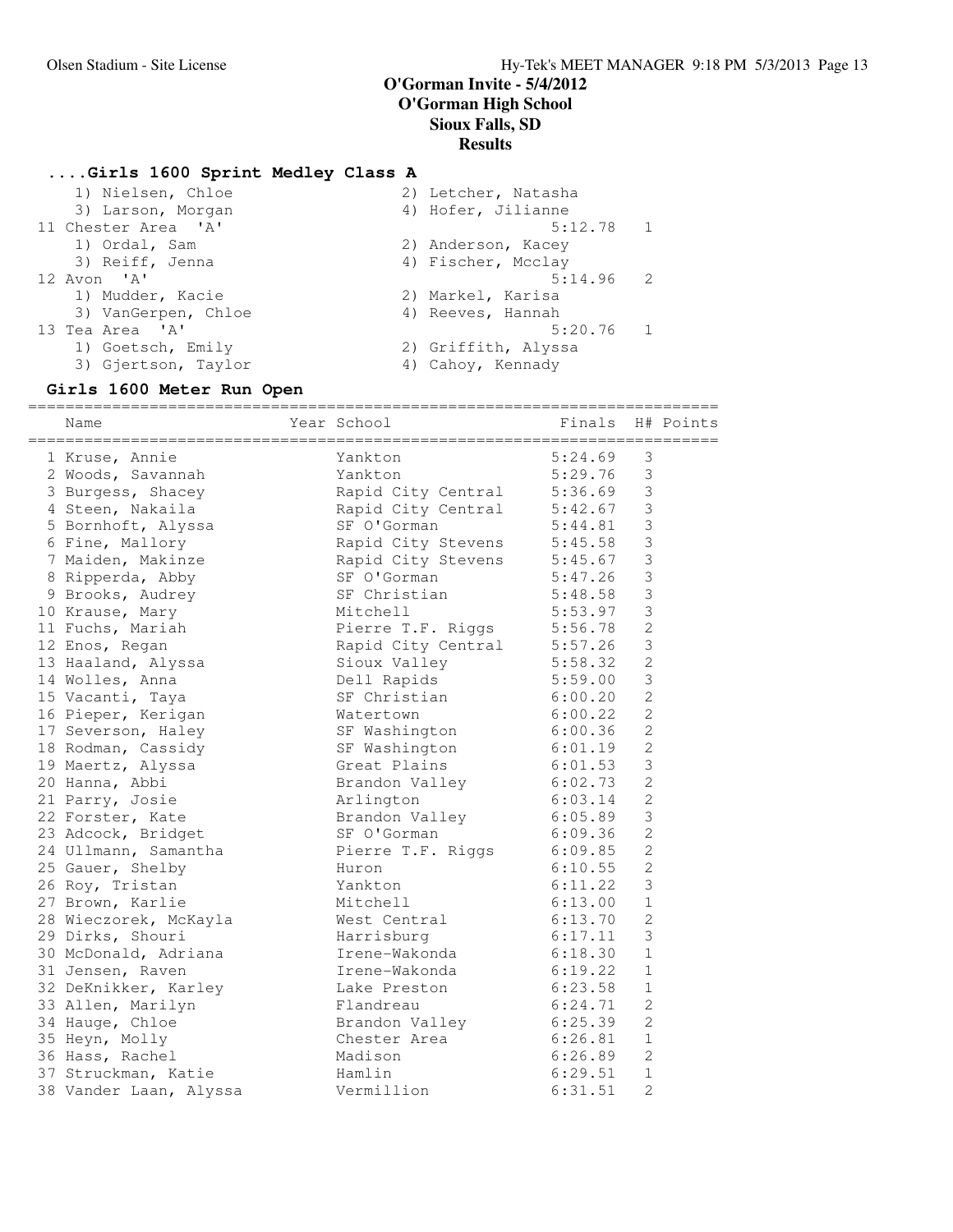### **....Girls 1600 Sprint Medley Class A**

- 1) Nielsen, Chloe 2) Letcher, Natasha 3) Larson, Morgan (4) Hofer, Jilianne 11 Chester Area 'A' 5:12.78 1 1) Ordal, Sam 2) Anderson, Kacey 3) Reiff, Jenna (4) Fischer, Mcclay 12 Avon 'A' 5:14.96 2 1) Mudder, Kacie 2) Markel, Karisa 3) VanGerpen, Chloe 4) Reeves, Hannah 13 Tea Area 'A' 5:20.76 1 1) Goetsch, Emily 1988 (2) Griffith, Alyssa
- 3) Gjertson, Taylor (4) Cahoy, Kennady

### **Girls 1600 Meter Run Open**

| Name                   | Year School                | Finals  |                | H# Points |
|------------------------|----------------------------|---------|----------------|-----------|
| 1 Kruse, Annie         | Yankton                    | 5:24.69 | 3              |           |
| 2 Woods, Savannah      | Yankton                    | 5:29.76 | $\mathfrak{Z}$ |           |
| 3 Burgess, Shacey      | Rapid City Central         | 5:36.69 | $\mathfrak{Z}$ |           |
| 4 Steen, Nakaila       | Rapid City Central         | 5:42.67 | $\mathcal{S}$  |           |
| 5 Bornhoft, Alyssa     | SF O'Gorman                | 5:44.81 | $\mathfrak{Z}$ |           |
| 6 Fine, Mallory        | Rapid City Stevens         | 5:45.58 | 3              |           |
| 7 Maiden, Makinze      | Rapid City Stevens         | 5:45.67 | $\mathfrak{Z}$ |           |
| 8 Ripperda, Abby       | SF O'Gorman                | 5:47.26 | $\mathfrak{Z}$ |           |
| 9 Brooks, Audrey       | SF Christian               | 5:48.58 | $\mathsf 3$    |           |
| 10 Krause, Mary        | Mitchell                   | 5:53.97 | 3              |           |
| 11 Fuchs, Mariah       | Pierre T.F. Riggs          | 5:56.78 | $\overline{c}$ |           |
| 12 Enos, Regan         | Rapid City Central 5:57.26 |         | $\mathfrak{Z}$ |           |
| 13 Haaland, Alyssa     | Sioux Valley               | 5:58.32 | $\overline{c}$ |           |
| 14 Wolles, Anna        | Dell Rapids                | 5:59.00 | $\mathfrak{Z}$ |           |
| 15 Vacanti, Taya       | SF Christian               | 6:00.20 | $\overline{2}$ |           |
| 16 Pieper, Kerigan     | Watertown                  | 6:00.22 | $\overline{c}$ |           |
| 17 Severson, Haley     | SF Washington              | 6:00.36 | $\mathbf{2}$   |           |
| 18 Rodman, Cassidy     | SF Washington              | 6:01.19 | $\overline{c}$ |           |
| 19 Maertz, Alyssa      | Great Plains               | 6:01.53 | 3              |           |
| 20 Hanna, Abbi         | Brandon Valley             | 6:02.73 | $\overline{2}$ |           |
| 21 Parry, Josie        | Arlington                  | 6:03.14 | $\overline{c}$ |           |
| 22 Forster, Kate       | Brandon Valley             | 6:05.89 | $\mathfrak{Z}$ |           |
| 23 Adcock, Bridget     | SF O'Gorman                | 6:09.36 | $\mathbf{2}$   |           |
| 24 Ullmann, Samantha   | Pierre T.F. Riggs 6:09.85  |         | $\overline{c}$ |           |
| 25 Gauer, Shelby       | Huron                      | 6:10.55 | $\overline{c}$ |           |
| 26 Roy, Tristan        | Yankton                    | 6:11.22 | $\mathfrak{Z}$ |           |
| 27 Brown, Karlie       | Mitchell                   | 6:13.00 | $\mathbf{1}$   |           |
| 28 Wieczorek, McKayla  | West Central               | 6:13.70 | $\overline{c}$ |           |
| 29 Dirks, Shouri       | Harrisburg                 | 6:17.11 | 3              |           |
| 30 McDonald, Adriana   | Irene-Wakonda              | 6:18.30 | 1              |           |
| 31 Jensen, Raven       | Irene-Wakonda              | 6:19.22 | $\mathbf 1$    |           |
| 32 DeKnikker, Karley   | Lake Preston               | 6:23.58 | $\mathbf 1$    |           |
| 33 Allen, Marilyn      | Flandreau                  | 6:24.71 | 2              |           |
| 34 Hauge, Chloe        | Brandon Valley             | 6:25.39 | $\overline{c}$ |           |
| 35 Heyn, Molly         | Chester Area               | 6:26.81 | $\mathbf 1$    |           |
| 36 Hass, Rachel        | Madison                    | 6:26.89 | 2              |           |
| 37 Struckman, Katie    | Hamlin                     | 6:29.51 | 1              |           |
| 38 Vander Laan, Alyssa | Vermillion                 | 6:31.51 | $\overline{c}$ |           |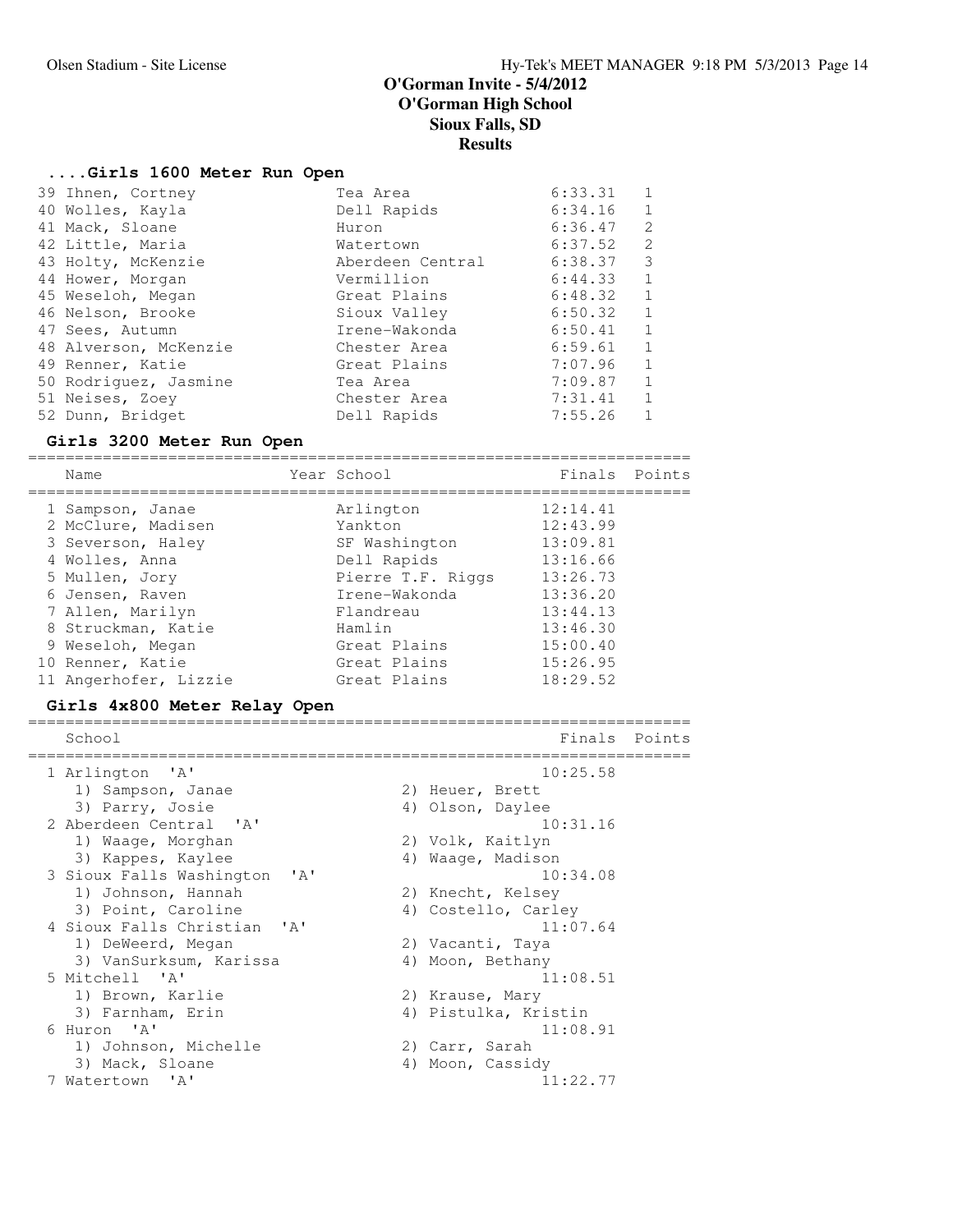# **....Girls 1600 Meter Run Open**

| 39 Ihnen, Cortney     | Tea Area         | 6:33.31 |              |
|-----------------------|------------------|---------|--------------|
| 40 Wolles, Kayla      | Dell Rapids      | 6:34.16 | 1            |
| 41 Mack, Sloane       | Huron            | 6:36.47 | 2            |
| 42 Little, Maria      | Watertown        | 6:37.52 | 2            |
| 43 Holty, McKenzie    | Aberdeen Central | 6:38.37 | 3            |
| 44 Hower, Morgan      | Vermillion       | 6:44.33 | 1            |
| 45 Weseloh, Megan     | Great Plains     | 6:48.32 | 1            |
| 46 Nelson, Brooke     | Sioux Valley     | 6:50.32 | $\mathbf{1}$ |
| 47 Sees, Autumn       | Irene-Wakonda    | 6:50.41 | 1            |
| 48 Alverson, McKenzie | Chester Area     | 6:59.61 | -1           |
| 49 Renner, Katie      | Great Plains     | 7:07.96 | 1            |
| 50 Rodriquez, Jasmine | Tea Area         | 7:09.87 | 1            |
| 51 Neises, Zoey       | Chester Area     | 7:31.41 | 1            |
| 52 Dunn, Bridget      | Dell Rapids      | 7:55.26 |              |

# **Girls 3200 Meter Run Open**

=======================================================================

| Name                  |                   | Finals Points |  |
|-----------------------|-------------------|---------------|--|
| 1 Sampson, Janae      | Arlington         | 12:14.41      |  |
| 2 McClure, Madisen    | Yankton           | 12:43.99      |  |
| 3 Severson, Haley     | SF Washington     | 13:09.81      |  |
| 4 Wolles, Anna        | Dell Rapids       | 13:16.66      |  |
| 5 Mullen, Jory        | Pierre T.F. Riggs | 13:26.73      |  |
| 6 Jensen, Raven       | Irene-Wakonda     | 13:36.20      |  |
| 7 Allen, Marilyn      | Flandreau         | 13:44.13      |  |
| 8 Struckman, Katie    | Hamlin            | 13:46.30      |  |
| 9 Weseloh, Megan      | Great Plains      | 15:00.40      |  |
| 10 Renner, Katie      | Great Plains      | 15:26.95      |  |
| 11 Angerhofer, Lizzie | Great Plains      | 18:29.52      |  |
|                       |                   | Year School   |  |

# **Girls 4x800 Meter Relay Open**

| School                                       | Finals Points        |
|----------------------------------------------|----------------------|
| =========================<br>1 Arlington 'A' | 10:25.58             |
| 1) Sampson, Janae                            | 2) Heuer, Brett      |
| 3) Parry, Josie                              | 4) Olson, Daylee     |
| 2 Aberdeen Central 'A'                       | 10:31.16             |
| 1) Waaqe, Morghan                            | 2) Volk, Kaitlyn     |
| 3) Kappes, Kaylee                            | 4) Waaqe, Madison    |
| 3 Sioux Falls Washington<br>$\mathsf{A}$     | 10:34.08             |
| 1) Johnson, Hannah                           | 2) Knecht, Kelsey    |
| 3) Point, Caroline                           | 4) Costello, Carley  |
| 4 Sioux Falls Christian 'A'                  | 11:07.64             |
| 1) DeWeerd, Megan                            | 2) Vacanti, Taya     |
| 3) VanSurksum, Karissa                       | 4) Moon, Bethany     |
| 5 Mitchell 'A'                               | 11:08.51             |
| 1) Brown, Karlie                             | 2) Krause, Mary      |
| 3) Farnham, Erin                             | 4) Pistulka, Kristin |
| 6 Huron 'A'                                  | 11:08.91             |
| 1) Johnson, Michelle                         | 2) Carr, Sarah       |
| 3) Mack, Sloane                              | 4) Moon, Cassidy     |
| 7 Watertown 'A'                              | 11:22.77             |
|                                              |                      |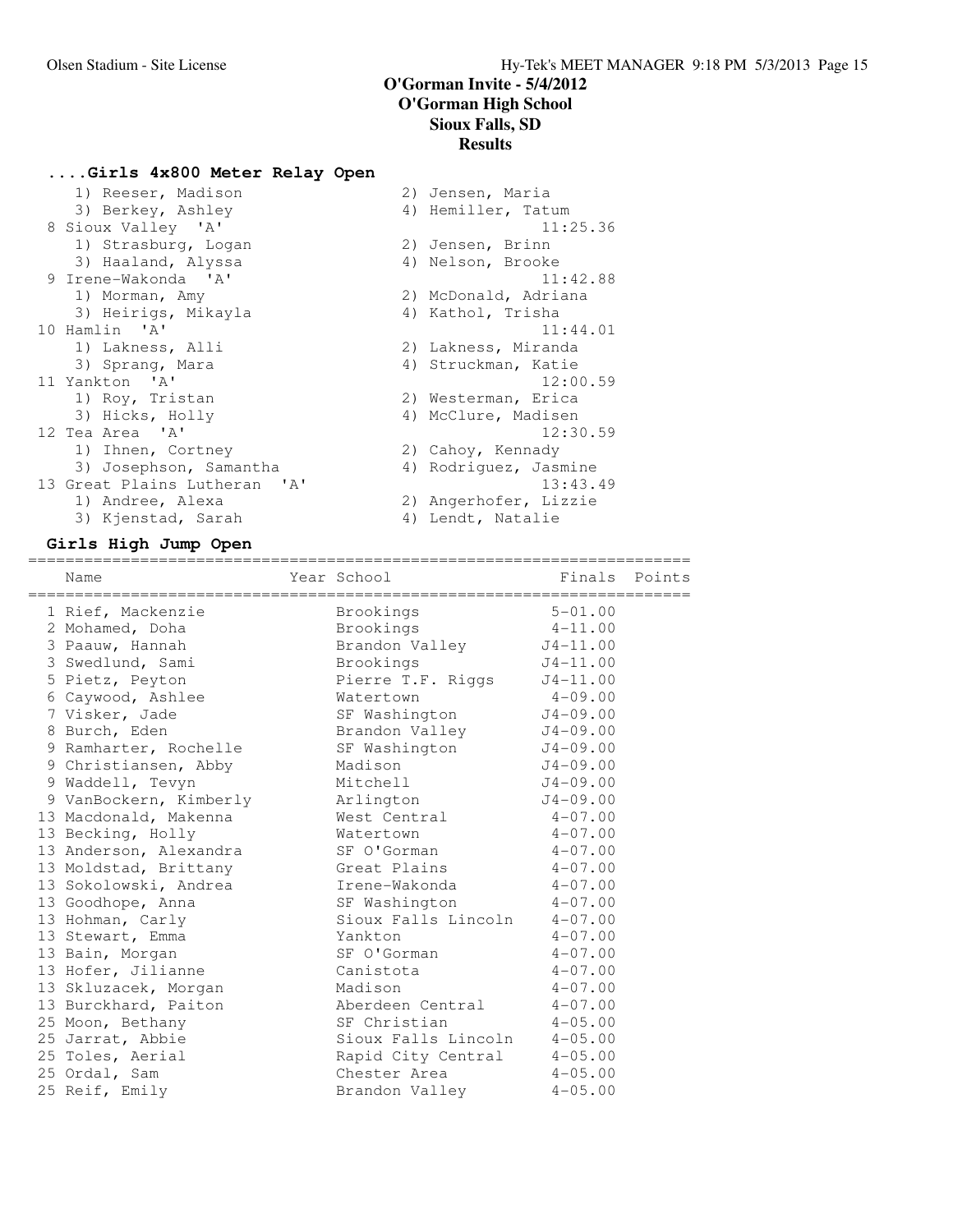2) Jensen, Maria

# **....Girls 4x800 Meter Relay Open**

| 1) Reeser, Madison           | 2) | Jensen, Maria         |
|------------------------------|----|-----------------------|
| 3) Berkey, Ashley            |    | 4) Hemiller, Tatum    |
| 8 Sioux Valley 'A'           |    | 11:25.36              |
| 1) Strasburg, Logan          |    | 2) Jensen, Brinn      |
| 3) Haaland, Alyssa           |    | 4) Nelson, Brooke     |
| 9 Irene-Wakonda 'A'          |    | 11:42.88              |
| 1) Morman, Amy               |    | 2) McDonald, Adriana  |
| 3) Heirigs, Mikayla          |    | 4) Kathol, Trisha     |
| 10 Hamlin 'A'                |    | 11:44.01              |
| 1) Lakness, Alli             |    | 2) Lakness, Miranda   |
| 3) Spranq, Mara              |    | 4) Struckman, Katie   |
| 11 Yankton 'A'               |    | 12:00.59              |
| 1) Roy, Tristan              |    | 2) Westerman, Erica   |
| 3) Hicks, Holly              |    | 4) McClure, Madisen   |
| 12 Tea Area 'A'              |    | 12:30.59              |
| 1) Ihnen, Cortney            |    | 2) Cahoy, Kennady     |
| 3) Josephson, Samantha       |    | 4) Rodriquez, Jasmine |
| 13 Great Plains Lutheran 'A' |    | 13:43.49              |
| 1) Andree, Alexa             |    | 2) Angerhofer, Lizzie |
| 3) Kjenstad, Sarah           |    | 4) Lendt, Natalie     |
|                              |    |                       |

| 4) Hemiller, Tatum        |
|---------------------------|
| 11:25.36                  |
| 2) Jensen, Brinn          |
| 4) Nelson, Brooke         |
| 11:42.88                  |
| 2) McDonald, Adriana      |
| 4) Kathol, Trisha         |
| 11:44.01                  |
| 2) Lakness, Miranda       |
| 4) Struckman, Katie       |
| 12:00.59                  |
| 2) Westerman, Erica       |
| 4) McClure, Madisen       |
| 12:30.59                  |
| 2) Cahoy, Kennady         |
| 4) Rodriquez, Jasmine     |
| 13:43.49                  |
| 2) Angerhofer, Lizzie     |
| $\Lambda$ ) Londt Notalio |

### **Girls High Jump Open**

| Name                   | Year School                 |              | Finals Points |
|------------------------|-----------------------------|--------------|---------------|
| 1 Rief, Mackenzie      | Brookings                   | $5 - 01.00$  |               |
| 2 Mohamed, Doha        | Brookings                   | $4 - 11.00$  |               |
| 3 Paauw, Hannah        | Brandon Valley J4-11.00     |              |               |
| 3 Swedlund, Sami       | Brookings                   | $J4-11.00$   |               |
| 5 Pietz, Peyton        | Pierre T.F. Riggs J4-11.00  |              |               |
| 6 Caywood, Ashlee      | Watertown                   | $4 - 09.00$  |               |
| 7 Visker, Jade         | SF Washington               | $J4 - 09.00$ |               |
| 8 Burch, Eden          | Brandon Valley              | $J4 - 09.00$ |               |
| 9 Ramharter, Rochelle  | SF Washington               | $J4-09.00$   |               |
| 9 Christiansen, Abby   | Madison                     | $J4 - 09.00$ |               |
| 9 Waddell, Tevyn       | Mitchell                    | $J4 - 09.00$ |               |
| 9 VanBockern, Kimberly | Arlington                   | $J4-09.00$   |               |
| 13 Macdonald, Makenna  | West Central                | $4 - 07.00$  |               |
| 13 Becking, Holly      | Watertown                   | $4 - 07.00$  |               |
| 13 Anderson, Alexandra | SF O'Gorman                 | $4 - 07.00$  |               |
| 13 Moldstad, Brittany  | Great Plains 4-07.00        |              |               |
| 13 Sokolowski, Andrea  | Irene-Wakonda 4-07.00       |              |               |
| 13 Goodhope, Anna      | SF Washington               | $4 - 07.00$  |               |
| 13 Hohman, Carly       | Sioux Falls Lincoln 4-07.00 |              |               |
| 13 Stewart, Emma       | Yankton                     | $4 - 07.00$  |               |
| 13 Bain, Morgan        | SF O'Gorman                 | $4 - 07.00$  |               |
| 13 Hofer, Jilianne     | Canistota                   | $4 - 07.00$  |               |
| 13 Skluzacek, Morgan   | Madison                     | $4 - 07.00$  |               |
| 13 Burckhard, Paiton   | Aberdeen Central            | $4 - 07.00$  |               |
| 25 Moon, Bethany       | SF Christian                | $4 - 05.00$  |               |
| 25 Jarrat, Abbie       | Sioux Falls Lincoln         | $4 - 05.00$  |               |
| 25 Toles, Aerial       | Rapid City Central          | $4 - 05.00$  |               |
| 25 Ordal, Sam          | Chester Area                | $4 - 05.00$  |               |
| 25 Reif, Emily         | Brandon Valley              | $4 - 05.00$  |               |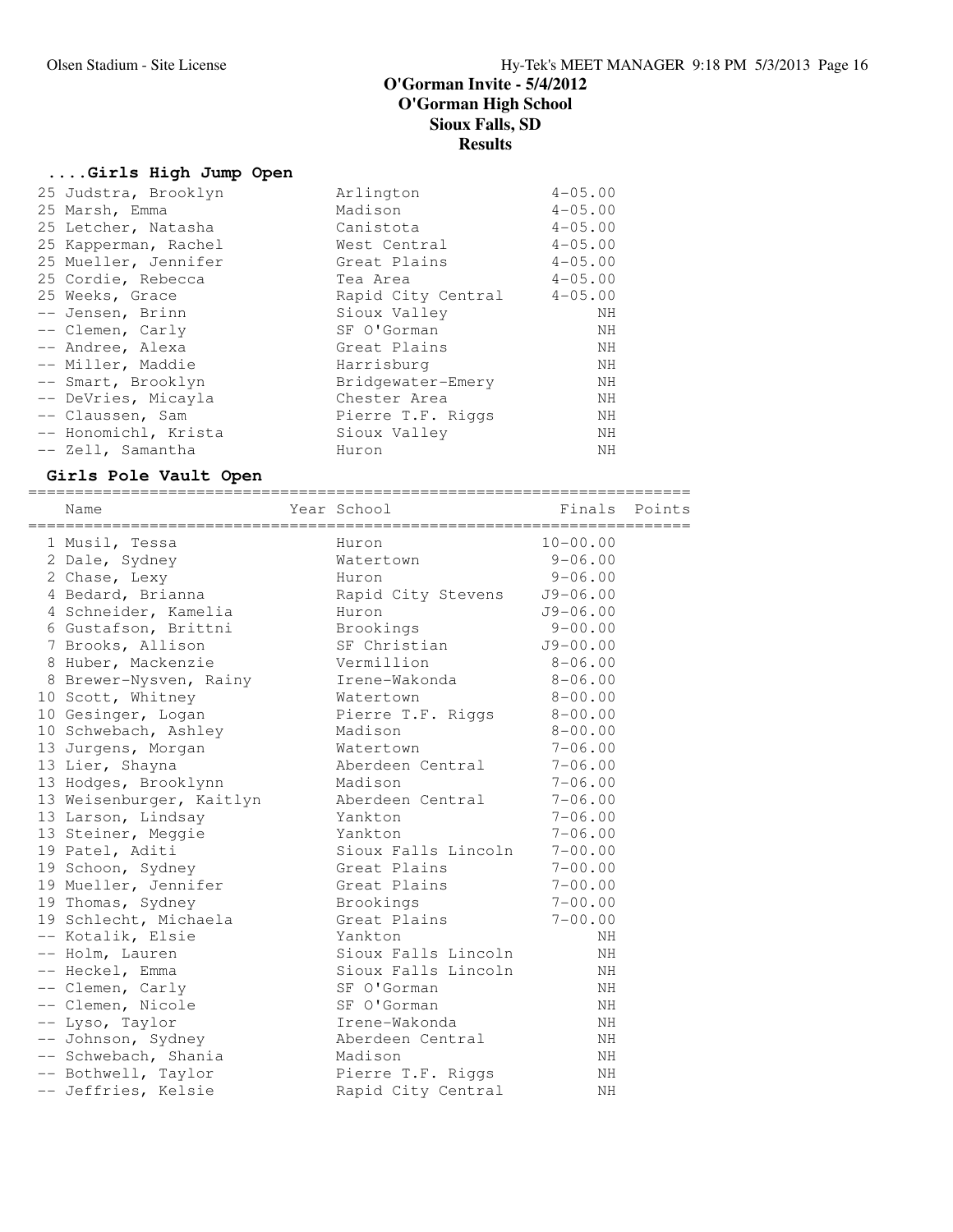# **....Girls High Jump Open**

| 25 Judstra, Brooklyn | Arlington          | $4 - 05.00$ |
|----------------------|--------------------|-------------|
| 25 Marsh, Emma       | Madison            | $4 - 05.00$ |
| 25 Letcher, Natasha  | Canistota          | $4 - 05.00$ |
| 25 Kapperman, Rachel | West Central       | $4 - 05.00$ |
| 25 Mueller, Jennifer | Great Plains       | $4 - 05.00$ |
| 25 Cordie, Rebecca   | Tea Area           | $4 - 05.00$ |
| 25 Weeks, Grace      | Rapid City Central | $4 - 05.00$ |
| -- Jensen, Brinn     | Sioux Valley       | ΝH          |
| -- Clemen, Carly     | SF O'Gorman        | ΝH          |
| -- Andree, Alexa     | Great Plains       | ΝH          |
| -- Miller, Maddie    | Harrisburg         | ΝH          |
| -- Smart, Brooklyn   | Bridgewater-Emery  | NH          |
| -- DeVries, Micayla  | Chester Area       | NH          |
| -- Claussen, Sam     | Pierre T.F. Riggs  | NΗ          |
| -- Honomichl, Krista | Sioux Valley       | ΝH          |
| -- Zell, Samantha    | Huron              | NH          |
|                      |                    |             |

# **Girls Pole Vault Open**

|  | Name                     | Year School                               Finals   Points |              |  |
|--|--------------------------|-----------------------------------------------------------|--------------|--|
|  |                          |                                                           |              |  |
|  | 1 Musil, Tessa           | Huron                                                     | $10 - 00.00$ |  |
|  | 2 Dale, Sydney           | Watertown                                                 | $9 - 06.00$  |  |
|  | 2 Chase, Lexy            | Huron                                                     | $9 - 06.00$  |  |
|  | 4 Bedard, Brianna        | Rapid City Stevens                                        | $J9 - 06.00$ |  |
|  | 4 Schneider, Kamelia     | Huron                                                     | $J9 - 06.00$ |  |
|  | 6 Gustafson, Brittni     | Brookings                                                 | $9 - 00.00$  |  |
|  | 7 Brooks, Allison        | SF Christian                                              | $J9 - 00.00$ |  |
|  | 8 Huber, Mackenzie       | Vermillion                                                | $8 - 06.00$  |  |
|  | 8 Brewer-Nysven, Rainy   | Irene-Wakonda                                             | $8 - 06.00$  |  |
|  | 10 Scott, Whitney        | Watertown                                                 | $8 - 00.00$  |  |
|  | 10 Gesinger, Logan       | Pierre T.F. Riggs                                         | $8 - 00.00$  |  |
|  | 10 Schwebach, Ashley     | Madison                                                   | $8 - 00.00$  |  |
|  | 13 Jurgens, Morgan       | Watertown                                                 | $7 - 06.00$  |  |
|  | 13 Lier, Shayna          | Aberdeen Central                                          | $7 - 06.00$  |  |
|  | 13 Hodges, Brooklynn     | Madison                                                   | $7 - 06.00$  |  |
|  | 13 Weisenburger, Kaitlyn | Aberdeen Central                                          | $7 - 06.00$  |  |
|  | 13 Larson, Lindsay       | Yankton                                                   | $7 - 06.00$  |  |
|  | 13 Steiner, Meggie       | Yankton                                                   | $7 - 06.00$  |  |
|  | 19 Patel, Aditi          | Sioux Falls Lincoln                                       | $7 - 00.00$  |  |
|  | 19 Schoon, Sydney        | Great Plains                                              | $7 - 00.00$  |  |
|  | 19 Mueller, Jennifer     | Great Plains                                              | $7 - 00.00$  |  |
|  | 19 Thomas, Sydney        | Brookings                                                 | $7 - 00.00$  |  |
|  | 19 Schlecht, Michaela    | Great Plains                                              | $7 - 00.00$  |  |
|  | -- Kotalik, Elsie        | Yankton                                                   | NH           |  |
|  | -- Holm, Lauren          | Sioux Falls Lincoln                                       | ΝH           |  |
|  | -- Heckel, Emma          | Sioux Falls Lincoln                                       | NH           |  |
|  | -- Clemen, Carly         | SF O'Gorman                                               | NH           |  |
|  | -- Clemen, Nicole        | SF O'Gorman                                               | NH           |  |
|  | -- Lyso, Taylor          | Irene-Wakonda                                             | NH           |  |
|  | -- Johnson, Sydney       | Aberdeen Central                                          | NH           |  |
|  | -- Schwebach, Shania     | Madison                                                   | ΝH           |  |
|  | -- Bothwell, Taylor      | Pierre T.F. Riggs                                         | ΝH           |  |
|  | -- Jeffries, Kelsie      | Rapid City Central                                        | NH           |  |
|  |                          |                                                           |              |  |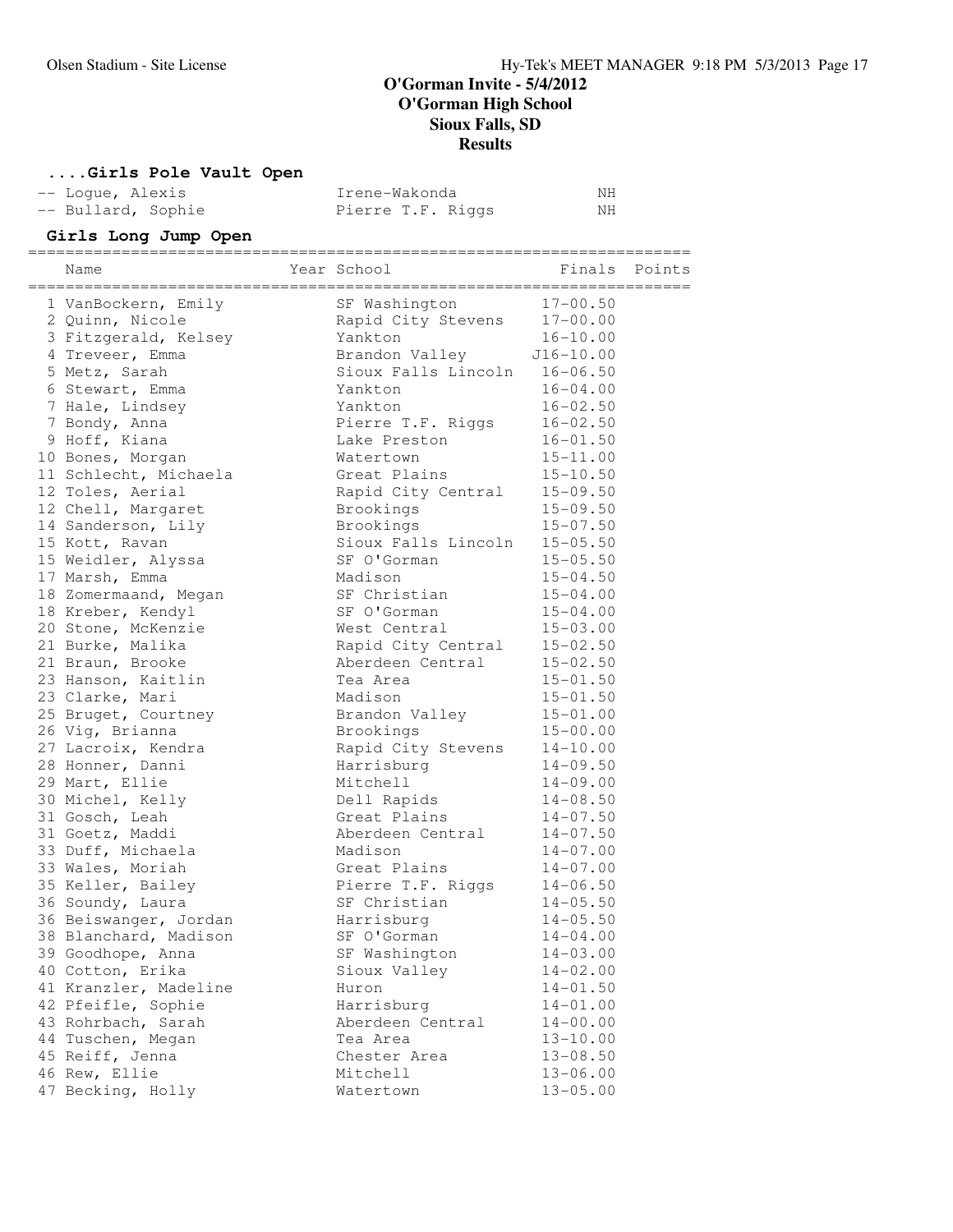# **....Girls Pole Vault Open**

| -- Loque, Alexis   | Irene-Wakonda     | NΗ |
|--------------------|-------------------|----|
| -- Bullard, Sophie | Pierre T.F. Riggs | NH |

# **Girls Long Jump Open**

| $17 - 00.50$<br>1 VanBockern, Emily<br>SF Washington<br>2 Quinn, Nicole<br>$17 - 00.00$<br>Rapid City Stevens<br>$16 - 10.00$<br>3 Fitzgerald, Kelsey<br>Yankton<br>Brandon Valley J16-10.00<br>4 Treveer, Emma<br>Sioux Falls Lincoln 16-06.50<br>5 Metz, Sarah<br>Yankton<br>$16 - 04.00$<br>6 Stewart, Emma<br>7 Hale, Lindsey<br>Yankton<br>$16 - 02.50$<br>$16 - 02.50$<br>7 Bondy, Anna<br>Pierre T.F. Riggs<br>9 Hoff, Kiana<br>$16 - 01.50$<br>Lake Preston<br>10 Bones, Morgan<br>Watertown<br>$15 - 11.00$<br>11 Schlecht, Michaela<br>Great Plains<br>$15 - 10.50$<br>12 Toles, Aerial<br>Rapid City Central<br>$15 - 09.50$<br>$15 - 09.50$<br>12 Chell, Margaret<br>Brookings<br>Brookings<br>$15 - 07.50$<br>14 Sanderson, Lily<br>$15 - 05.50$<br>Sioux Falls Lincoln<br>15 Kott, Ravan<br>SF O'Gorman<br>15 Weidler, Alyssa<br>$15 - 05.50$<br>Madison<br>$15 - 04.50$<br>17 Marsh, Emma<br>18 Zomermaand, Megan<br>SF Christian<br>$15 - 04.00$<br>SF O'Gorman<br>$15 - 04.00$<br>18 Kreber, Kendyl<br>West Central<br>$15 - 03.00$<br>20 Stone, McKenzie<br>$15 - 02.50$<br>Rapid City Central<br>21 Burke, Malika<br>21 Braun, Brooke<br>Aberdeen Central<br>$15 - 02.50$<br>23 Hanson, Kaitlin<br>Tea Area<br>$15 - 01.50$<br>23 Clarke, Mari<br>Madison<br>$15 - 01.50$<br>Brandon Valley<br>$15 - 01.00$<br>25 Bruget, Courtney<br>26 Vig, Brianna<br>$15 - 00.00$<br>Brookings<br>27 Lacroix, Kendra<br>$14 - 10.00$<br>Rapid City Stevens<br>28 Honner, Danni<br>Harrisburg<br>$14 - 09.50$<br>29 Mart, Ellie<br>Mitchell<br>$14 - 09.00$<br>$14 - 08.50$<br>30 Michel, Kelly<br>Dell Rapids<br>Great Plains<br>31 Gosch, Leah<br>$14 - 07.50$<br>31 Goetz, Maddi<br>Aberdeen Central<br>$14 - 07.50$<br>33 Duff, Michaela<br>Madison<br>$14 - 07.00$<br>33 Wales, Moriah<br>Great Plains<br>$14 - 07.00$<br>35 Keller, Bailey<br>Pierre T.F. Riggs<br>$14 - 06.50$<br>36 Soundy, Laura<br>SF Christian<br>$14 - 05.50$<br>36 Beiswanger, Jordan<br>Harrisburg<br>$14 - 05.50$<br>38 Blanchard, Madison<br>$14 - 04.00$<br>SF O'Gorman<br>SF Washington<br>$14 - 03.00$<br>39 Goodhope, Anna<br>40 Cotton, Erika<br>Sioux Valley<br>$14 - 02.00$<br>41 Kranzler, Madeline<br>$14 - 01.50$<br>Huron<br>42 Pfeifle, Sophie<br>Harrisburg<br>$14 - 01.00$<br>43 Rohrbach, Sarah<br>Aberdeen Central<br>$14 - 00.00$<br>44 Tuschen, Megan<br>Tea Area<br>$13 - 10.00$<br>45 Reiff, Jenna<br>$13 - 08.50$<br>Chester Area | Name          | Year School |              | Finals Points |
|----------------------------------------------------------------------------------------------------------------------------------------------------------------------------------------------------------------------------------------------------------------------------------------------------------------------------------------------------------------------------------------------------------------------------------------------------------------------------------------------------------------------------------------------------------------------------------------------------------------------------------------------------------------------------------------------------------------------------------------------------------------------------------------------------------------------------------------------------------------------------------------------------------------------------------------------------------------------------------------------------------------------------------------------------------------------------------------------------------------------------------------------------------------------------------------------------------------------------------------------------------------------------------------------------------------------------------------------------------------------------------------------------------------------------------------------------------------------------------------------------------------------------------------------------------------------------------------------------------------------------------------------------------------------------------------------------------------------------------------------------------------------------------------------------------------------------------------------------------------------------------------------------------------------------------------------------------------------------------------------------------------------------------------------------------------------------------------------------------------------------------------------------------------------------------------------------------------------------------------------------------------------------------------------------------------------------------------------------------------------------------------------------------------------------------------------|---------------|-------------|--------------|---------------|
|                                                                                                                                                                                                                                                                                                                                                                                                                                                                                                                                                                                                                                                                                                                                                                                                                                                                                                                                                                                                                                                                                                                                                                                                                                                                                                                                                                                                                                                                                                                                                                                                                                                                                                                                                                                                                                                                                                                                                                                                                                                                                                                                                                                                                                                                                                                                                                                                                                              |               |             |              |               |
|                                                                                                                                                                                                                                                                                                                                                                                                                                                                                                                                                                                                                                                                                                                                                                                                                                                                                                                                                                                                                                                                                                                                                                                                                                                                                                                                                                                                                                                                                                                                                                                                                                                                                                                                                                                                                                                                                                                                                                                                                                                                                                                                                                                                                                                                                                                                                                                                                                              |               |             |              |               |
|                                                                                                                                                                                                                                                                                                                                                                                                                                                                                                                                                                                                                                                                                                                                                                                                                                                                                                                                                                                                                                                                                                                                                                                                                                                                                                                                                                                                                                                                                                                                                                                                                                                                                                                                                                                                                                                                                                                                                                                                                                                                                                                                                                                                                                                                                                                                                                                                                                              |               |             |              |               |
|                                                                                                                                                                                                                                                                                                                                                                                                                                                                                                                                                                                                                                                                                                                                                                                                                                                                                                                                                                                                                                                                                                                                                                                                                                                                                                                                                                                                                                                                                                                                                                                                                                                                                                                                                                                                                                                                                                                                                                                                                                                                                                                                                                                                                                                                                                                                                                                                                                              |               |             |              |               |
|                                                                                                                                                                                                                                                                                                                                                                                                                                                                                                                                                                                                                                                                                                                                                                                                                                                                                                                                                                                                                                                                                                                                                                                                                                                                                                                                                                                                                                                                                                                                                                                                                                                                                                                                                                                                                                                                                                                                                                                                                                                                                                                                                                                                                                                                                                                                                                                                                                              |               |             |              |               |
|                                                                                                                                                                                                                                                                                                                                                                                                                                                                                                                                                                                                                                                                                                                                                                                                                                                                                                                                                                                                                                                                                                                                                                                                                                                                                                                                                                                                                                                                                                                                                                                                                                                                                                                                                                                                                                                                                                                                                                                                                                                                                                                                                                                                                                                                                                                                                                                                                                              |               |             |              |               |
|                                                                                                                                                                                                                                                                                                                                                                                                                                                                                                                                                                                                                                                                                                                                                                                                                                                                                                                                                                                                                                                                                                                                                                                                                                                                                                                                                                                                                                                                                                                                                                                                                                                                                                                                                                                                                                                                                                                                                                                                                                                                                                                                                                                                                                                                                                                                                                                                                                              |               |             |              |               |
|                                                                                                                                                                                                                                                                                                                                                                                                                                                                                                                                                                                                                                                                                                                                                                                                                                                                                                                                                                                                                                                                                                                                                                                                                                                                                                                                                                                                                                                                                                                                                                                                                                                                                                                                                                                                                                                                                                                                                                                                                                                                                                                                                                                                                                                                                                                                                                                                                                              |               |             |              |               |
|                                                                                                                                                                                                                                                                                                                                                                                                                                                                                                                                                                                                                                                                                                                                                                                                                                                                                                                                                                                                                                                                                                                                                                                                                                                                                                                                                                                                                                                                                                                                                                                                                                                                                                                                                                                                                                                                                                                                                                                                                                                                                                                                                                                                                                                                                                                                                                                                                                              |               |             |              |               |
|                                                                                                                                                                                                                                                                                                                                                                                                                                                                                                                                                                                                                                                                                                                                                                                                                                                                                                                                                                                                                                                                                                                                                                                                                                                                                                                                                                                                                                                                                                                                                                                                                                                                                                                                                                                                                                                                                                                                                                                                                                                                                                                                                                                                                                                                                                                                                                                                                                              |               |             |              |               |
|                                                                                                                                                                                                                                                                                                                                                                                                                                                                                                                                                                                                                                                                                                                                                                                                                                                                                                                                                                                                                                                                                                                                                                                                                                                                                                                                                                                                                                                                                                                                                                                                                                                                                                                                                                                                                                                                                                                                                                                                                                                                                                                                                                                                                                                                                                                                                                                                                                              |               |             |              |               |
|                                                                                                                                                                                                                                                                                                                                                                                                                                                                                                                                                                                                                                                                                                                                                                                                                                                                                                                                                                                                                                                                                                                                                                                                                                                                                                                                                                                                                                                                                                                                                                                                                                                                                                                                                                                                                                                                                                                                                                                                                                                                                                                                                                                                                                                                                                                                                                                                                                              |               |             |              |               |
|                                                                                                                                                                                                                                                                                                                                                                                                                                                                                                                                                                                                                                                                                                                                                                                                                                                                                                                                                                                                                                                                                                                                                                                                                                                                                                                                                                                                                                                                                                                                                                                                                                                                                                                                                                                                                                                                                                                                                                                                                                                                                                                                                                                                                                                                                                                                                                                                                                              |               |             |              |               |
|                                                                                                                                                                                                                                                                                                                                                                                                                                                                                                                                                                                                                                                                                                                                                                                                                                                                                                                                                                                                                                                                                                                                                                                                                                                                                                                                                                                                                                                                                                                                                                                                                                                                                                                                                                                                                                                                                                                                                                                                                                                                                                                                                                                                                                                                                                                                                                                                                                              |               |             |              |               |
|                                                                                                                                                                                                                                                                                                                                                                                                                                                                                                                                                                                                                                                                                                                                                                                                                                                                                                                                                                                                                                                                                                                                                                                                                                                                                                                                                                                                                                                                                                                                                                                                                                                                                                                                                                                                                                                                                                                                                                                                                                                                                                                                                                                                                                                                                                                                                                                                                                              |               |             |              |               |
|                                                                                                                                                                                                                                                                                                                                                                                                                                                                                                                                                                                                                                                                                                                                                                                                                                                                                                                                                                                                                                                                                                                                                                                                                                                                                                                                                                                                                                                                                                                                                                                                                                                                                                                                                                                                                                                                                                                                                                                                                                                                                                                                                                                                                                                                                                                                                                                                                                              |               |             |              |               |
|                                                                                                                                                                                                                                                                                                                                                                                                                                                                                                                                                                                                                                                                                                                                                                                                                                                                                                                                                                                                                                                                                                                                                                                                                                                                                                                                                                                                                                                                                                                                                                                                                                                                                                                                                                                                                                                                                                                                                                                                                                                                                                                                                                                                                                                                                                                                                                                                                                              |               |             |              |               |
|                                                                                                                                                                                                                                                                                                                                                                                                                                                                                                                                                                                                                                                                                                                                                                                                                                                                                                                                                                                                                                                                                                                                                                                                                                                                                                                                                                                                                                                                                                                                                                                                                                                                                                                                                                                                                                                                                                                                                                                                                                                                                                                                                                                                                                                                                                                                                                                                                                              |               |             |              |               |
|                                                                                                                                                                                                                                                                                                                                                                                                                                                                                                                                                                                                                                                                                                                                                                                                                                                                                                                                                                                                                                                                                                                                                                                                                                                                                                                                                                                                                                                                                                                                                                                                                                                                                                                                                                                                                                                                                                                                                                                                                                                                                                                                                                                                                                                                                                                                                                                                                                              |               |             |              |               |
|                                                                                                                                                                                                                                                                                                                                                                                                                                                                                                                                                                                                                                                                                                                                                                                                                                                                                                                                                                                                                                                                                                                                                                                                                                                                                                                                                                                                                                                                                                                                                                                                                                                                                                                                                                                                                                                                                                                                                                                                                                                                                                                                                                                                                                                                                                                                                                                                                                              |               |             |              |               |
|                                                                                                                                                                                                                                                                                                                                                                                                                                                                                                                                                                                                                                                                                                                                                                                                                                                                                                                                                                                                                                                                                                                                                                                                                                                                                                                                                                                                                                                                                                                                                                                                                                                                                                                                                                                                                                                                                                                                                                                                                                                                                                                                                                                                                                                                                                                                                                                                                                              |               |             |              |               |
|                                                                                                                                                                                                                                                                                                                                                                                                                                                                                                                                                                                                                                                                                                                                                                                                                                                                                                                                                                                                                                                                                                                                                                                                                                                                                                                                                                                                                                                                                                                                                                                                                                                                                                                                                                                                                                                                                                                                                                                                                                                                                                                                                                                                                                                                                                                                                                                                                                              |               |             |              |               |
|                                                                                                                                                                                                                                                                                                                                                                                                                                                                                                                                                                                                                                                                                                                                                                                                                                                                                                                                                                                                                                                                                                                                                                                                                                                                                                                                                                                                                                                                                                                                                                                                                                                                                                                                                                                                                                                                                                                                                                                                                                                                                                                                                                                                                                                                                                                                                                                                                                              |               |             |              |               |
|                                                                                                                                                                                                                                                                                                                                                                                                                                                                                                                                                                                                                                                                                                                                                                                                                                                                                                                                                                                                                                                                                                                                                                                                                                                                                                                                                                                                                                                                                                                                                                                                                                                                                                                                                                                                                                                                                                                                                                                                                                                                                                                                                                                                                                                                                                                                                                                                                                              |               |             |              |               |
|                                                                                                                                                                                                                                                                                                                                                                                                                                                                                                                                                                                                                                                                                                                                                                                                                                                                                                                                                                                                                                                                                                                                                                                                                                                                                                                                                                                                                                                                                                                                                                                                                                                                                                                                                                                                                                                                                                                                                                                                                                                                                                                                                                                                                                                                                                                                                                                                                                              |               |             |              |               |
|                                                                                                                                                                                                                                                                                                                                                                                                                                                                                                                                                                                                                                                                                                                                                                                                                                                                                                                                                                                                                                                                                                                                                                                                                                                                                                                                                                                                                                                                                                                                                                                                                                                                                                                                                                                                                                                                                                                                                                                                                                                                                                                                                                                                                                                                                                                                                                                                                                              |               |             |              |               |
|                                                                                                                                                                                                                                                                                                                                                                                                                                                                                                                                                                                                                                                                                                                                                                                                                                                                                                                                                                                                                                                                                                                                                                                                                                                                                                                                                                                                                                                                                                                                                                                                                                                                                                                                                                                                                                                                                                                                                                                                                                                                                                                                                                                                                                                                                                                                                                                                                                              |               |             |              |               |
|                                                                                                                                                                                                                                                                                                                                                                                                                                                                                                                                                                                                                                                                                                                                                                                                                                                                                                                                                                                                                                                                                                                                                                                                                                                                                                                                                                                                                                                                                                                                                                                                                                                                                                                                                                                                                                                                                                                                                                                                                                                                                                                                                                                                                                                                                                                                                                                                                                              |               |             |              |               |
|                                                                                                                                                                                                                                                                                                                                                                                                                                                                                                                                                                                                                                                                                                                                                                                                                                                                                                                                                                                                                                                                                                                                                                                                                                                                                                                                                                                                                                                                                                                                                                                                                                                                                                                                                                                                                                                                                                                                                                                                                                                                                                                                                                                                                                                                                                                                                                                                                                              |               |             |              |               |
|                                                                                                                                                                                                                                                                                                                                                                                                                                                                                                                                                                                                                                                                                                                                                                                                                                                                                                                                                                                                                                                                                                                                                                                                                                                                                                                                                                                                                                                                                                                                                                                                                                                                                                                                                                                                                                                                                                                                                                                                                                                                                                                                                                                                                                                                                                                                                                                                                                              |               |             |              |               |
|                                                                                                                                                                                                                                                                                                                                                                                                                                                                                                                                                                                                                                                                                                                                                                                                                                                                                                                                                                                                                                                                                                                                                                                                                                                                                                                                                                                                                                                                                                                                                                                                                                                                                                                                                                                                                                                                                                                                                                                                                                                                                                                                                                                                                                                                                                                                                                                                                                              |               |             |              |               |
|                                                                                                                                                                                                                                                                                                                                                                                                                                                                                                                                                                                                                                                                                                                                                                                                                                                                                                                                                                                                                                                                                                                                                                                                                                                                                                                                                                                                                                                                                                                                                                                                                                                                                                                                                                                                                                                                                                                                                                                                                                                                                                                                                                                                                                                                                                                                                                                                                                              |               |             |              |               |
|                                                                                                                                                                                                                                                                                                                                                                                                                                                                                                                                                                                                                                                                                                                                                                                                                                                                                                                                                                                                                                                                                                                                                                                                                                                                                                                                                                                                                                                                                                                                                                                                                                                                                                                                                                                                                                                                                                                                                                                                                                                                                                                                                                                                                                                                                                                                                                                                                                              |               |             |              |               |
|                                                                                                                                                                                                                                                                                                                                                                                                                                                                                                                                                                                                                                                                                                                                                                                                                                                                                                                                                                                                                                                                                                                                                                                                                                                                                                                                                                                                                                                                                                                                                                                                                                                                                                                                                                                                                                                                                                                                                                                                                                                                                                                                                                                                                                                                                                                                                                                                                                              |               |             |              |               |
|                                                                                                                                                                                                                                                                                                                                                                                                                                                                                                                                                                                                                                                                                                                                                                                                                                                                                                                                                                                                                                                                                                                                                                                                                                                                                                                                                                                                                                                                                                                                                                                                                                                                                                                                                                                                                                                                                                                                                                                                                                                                                                                                                                                                                                                                                                                                                                                                                                              |               |             |              |               |
|                                                                                                                                                                                                                                                                                                                                                                                                                                                                                                                                                                                                                                                                                                                                                                                                                                                                                                                                                                                                                                                                                                                                                                                                                                                                                                                                                                                                                                                                                                                                                                                                                                                                                                                                                                                                                                                                                                                                                                                                                                                                                                                                                                                                                                                                                                                                                                                                                                              |               |             |              |               |
|                                                                                                                                                                                                                                                                                                                                                                                                                                                                                                                                                                                                                                                                                                                                                                                                                                                                                                                                                                                                                                                                                                                                                                                                                                                                                                                                                                                                                                                                                                                                                                                                                                                                                                                                                                                                                                                                                                                                                                                                                                                                                                                                                                                                                                                                                                                                                                                                                                              |               |             |              |               |
|                                                                                                                                                                                                                                                                                                                                                                                                                                                                                                                                                                                                                                                                                                                                                                                                                                                                                                                                                                                                                                                                                                                                                                                                                                                                                                                                                                                                                                                                                                                                                                                                                                                                                                                                                                                                                                                                                                                                                                                                                                                                                                                                                                                                                                                                                                                                                                                                                                              |               |             |              |               |
|                                                                                                                                                                                                                                                                                                                                                                                                                                                                                                                                                                                                                                                                                                                                                                                                                                                                                                                                                                                                                                                                                                                                                                                                                                                                                                                                                                                                                                                                                                                                                                                                                                                                                                                                                                                                                                                                                                                                                                                                                                                                                                                                                                                                                                                                                                                                                                                                                                              |               |             |              |               |
|                                                                                                                                                                                                                                                                                                                                                                                                                                                                                                                                                                                                                                                                                                                                                                                                                                                                                                                                                                                                                                                                                                                                                                                                                                                                                                                                                                                                                                                                                                                                                                                                                                                                                                                                                                                                                                                                                                                                                                                                                                                                                                                                                                                                                                                                                                                                                                                                                                              |               |             |              |               |
|                                                                                                                                                                                                                                                                                                                                                                                                                                                                                                                                                                                                                                                                                                                                                                                                                                                                                                                                                                                                                                                                                                                                                                                                                                                                                                                                                                                                                                                                                                                                                                                                                                                                                                                                                                                                                                                                                                                                                                                                                                                                                                                                                                                                                                                                                                                                                                                                                                              |               |             |              |               |
|                                                                                                                                                                                                                                                                                                                                                                                                                                                                                                                                                                                                                                                                                                                                                                                                                                                                                                                                                                                                                                                                                                                                                                                                                                                                                                                                                                                                                                                                                                                                                                                                                                                                                                                                                                                                                                                                                                                                                                                                                                                                                                                                                                                                                                                                                                                                                                                                                                              |               |             |              |               |
|                                                                                                                                                                                                                                                                                                                                                                                                                                                                                                                                                                                                                                                                                                                                                                                                                                                                                                                                                                                                                                                                                                                                                                                                                                                                                                                                                                                                                                                                                                                                                                                                                                                                                                                                                                                                                                                                                                                                                                                                                                                                                                                                                                                                                                                                                                                                                                                                                                              |               |             |              |               |
|                                                                                                                                                                                                                                                                                                                                                                                                                                                                                                                                                                                                                                                                                                                                                                                                                                                                                                                                                                                                                                                                                                                                                                                                                                                                                                                                                                                                                                                                                                                                                                                                                                                                                                                                                                                                                                                                                                                                                                                                                                                                                                                                                                                                                                                                                                                                                                                                                                              |               |             |              |               |
|                                                                                                                                                                                                                                                                                                                                                                                                                                                                                                                                                                                                                                                                                                                                                                                                                                                                                                                                                                                                                                                                                                                                                                                                                                                                                                                                                                                                                                                                                                                                                                                                                                                                                                                                                                                                                                                                                                                                                                                                                                                                                                                                                                                                                                                                                                                                                                                                                                              |               |             |              |               |
|                                                                                                                                                                                                                                                                                                                                                                                                                                                                                                                                                                                                                                                                                                                                                                                                                                                                                                                                                                                                                                                                                                                                                                                                                                                                                                                                                                                                                                                                                                                                                                                                                                                                                                                                                                                                                                                                                                                                                                                                                                                                                                                                                                                                                                                                                                                                                                                                                                              | 46 Rew, Ellie | Mitchell    | $13 - 06.00$ |               |
| 47 Becking, Holly<br>$13 - 05.00$<br>Watertown                                                                                                                                                                                                                                                                                                                                                                                                                                                                                                                                                                                                                                                                                                                                                                                                                                                                                                                                                                                                                                                                                                                                                                                                                                                                                                                                                                                                                                                                                                                                                                                                                                                                                                                                                                                                                                                                                                                                                                                                                                                                                                                                                                                                                                                                                                                                                                                               |               |             |              |               |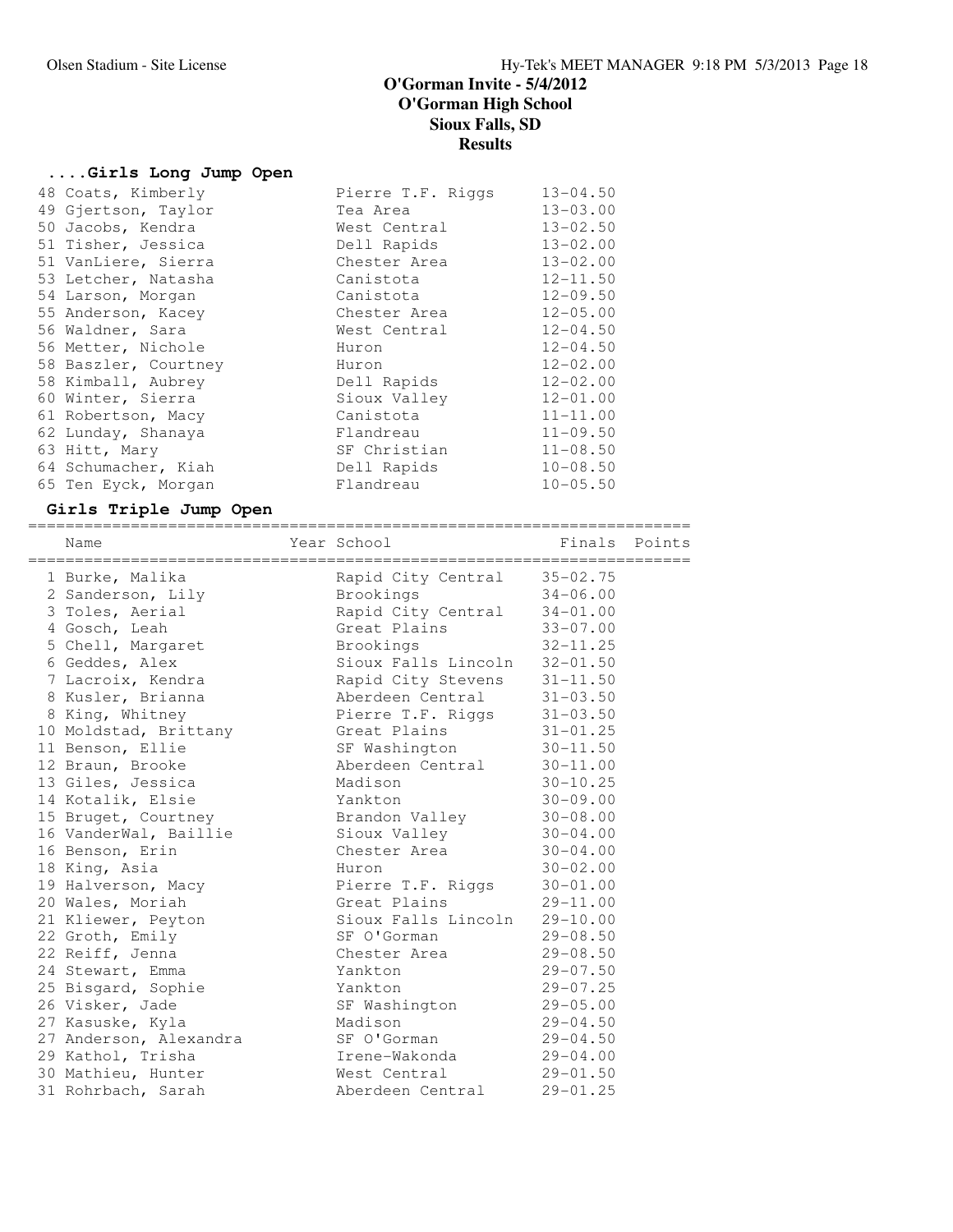# **....Girls Long Jump Open**

| 48 Coats, Kimberly   | Pierre T.F. Riggs | $13 - 04.50$ |
|----------------------|-------------------|--------------|
| 49 Gjertson, Taylor  | Tea Area          | $13 - 03.00$ |
| 50 Jacobs, Kendra    | West Central      | $13 - 02.50$ |
| 51 Tisher, Jessica   | Dell Rapids       | $13 - 02.00$ |
| 51 VanLiere, Sierra  | Chester Area      | $13 - 02.00$ |
| 53 Letcher, Natasha  | Canistota         | $12 - 11.50$ |
| 54 Larson, Morgan    | Canistota         | $12 - 09.50$ |
| 55 Anderson, Kacey   | Chester Area      | $12 - 05.00$ |
| 56 Waldner, Sara     | West Central      | $12 - 04.50$ |
| 56 Metter, Nichole   | Huron             | $12 - 04.50$ |
| 58 Baszler, Courtney | Huron             | $12 - 02.00$ |
| 58 Kimball, Aubrey   | Dell Rapids       | $12 - 02.00$ |
| 60 Winter, Sierra    | Sioux Valley      | $12 - 01.00$ |
| 61 Robertson, Macy   | Canistota         | $11 - 11.00$ |
| 62 Lunday, Shanaya   | Flandreau         | $11 - 09.50$ |
| 63 Hitt, Mary        | SF Christian      | $11 - 08.50$ |
| 64 Schumacher, Kiah  | Dell Rapids       | $10 - 08.50$ |
| 65 Ten Eyck, Morgan  | Flandreau         | $10 - 05.50$ |

# **Girls Triple Jump Open**

| Name                                        | Year School is a series of Finals Points |              |  |
|---------------------------------------------|------------------------------------------|--------------|--|
| 1 Burke, Malika                             | Rapid City Central 35-02.75              |              |  |
| 2 Sanderson, Lily                           | Brookings 34-06.00                       |              |  |
| 3 Toles, Aerial                             | Rapid City Central 34-01.00              |              |  |
| 4 Gosch, Leah                               | Great Plains 33-07.00                    |              |  |
| 5 Chell, Margaret                           | $32 - 11.25$<br>Brookings                |              |  |
| 6 Geddes, Alex                              | Sioux Falls Lincoln 32-01.50             |              |  |
| 7 Lacroix, Kendra                           | Rapid City Stevens 31-11.50              |              |  |
| 8 Kusler, Brianna                           | Aberdeen Central 31-03.50                |              |  |
| 8 King, Whitney                             | Pierre T.F. Riggs 31-03.50               |              |  |
| 10 Moldstad, Brittany 6reat Plains          |                                          | $31 - 01.25$ |  |
| 11 Benson, Ellie                            | SF Washington                            | $30 - 11.50$ |  |
| 12 Braun, Brooke                            | Aberdeen Central                         | $30 - 11.00$ |  |
| 13 Giles, Jessica                           | Madison                                  | $30 - 10.25$ |  |
| 14 Kotalik, Elsie                           | Yankton                                  | $30 - 09.00$ |  |
| 15 Bruget, Courtney                         | Brandon Valley                           | $30 - 08.00$ |  |
| 16 VanderWal, Baillie                       | Sioux Valley                             | $30 - 04.00$ |  |
| 16 Benson, Erin                             | Chester Area                             | $30 - 04.00$ |  |
| 18 King, Asia                               | Huron                                    | $30 - 02.00$ |  |
| 19 Halverson, Macy                          | Pierre T.F. Riggs                        | $30 - 01.00$ |  |
| 20 Wales, Moriah                            | Great Plains                             | $29 - 11.00$ |  |
| 21 Kliewer, Peyton                          | Sioux Falls Lincoln                      | $29 - 10.00$ |  |
| 22 Groth, Emily                             | SF O'Gorman                              | $29 - 08.50$ |  |
| 22 Reiff, Jenna                             | Chester Area                             | $29 - 08.50$ |  |
| 24 Stewart, Emma                            | Yankton                                  | $29 - 07.50$ |  |
| 25 Bisgard, Sophie                          | Yankton                                  | $29 - 07.25$ |  |
| 26 Visker, Jade                             | SF Washington                            | $29 - 05.00$ |  |
| 27 Kasuske, Kyla                            | Madison                                  | $29 - 04.50$ |  |
| 27 Anderson, Alexandra SF O'Gorman 29-04.50 |                                          |              |  |
| 29 Kathol, Trisha                           | Irene-Wakonda 29-04.00                   |              |  |
| 30 Mathieu, Hunter                          | West Central                             | $29 - 01.50$ |  |
| 31 Rohrbach, Sarah                          | Aberdeen Central                         | $29 - 01.25$ |  |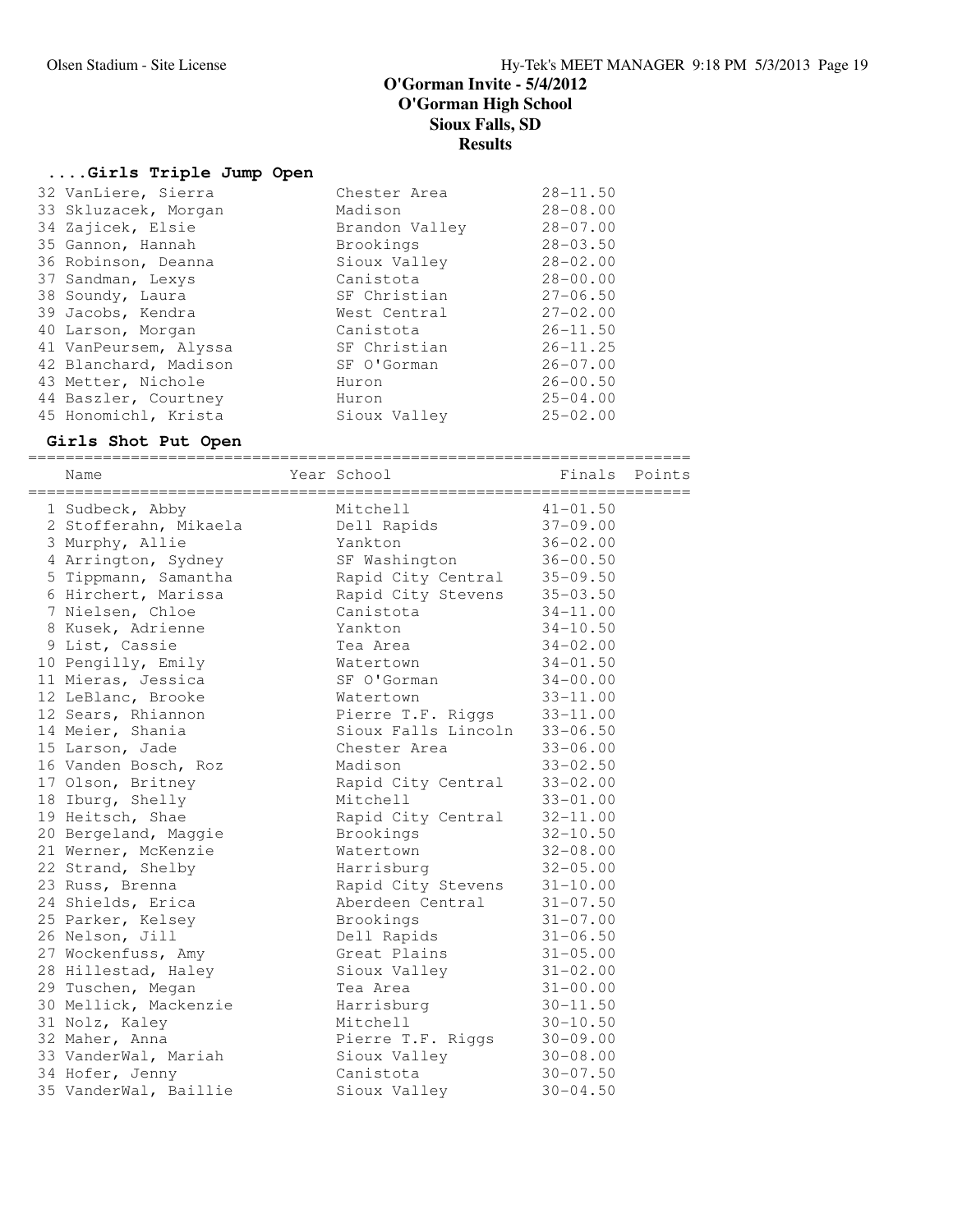### **....Girls Triple Jump Open**

| 32 VanLiere, Sierra   | Chester Area   | $28 - 11.50$ |
|-----------------------|----------------|--------------|
| 33 Skluzacek, Morgan  | Madison        | $28 - 08.00$ |
| 34 Zajicek, Elsie     | Brandon Valley | $28 - 07.00$ |
| 35 Gannon, Hannah     | Brookings      | $28 - 03.50$ |
| 36 Robinson, Deanna   | Sioux Valley   | $28 - 02.00$ |
| 37 Sandman, Lexys     | Canistota      | $28 - 00.00$ |
| 38 Soundy, Laura      | SF Christian   | $27 - 06.50$ |
| 39 Jacobs, Kendra     | West Central   | $27 - 02.00$ |
| 40 Larson, Morgan     | Canistota      | $26 - 11.50$ |
| 41 VanPeursem, Alyssa | SF Christian   | $26 - 11.25$ |
| 42 Blanchard, Madison | SF O'Gorman    | $26 - 07.00$ |
| 43 Metter, Nichole    | Huron          | $26 - 00.50$ |
| 44 Baszler, Courtney  | Huron          | $25 - 04.00$ |
| 45 Honomichl, Krista  | Sioux Valley   | $25 - 02.00$ |
|                       |                |              |

**Girls Shot Put Open** ======================================================================= Name The Year School The Finals Points ======================================================================= 1 Sudbeck, Abby Mitchell 41-01.50 2 Stofferahn, Mikaela Dell Rapids 37-09.00 3 Murphy, Allie Yankton 36-02.00 4 Arrington, Sydney SF Washington 36-00.50 5 Tippmann, Samantha Rapid City Central 35-09.50 6 Hirchert, Marissa Rapid City Stevens 35-03.50 7 Nielsen, Chloe Canistota 34-11.00 8 Kusek, Adrienne Yankton 34-10.50 9 List, Cassie Tea Area 34-02.00 10 Pengilly, Emily Watertown 34-01.50 11 Mieras, Jessica SF O'Gorman 34-00.00 12 LeBlanc, Brooke Watertown 33-11.00 12 Sears, Rhiannon **Pierre T.F. Riggs** 33-11.00 14 Meier, Shania Sioux Falls Lincoln 33-06.50 15 Larson, Jade Chester Area 33-06.00 16 Vanden Bosch, Roz Madison 33-02.50 17 Olson, Britney Rapid City Central 33-02.00 18 Iburg, Shelly Mitchell 33-01.00 19 Heitsch, Shae Rapid City Central 32-11.00 20 Bergeland, Maggie Brookings 32-10.50 21 Werner, McKenzie Watertown 32-08.00 22 Strand, Shelby Harrisburg 32-05.00 23 Russ, Brenna Rapid City Stevens 31-10.00 24 Shields, Erica Aberdeen Central 31-07.50 25 Parker, Kelsey Brookings 31-07.00 26 Nelson, Jill Dell Rapids 31-06.50 27 Wockenfuss, Amy Great Plains 31-05.00 28 Hillestad, Haley Sioux Valley 31-02.00 29 Tuschen, Megan Tea Area 31-00.00 30 Mellick, Mackenzie Harrisburg 30-11.50 31 Nolz, Kaley Mitchell 30-10.50 32 Maher, Anna Pierre T.F. Riggs 30-09.00 33 VanderWal, Mariah Sioux Valley 30-08.00 34 Hofer, Jenny Canistota 30-07.50 35 VanderWal, Baillie Sioux Valley 30-04.50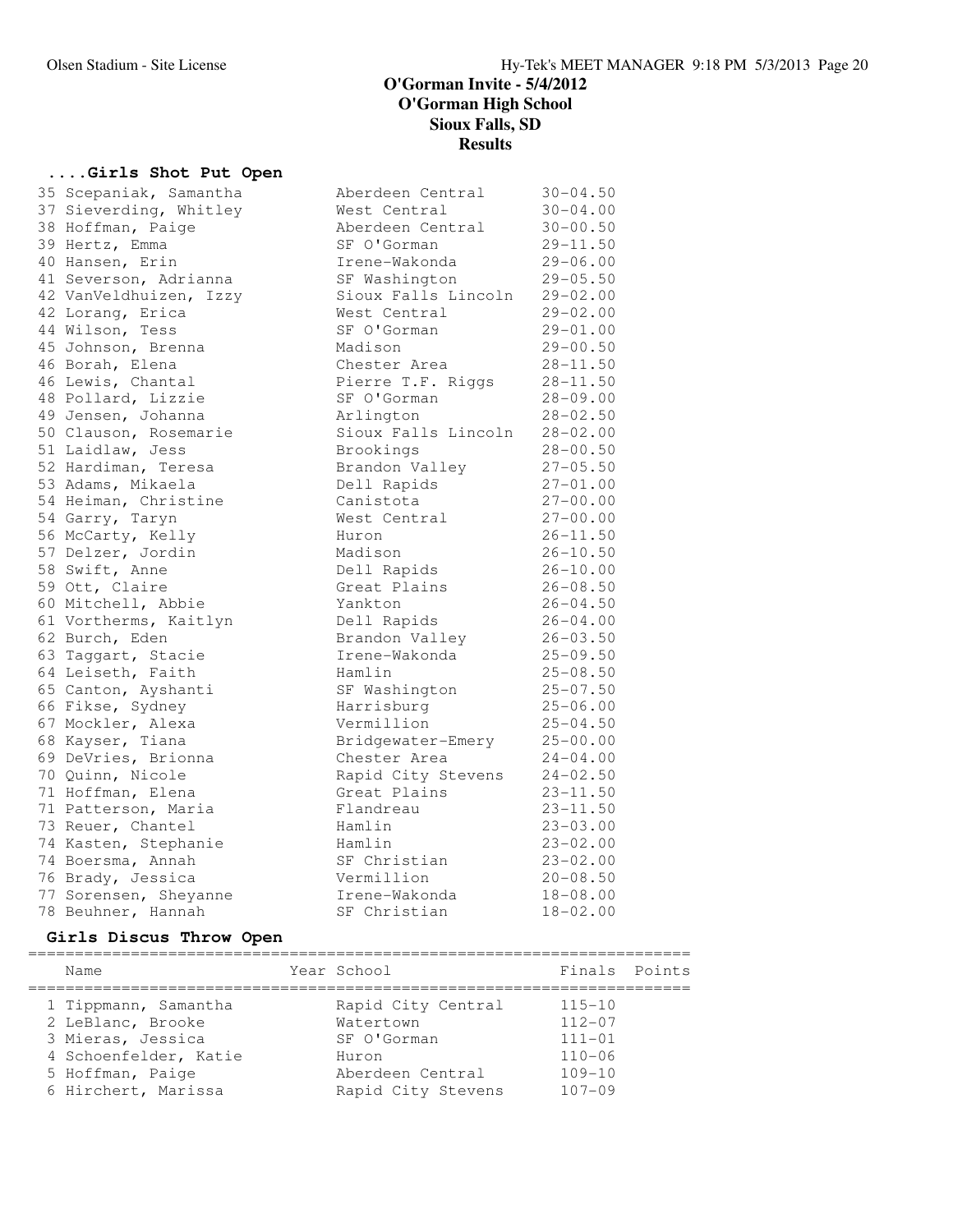# **....Girls Shot Put Open**

| 35 Scepaniak, Samantha | Aberdeen Central    | $30 - 04.50$ |
|------------------------|---------------------|--------------|
| 37 Sieverding, Whitley | West Central        | $30 - 04.00$ |
| 38 Hoffman, Paige      | Aberdeen Central    | $30 - 00.50$ |
| 39 Hertz, Emma         | SF O'Gorman         | $29 - 11.50$ |
| 40 Hansen, Erin        | Irene-Wakonda       | $29 - 06.00$ |
| 41 Severson, Adrianna  | SF Washington       | $29 - 05.50$ |
| 42 VanVeldhuizen, Izzy | Sioux Falls Lincoln | $29 - 02.00$ |
| 42 Lorang, Erica       | West Central        | $29 - 02.00$ |
| 44 Wilson, Tess        | SF O'Gorman         | $29 - 01.00$ |
| 45 Johnson, Brenna     | Madison             | $29 - 00.50$ |
| 46 Borah, Elena        | Chester Area        | $28 - 11.50$ |
| 46 Lewis, Chantal      | Pierre T.F. Riggs   | $28 - 11.50$ |
| 48 Pollard, Lizzie     | SF O'Gorman         | $28 - 09.00$ |
| 49 Jensen, Johanna     | Arlington           | $28 - 02.50$ |
| 50 Clauson, Rosemarie  | Sioux Falls Lincoln | $28 - 02.00$ |
| 51 Laidlaw, Jess       | Brookings           | $28 - 00.50$ |
| 52 Hardiman, Teresa    | Brandon Valley      | $27 - 05.50$ |
| 53 Adams, Mikaela      | Dell Rapids         | $27 - 01.00$ |
| 54 Heiman, Christine   | Canistota           | $27 - 00.00$ |
| 54 Garry, Taryn        | West Central        | $27 - 00.00$ |
| 56 McCarty, Kelly      | Huron               | $26 - 11.50$ |
| 57 Delzer, Jordin      | Madison             | $26 - 10.50$ |
| 58 Swift, Anne         | Dell Rapids         | $26 - 10.00$ |
| 59 Ott, Claire         | Great Plains        | $26 - 08.50$ |
| 60 Mitchell, Abbie     | Yankton             | $26 - 04.50$ |
| 61 Vortherms, Kaitlyn  | Dell Rapids         | $26 - 04.00$ |
| 62 Burch, Eden         | Brandon Valley      | $26 - 03.50$ |
| 63 Taggart, Stacie     | Irene-Wakonda       | $25 - 09.50$ |
| 64 Leiseth, Faith      | Hamlin              | $25 - 08.50$ |
| 65 Canton, Ayshanti    | SF Washington       | $25 - 07.50$ |
| 66 Fikse, Sydney       | Harrisburg          | $25 - 06.00$ |
| 67 Mockler, Alexa      | Vermillion          | $25 - 04.50$ |
| 68 Kayser, Tiana       | Bridgewater-Emery   | $25 - 00.00$ |
| 69 DeVries, Brionna    | Chester Area        | $24 - 04.00$ |
| 70 Quinn, Nicole       | Rapid City Stevens  | $24 - 02.50$ |
| 71 Hoffman, Elena      | Great Plains        | $23 - 11.50$ |
| 71 Patterson, Maria    | Flandreau           | 23-11.50     |
| 73 Reuer, Chantel      | Hamlin              | $23 - 03.00$ |
| 74 Kasten, Stephanie   | Hamlin              | $23 - 02.00$ |
| 74 Boersma, Annah      | SF Christian        | $23 - 02.00$ |
| 76 Brady, Jessica      | Vermillion          | $20 - 08.50$ |
| 77 Sorensen, Sheyanne  | Irene-Wakonda       | $18 - 08.00$ |
| 78 Beuhner, Hannah     | SF Christian        | $18 - 02.00$ |

# **Girls Discus Throw Open**

| Name                                      | Year School                     | Finals Points            |  |
|-------------------------------------------|---------------------------------|--------------------------|--|
| 1 Tippmann, Samantha<br>2 LeBlanc, Brooke | Rapid City Central<br>Watertown | $115 - 10$<br>$112 - 07$ |  |
| 3 Mieras, Jessica                         | SF O'Gorman                     | $111 - 01$               |  |
| 4 Schoenfelder, Katie<br>5 Hoffman, Paige | Huron<br>Aberdeen Central       | $110 - 06$<br>$109 - 10$ |  |
| 6 Hirchert, Marissa                       | Rapid City Stevens              | $107 - 09$               |  |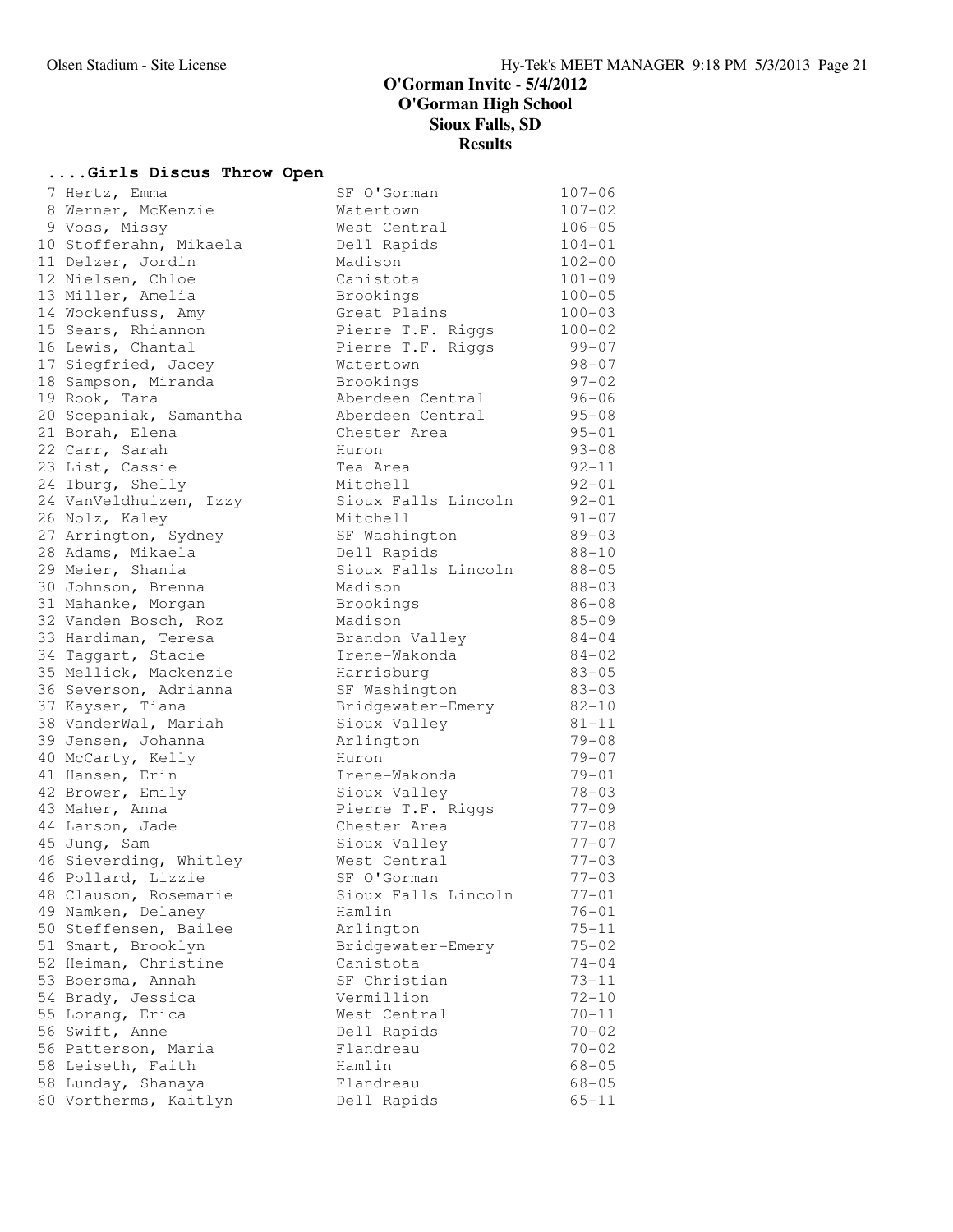### **....Girls Discus Throw Open**

| 7 Hertz, Emma          | SF O'Gorman         | $107 - 06$ |
|------------------------|---------------------|------------|
| 8 Werner, McKenzie     | Watertown           | $107 - 02$ |
| 9 Voss, Missy          | West Central        | $106 - 05$ |
| 10 Stofferahn, Mikaela | Dell Rapids         | $104 - 01$ |
| 11 Delzer, Jordin      | Madison             | $102 - 00$ |
| 12 Nielsen, Chloe      | Canistota           | $101 - 09$ |
| 13 Miller, Amelia      | Brookings           | $100 - 05$ |
| 14 Wockenfuss, Amy     | Great Plains        | $100 - 03$ |
| 15 Sears, Rhiannon     | Pierre T.F. Riggs   | $100 - 02$ |
| 16 Lewis, Chantal      | Pierre T.F. Riggs   | $99 - 07$  |
| 17 Siegfried, Jacey    | Watertown           | $98 - 07$  |
| 18 Sampson, Miranda    | Brookings           | $97 - 02$  |
| 19 Rook, Tara          | Aberdeen Central    | $96 - 06$  |
| 20 Scepaniak, Samantha | Aberdeen Central    | $95 - 08$  |
| 21 Borah, Elena        | Chester Area        | $95 - 01$  |
| 22 Carr, Sarah         | Huron               | $93 - 08$  |
| 23 List, Cassie        | Tea Area            | $92 - 11$  |
| 24 Iburg, Shelly       | Mitchell            | $92 - 01$  |
| 24 VanVeldhuizen, Izzy | Sioux Falls Lincoln | $92 - 01$  |
| 26 Nolz, Kaley         | Mitchell            | $91 - 07$  |
| 27 Arrington, Sydney   | SF Washington       | $89 - 03$  |
| 28 Adams, Mikaela      | Dell Rapids         | $88 - 10$  |
| 29 Meier, Shania       | Sioux Falls Lincoln | $88 - 05$  |
| 30 Johnson, Brenna     | Madison             | $88 - 03$  |
| 31 Mahanke, Morgan     | Brookings           | $86 - 08$  |
| 32 Vanden Bosch, Roz   | Madison             | $85 - 09$  |
| 33 Hardiman, Teresa    | Brandon Valley      | $84 - 04$  |
| 34 Taggart, Stacie     | Irene-Wakonda       | $84 - 02$  |
| 35 Mellick, Mackenzie  | Harrisburg          | $83 - 05$  |
| 36 Severson, Adrianna  | SF Washington       | $83 - 03$  |
| 37 Kayser, Tiana       | Bridgewater-Emery   | $82 - 10$  |
| 38 VanderWal, Mariah   | Sioux Valley        | $81 - 11$  |
| 39 Jensen, Johanna     | Arlington           | $79 - 08$  |
| 40 McCarty, Kelly      | Huron               | $79 - 07$  |
| 41 Hansen, Erin        | Irene-Wakonda       | $79 - 01$  |
| 42 Brower, Emily       | Sioux Valley        | $78 - 03$  |
| 43 Maher, Anna         | Pierre T.F. Riggs   | $77 - 09$  |
| 44 Larson, Jade        | Chester Area        | $77 - 08$  |
| 45 Jung, Sam           | Sioux Valley        | $77 - 07$  |
| 46 Sieverding, Whitley | West Central        | $77 - 03$  |
| 46 Pollard, Lizzie     | SF O'Gorman         | $77 - 03$  |
| 48 Clauson, Rosemarie  | Sioux Falls Lincoln | $77 - 01$  |
| 49 Namken, Delaney     | Hamlin              | $76 - 01$  |
| 50 Steffensen, Bailee  | Arlington           | $75 - 11$  |
| 51 Smart, Brooklyn     | Bridgewater-Emery   | $75 - 02$  |
| 52 Heiman, Christine   | Canistota           | $74 - 04$  |
| 53 Boersma, Annah      | SF Christian        | $73 - 11$  |
| 54 Brady, Jessica      | Vermillion          | $72 - 10$  |
| 55 Lorang, Erica       | West Central        | $70 - 11$  |
| 56 Swift, Anne         | Dell Rapids         | $70 - 02$  |
| 56 Patterson, Maria    | Flandreau           | $70 - 02$  |
| 58 Leiseth, Faith      | Hamlin              | $68 - 05$  |
| 58 Lunday, Shanaya     | Flandreau           | $68 - 05$  |
| 60 Vortherms, Kaitlyn  | Dell Rapids         | $65 - 11$  |
|                        |                     |            |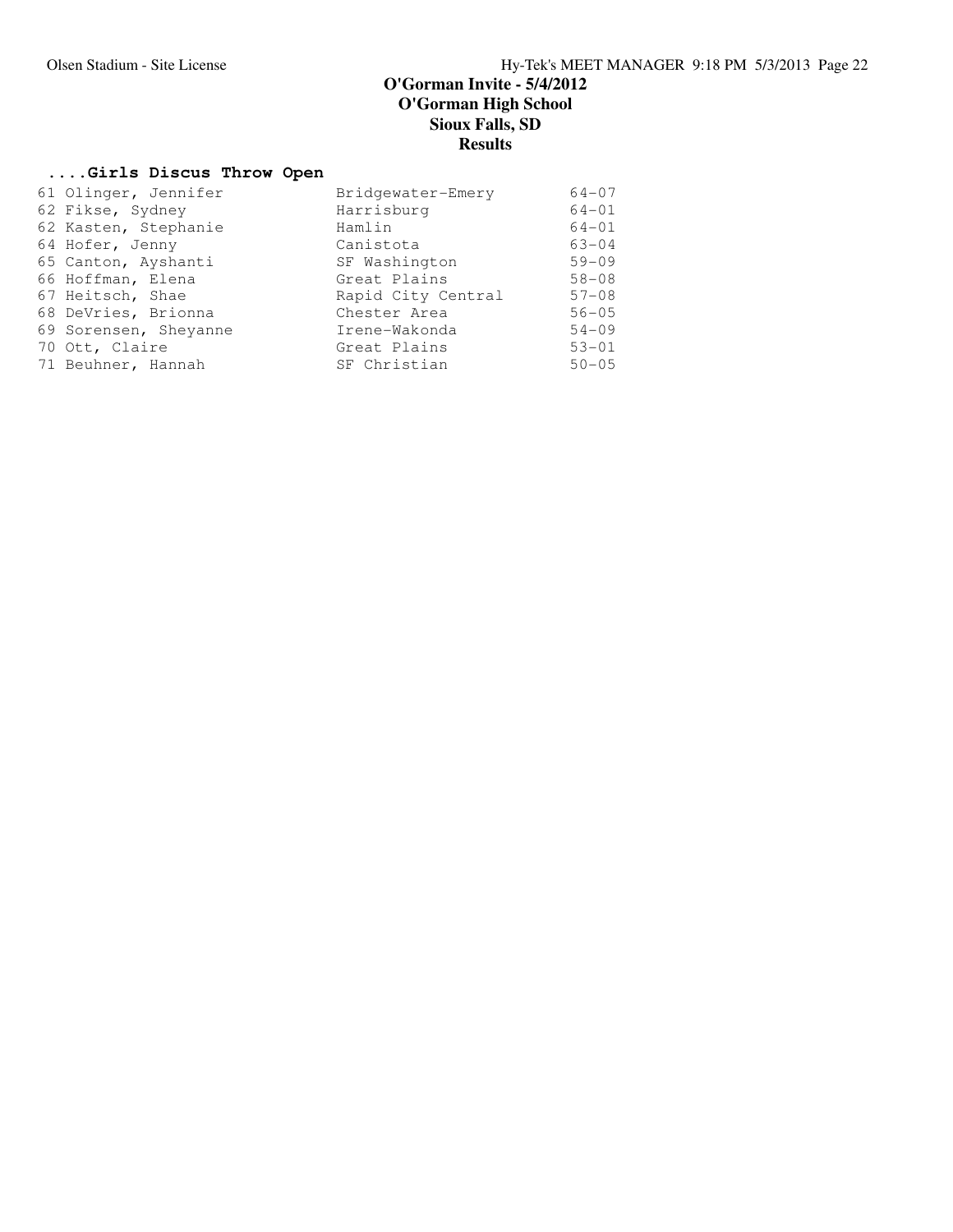# **....Girls Discus Throw Open**

| 61 Olinger, Jennifer  | Bridgewater-Emery  | $64 - 07$ |
|-----------------------|--------------------|-----------|
| 62 Fikse, Sydney      | Harrisburg         | $64 - 01$ |
| 62 Kasten, Stephanie  | Hamlin             | $64 - 01$ |
| 64 Hofer, Jenny       | Canistota          | $63 - 04$ |
| 65 Canton, Ayshanti   | SF Washington      | $59 - 09$ |
| 66 Hoffman, Elena     | Great Plains       | $58 - 08$ |
| 67 Heitsch, Shae      | Rapid City Central | $57 - 08$ |
| 68 DeVries, Brionna   | Chester Area       | $56 - 05$ |
| 69 Sorensen, Sheyanne | Irene-Wakonda      | $54 - 09$ |
| 70 Ott, Claire        | Great Plains       | $53 - 01$ |
| 71 Beuhner, Hannah    | SF Christian       | $50 - 05$ |
|                       |                    |           |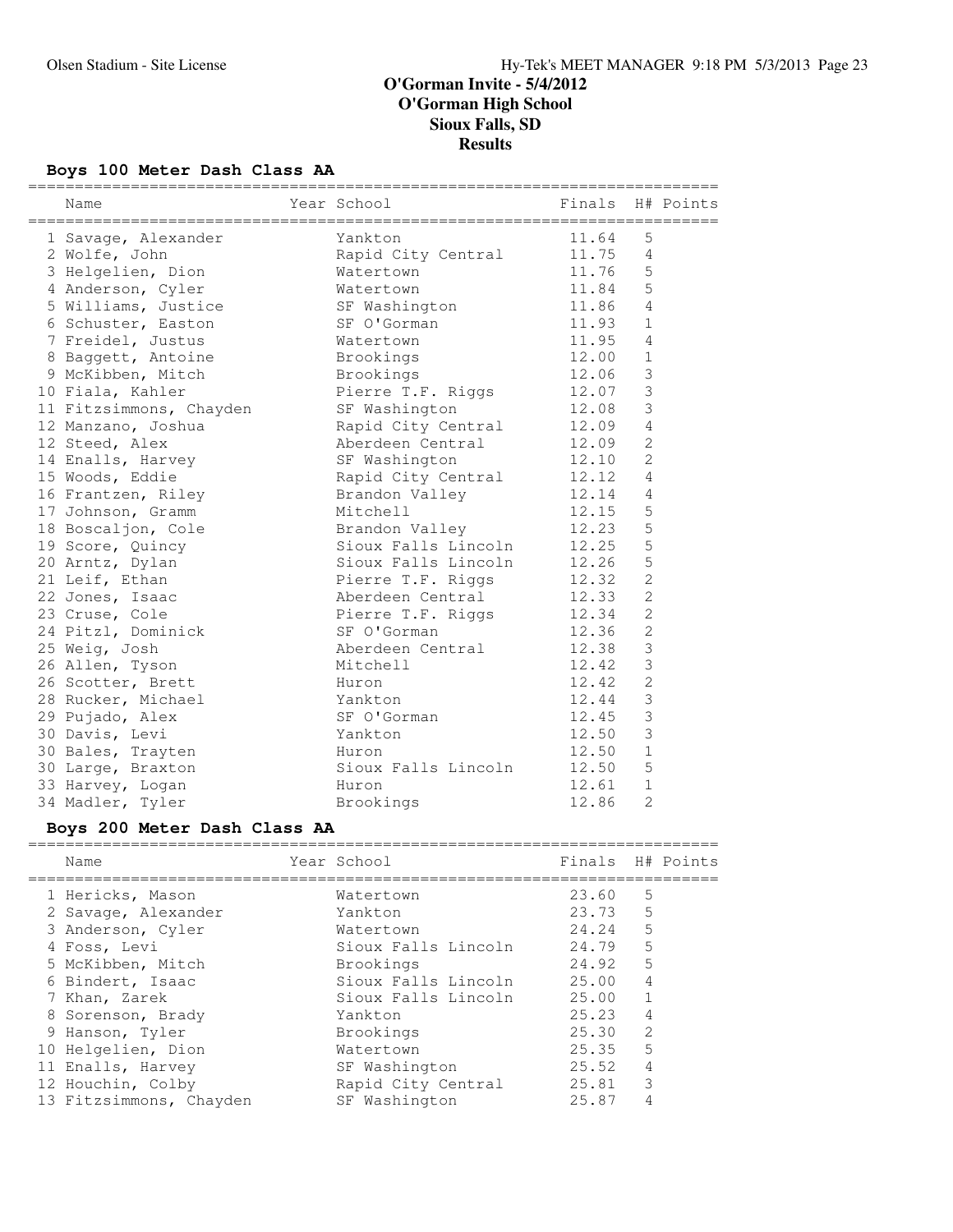# **Boys 100 Meter Dash Class AA**

| Name                    | Year School <a> School <a> Finals<br/> H# Points</a></a> |       |                |  |
|-------------------------|----------------------------------------------------------|-------|----------------|--|
| 1 Savage, Alexander     | Yankton                                                  | 11.64 | 5              |  |
| 2 Wolfe, John           | Rapid City Central                                       | 11.75 | 4              |  |
| 3 Helgelien, Dion       | Watertown                                                | 11.76 | 5              |  |
| 4 Anderson, Cyler       | Watertown                                                | 11.84 | 5              |  |
| 5 Williams, Justice     | SF Washington                                            | 11.86 | $\overline{4}$ |  |
| 6 Schuster, Easton      | SF O'Gorman                                              | 11.93 | $\mathbf{1}$   |  |
| 7 Freidel, Justus       | Watertown                                                | 11.95 | $\overline{4}$ |  |
| 8 Baggett, Antoine      | Brookings                                                | 12.00 | $\mathbf{1}$   |  |
| 9 McKibben, Mitch       | Brookings                                                | 12.06 | 3              |  |
| 10 Fiala, Kahler        | Pierre T.F. Riggs 12.07                                  |       | $\mathfrak{Z}$ |  |
| 11 Fitzsimmons, Chayden | SF Washington                                            | 12.08 | $\mathfrak{Z}$ |  |
| 12 Manzano, Joshua      | Rapid City Central 12.09                                 |       | $\overline{4}$ |  |
| 12 Steed, Alex          | Aberdeen Central 12.09                                   |       | $\overline{2}$ |  |
| 14 Enalls, Harvey       | SF Washington                                            | 12.10 | 2              |  |
| 15 Woods, Eddie         | Rapid City Central 12.12                                 |       | 4              |  |
| 16 Frantzen, Riley      | Brandon Valley 12.14                                     |       | $\overline{4}$ |  |
| 17 Johnson, Gramm       | Mitchell                                                 | 12.15 | 5              |  |
| 18 Boscaljon, Cole      | Brandon Valley 12.23                                     |       | 5              |  |
| 19 Score, Quincy        | Sioux Falls Lincoln 12.25                                |       | 5              |  |
| 20 Arntz, Dylan         | Sioux Falls Lincoln 12.26                                |       | 5              |  |
| 21 Leif, Ethan          | Pierre T.F. Riggs 12.32                                  |       | $\overline{2}$ |  |
| 22 Jones, Isaac         | Aberdeen Central 12.33                                   |       | $\overline{2}$ |  |
| 23 Cruse, Cole          | Pierre T.F. Riggs 12.34                                  |       | $\overline{2}$ |  |
| 24 Pitzl, Dominick      | SF O'Gorman                                              | 12.36 | $\overline{2}$ |  |
| 25 Weig, Josh           | Aberdeen Central                                         | 12.38 | 3              |  |
| 26 Allen, Tyson         | Mitchell                                                 | 12.42 | 3              |  |
| 26 Scotter, Brett       | Huron                                                    | 12.42 | $\overline{2}$ |  |
| 28 Rucker, Michael      | Yankton                                                  | 12.44 | $\mathfrak{Z}$ |  |
| 29 Pujado, Alex         | SF O'Gorman                                              | 12.45 | $\mathcal{S}$  |  |
| 30 Davis, Levi          | Yankton                                                  | 12.50 | 3              |  |
| 30 Bales, Trayten       | Huron                                                    | 12.50 | $\mathbf{1}$   |  |
| 30 Large, Braxton       | Sioux Falls Lincoln                                      | 12.50 | 5              |  |
| 33 Harvey, Logan        | Huron                                                    | 12.61 | $1\,$          |  |
| 34 Madler, Tyler        | Brookings                                                | 12.86 | $\overline{2}$ |  |

# **Boys 200 Meter Dash Class AA**

| Name                    | Year School         | Finals H# Points |                |  |
|-------------------------|---------------------|------------------|----------------|--|
| 1 Hericks, Mason        | Watertown           | 23.60            | .5             |  |
| 2 Savage, Alexander     | Yankton             | 23.73            | 5              |  |
| 3 Anderson, Cyler       | Watertown           | 24.24            | 5              |  |
| 4 Foss, Levi            | Sioux Falls Lincoln | 24.79            | 5              |  |
| 5 McKibben, Mitch       | Brookings           | 24.92            | .5             |  |
| 6 Bindert, Isaac        | Sioux Falls Lincoln | 25.00            | $\overline{4}$ |  |
| 7 Khan, Zarek           | Sioux Falls Lincoln | 25.00            |                |  |
| 8 Sorenson, Brady       | Yankton             | 25.23            | $\overline{4}$ |  |
| 9 Hanson, Tyler         | Brookings           | 25.30            | $\mathfrak{D}$ |  |
| 10 Helgelien, Dion      | Watertown           | 25.35            | 5              |  |
| 11 Enalls, Harvey       | SF Washington       | 25.52            | 4              |  |
| 12 Houchin, Colby       | Rapid City Central  | 25.81            | 3              |  |
| 13 Fitzsimmons, Chayden | SF Washington       | 25.87            |                |  |
|                         |                     |                  |                |  |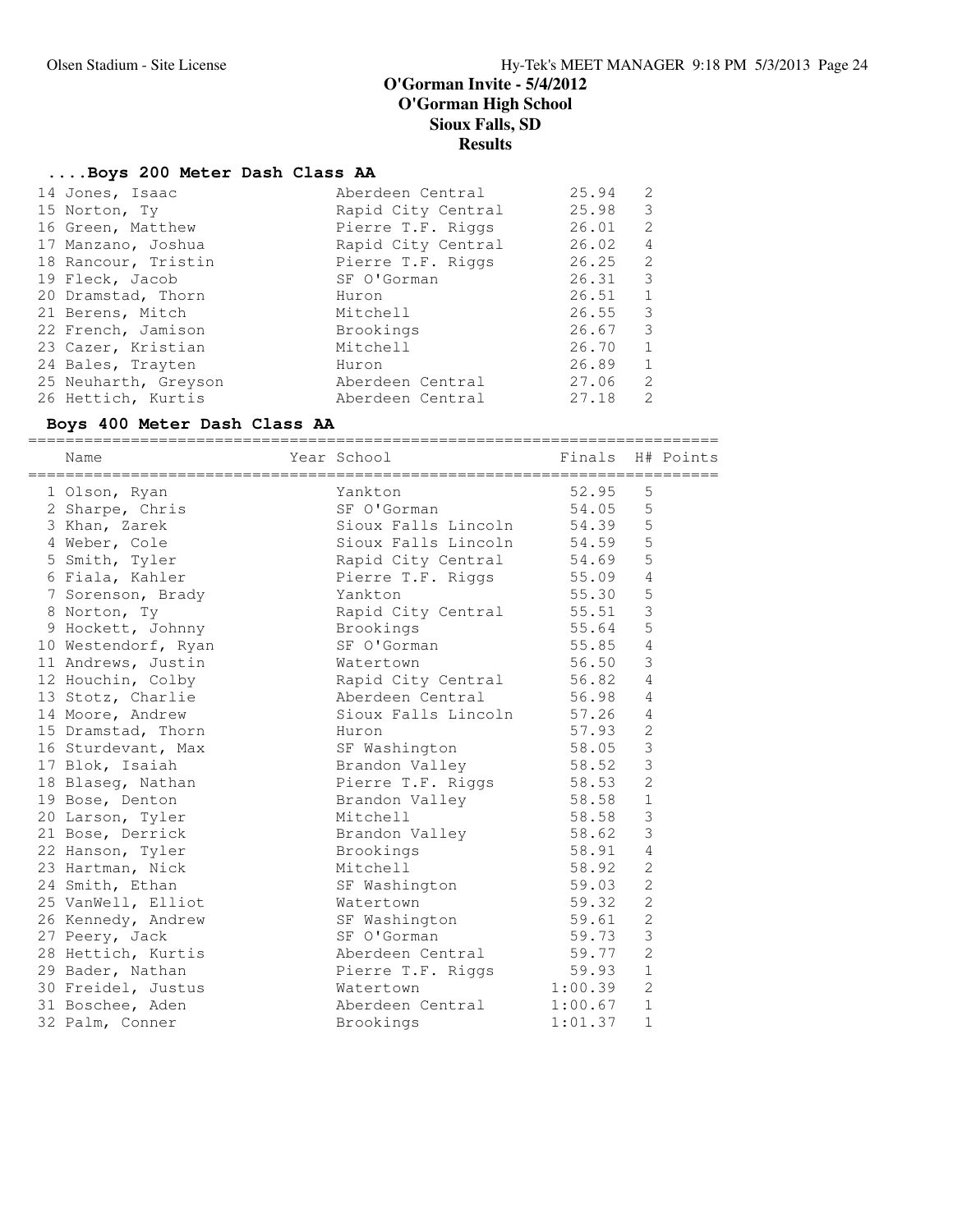### **....Boys 200 Meter Dash Class AA**

| 14 Jones, Isaac      | Aberdeen Central   | 25.94 | 2              |
|----------------------|--------------------|-------|----------------|
| 15 Norton, Ty        | Rapid City Central | 25.98 | 3              |
| 16 Green, Matthew    | Pierre T.F. Riggs  | 26.01 | 2              |
| 17 Manzano, Joshua   | Rapid City Central | 26.02 | $\overline{4}$ |
| 18 Rancour, Tristin  | Pierre T.F. Riggs  | 26.25 | $\mathcal{L}$  |
| 19 Fleck, Jacob      | SF O'Gorman        | 26.31 | - 3            |
| 20 Dramstad, Thorn   | Huron              | 26.51 | -1             |
| 21 Berens, Mitch     | Mitchell           | 26.55 | 3              |
| 22 French, Jamison   | Brookings          | 26.67 | 3              |
| 23 Cazer, Kristian   | Mitchell           | 26.70 | $\overline{1}$ |
| 24 Bales, Trayten    | Huron              | 26.89 | $\overline{1}$ |
| 25 Neuharth, Greyson | Aberdeen Central   | 27.06 | $\mathcal{L}$  |
| 26 Hettich, Kurtis   | Aberdeen Central   | 27.18 | $\mathcal{L}$  |
|                      |                    |       |                |

### **Boys 400 Meter Dash Class AA**

========================================================================== Name The Year School The Finals H# Points ========================================================================== 1 Olson, Ryan Yankton 52.95 5 2 Sharpe, Chris SF O'Gorman 54.05 5 3 Khan, Zarek Sioux Falls Lincoln 54.39 5 4 Weber, Cole Sioux Falls Lincoln 54.59 5 5 Smith, Tyler Rapid City Central 54.69 5 6 Fiala, Kahler Pierre T.F. Riggs 55.09 4 7 Sorenson, Brady Yankton 55.30 5 8 Norton, Ty **Rapid City Central** 55.51 3 9 Hockett, Johnny Brookings 55.64 5 10 Westendorf, Ryan SF O'Gorman 55.85 4 11 Andrews, Justin Watertown 56.50 3 12 Houchin, Colby Rapid City Central 56.82 4 13 Stotz, Charlie **13 Aberdeen Central** 56.98 4 14 Moore, Andrew Sioux Falls Lincoln 57.26 4 15 Dramstad, Thorn Huron 57.93 2 16 Sturdevant, Max SF Washington 58.05 3 17 Blok, Isaiah Brandon Valley 58.52 3 18 Blaseg, Nathan The Pierre T.F. Riggs 58.53 2 19 Bose, Denton Brandon Valley 58.58 1 20 Larson, Tyler Mitchell 58.58 3 21 Bose, Derrick and Brandon Valley 58.62 3 22 Hanson, Tyler **Brookings** 58.91 4 23 Hartman, Nick Mitchell 58.92 2 24 Smith, Ethan SF Washington 59.03 2 25 VanWell, Elliot Watertown 59.32 2 26 Kennedy, Andrew SF Washington 59.61 2 27 Peery, Jack SF O'Gorman 59.73 3 28 Hettich, Kurtis Aberdeen Central 59.77 2 29 Bader, Nathan **Pierre T.F. Riggs** 59.93 1 30 Freidel, Justus Watertown 1:00.39 2 31 Boschee, Aden Aberdeen Central 1:00.67 1 32 Palm, Conner Brookings 1:01.37 1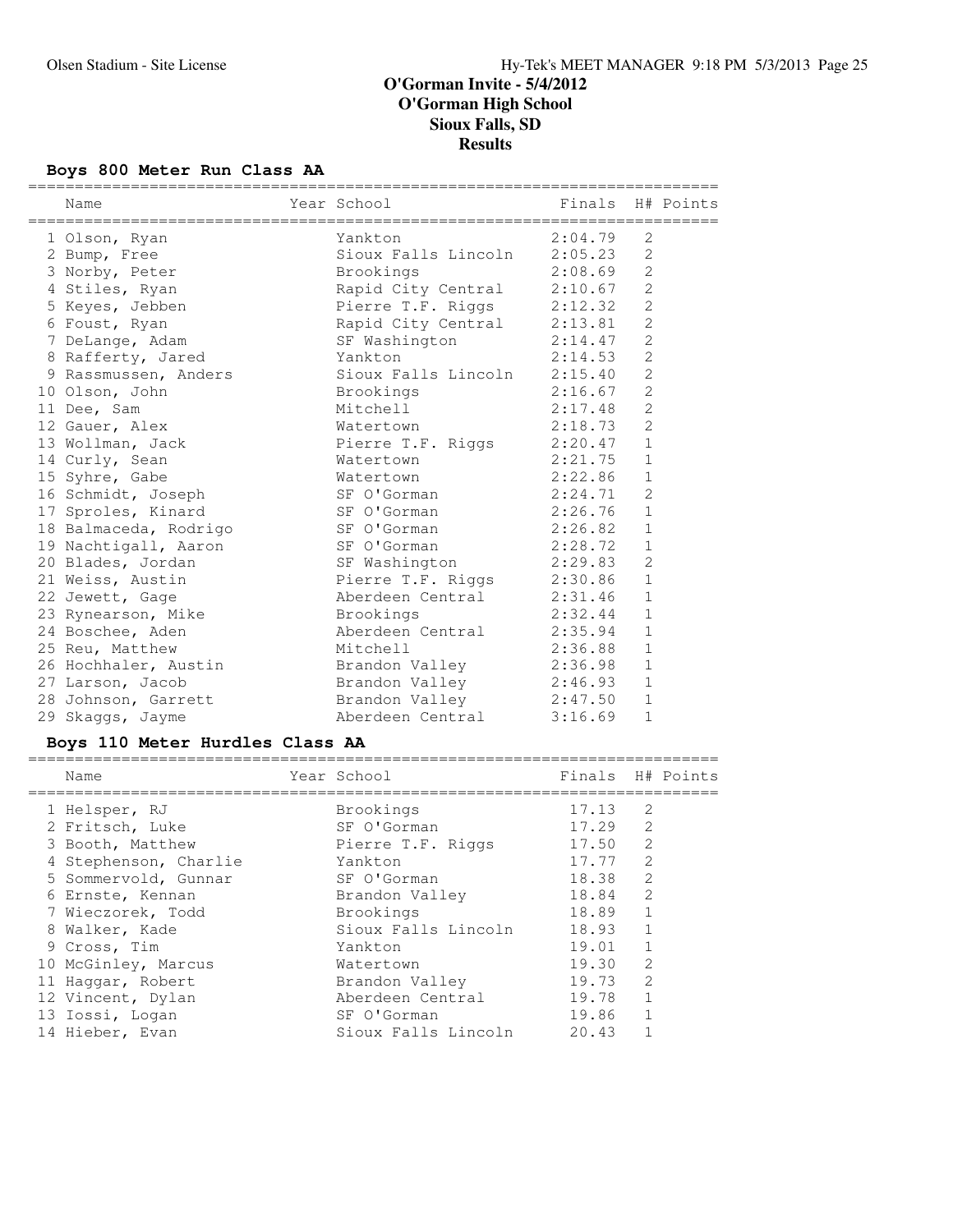# **Boys 800 Meter Run Class AA**

| Name                  | Year School                 | Finals H# Points |                |  |
|-----------------------|-----------------------------|------------------|----------------|--|
| 1 Olson, Ryan         | Yankton                     | 2:04.79          | $\mathcal{L}$  |  |
| 2 Bump, Free          | Sioux Falls Lincoln 2:05.23 |                  | 2              |  |
| 3 Norby, Peter        | Brookings                   | 2:08.69          | 2              |  |
| 4 Stiles, Ryan        | Rapid City Central 2:10.67  |                  | $\overline{2}$ |  |
| 5 Keyes, Jebben       | Pierre T.F. Riggs 2:12.32   |                  | $\overline{c}$ |  |
| 6 Foust, Ryan         | Rapid City Central 2:13.81  |                  | 2              |  |
| 7 DeLange, Adam       | SF Washington 2:14.47       |                  | $\overline{2}$ |  |
| 8 Rafferty, Jared     | Yankton                     | 2:14.53          | $\overline{2}$ |  |
| 9 Rassmussen, Anders  | Sioux Falls Lincoln 2:15.40 |                  | $\overline{2}$ |  |
| 10 Olson, John        | Brookings                   | 2:16.67          | $\overline{2}$ |  |
| 11 Dee, Sam           | Mitchell                    | 2:17.48          | $\overline{2}$ |  |
| 12 Gauer, Alex        | Watertown                   | 2:18.73          | $\overline{c}$ |  |
| 13 Wollman, Jack      | Pierre T.F. Riggs 2:20.47   |                  | $\mathbf{1}$   |  |
| 14 Curly, Sean        | Watertown                   | 2:21.75          | $\mathbf{1}$   |  |
| 15 Syhre, Gabe        | Watertown                   | 2:22.86          | $\mathbf{1}$   |  |
| 16 Schmidt, Joseph    | SF O'Gorman                 | 2:24.71          | $\overline{2}$ |  |
| 17 Sproles, Kinard    | SF O'Gorman                 | 2:26.76          | $\mathbf{1}$   |  |
| 18 Balmaceda, Rodrigo | SF O'Gorman                 | 2:26.82          | $1\,$          |  |
| 19 Nachtigall, Aaron  | SF O'Gorman                 | 2:28.72          | $\mathbf 1$    |  |
| 20 Blades, Jordan     | SF Washington               | 2:29.83          | $\overline{2}$ |  |
| 21 Weiss, Austin      | Pierre T.F. Riggs 2:30.86   |                  | $\mathbf{1}$   |  |
| 22 Jewett, Gage       | Aberdeen Central 2:31.46    |                  | $\mathbf{1}$   |  |
| 23 Rynearson, Mike    | Brookings                   | 2:32.44          | $\mathbf{1}$   |  |
| 24 Boschee, Aden      | Aberdeen Central 2:35.94    |                  | $\mathbf{1}$   |  |
| 25 Reu, Matthew       | Mitchell                    | 2:36.88          | $\mathbf{1}$   |  |
| 26 Hochhaler, Austin  | Brandon Valley              | 2:36.98          | $\mathbf{1}$   |  |
| 27 Larson, Jacob      | Brandon Valley              | 2:46.93          | $\mathbf{1}$   |  |
| 28 Johnson, Garrett   | Brandon Valley 2:47.50      |                  | $\mathbf 1$    |  |
| 29 Skaggs, Jayme      | Aberdeen Central            | 3:16.69          | $\mathbf{1}$   |  |

# **Boys 110 Meter Hurdles Class AA**

| Name                  | Year School         | Finals H# Points |                |  |
|-----------------------|---------------------|------------------|----------------|--|
| 1 Helsper, RJ         | Brookings           | 17.13            | 2              |  |
| 2 Fritsch, Luke       | SF O'Gorman         | 17.29            | 2              |  |
| 3 Booth, Matthew      | Pierre T.F. Riggs   | 17.50            | 2              |  |
| 4 Stephenson, Charlie | Yankton             | 17.77            | $\mathfrak{Z}$ |  |
| 5 Sommervold, Gunnar  | SF O'Gorman         | 18.38            | $\mathfrak{L}$ |  |
| 6 Ernste, Kennan      | Brandon Valley      | 18.84            | $\mathcal{L}$  |  |
| 7 Wieczorek, Todd     | Brookings           | 18.89            | $\mathbf{1}$   |  |
| 8 Walker, Kade        | Sioux Falls Lincoln | 18.93            | $\mathbf{1}$   |  |
| 9 Cross, Tim          | Yankton             | 19.01            | $\mathbf{1}$   |  |
| 10 McGinley, Marcus   | Watertown           | 19.30            | $\mathcal{L}$  |  |
| 11 Haggar, Robert     | Brandon Valley      | 19.73            | $\mathfrak{D}$ |  |
| 12 Vincent, Dylan     | Aberdeen Central    | 19.78            | $\mathbf{1}$   |  |
| 13 Iossi, Logan       | SF O'Gorman         | 19.86            | $\mathbf{1}$   |  |
| 14 Hieber, Evan       | Sioux Falls Lincoln | 20.43            |                |  |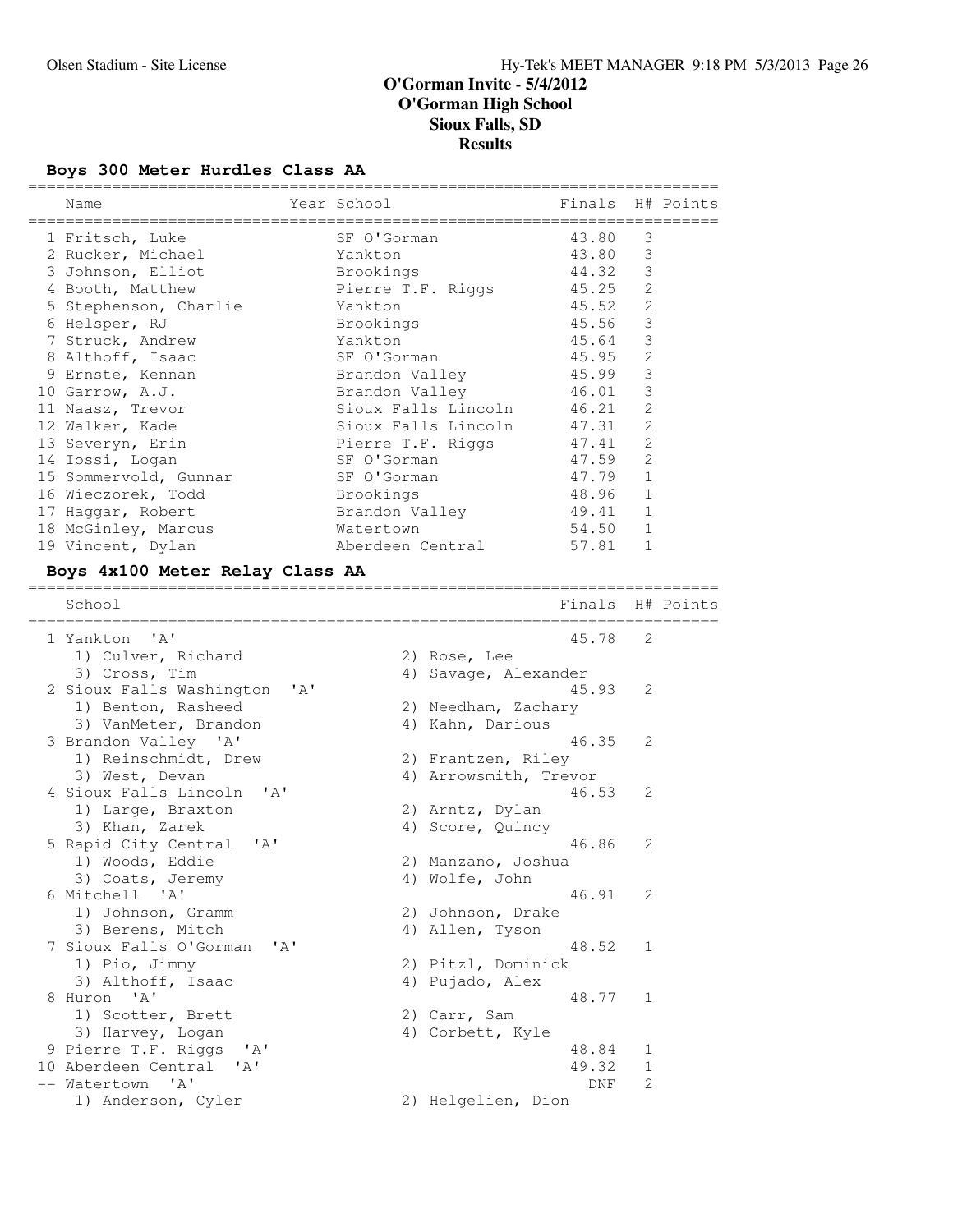# **Boys 300 Meter Hurdles Class AA**

| Name                                      |      | Year School       |                       | Finals |                | H# Points |
|-------------------------------------------|------|-------------------|-----------------------|--------|----------------|-----------|
| 1 Fritsch, Luke                           |      | SF O'Gorman       |                       | 43.80  | 3              |           |
| 2 Rucker, Michael                         |      | Yankton           |                       | 43.80  | 3              |           |
| 3 Johnson, Elliot                         |      | Brookings         |                       | 44.32  | 3              |           |
| 4 Booth, Matthew                          |      | Pierre T.F. Riggs |                       | 45.25  | $\mathbf{2}$   |           |
| 5 Stephenson, Charlie                     |      | Yankton           |                       | 45.52  | 2              |           |
| 6 Helsper, RJ                             |      | Brookings         |                       | 45.56  | 3              |           |
| 7 Struck, Andrew                          |      | Yankton           |                       | 45.64  | 3              |           |
| 8 Althoff, Isaac                          |      | SF O'Gorman       |                       | 45.95  | $\mathbf{2}$   |           |
| 9 Ernste, Kennan                          |      | Brandon Valley    |                       | 45.99  | $\mathsf 3$    |           |
| 10 Garrow, A.J.                           |      | Brandon Valley    |                       | 46.01  | 3              |           |
| 11 Naasz, Trevor                          |      |                   | Sioux Falls Lincoln   | 46.21  | 2              |           |
| 12 Walker, Kade                           |      |                   | Sioux Falls Lincoln   | 47.31  | 2              |           |
| 13 Severyn, Erin                          |      | Pierre T.F. Riggs |                       | 47.41  | $\overline{2}$ |           |
| 14 Iossi, Logan                           |      | SF O'Gorman       |                       | 47.59  | 2              |           |
| 15 Sommervold, Gunnar                     |      | SF O'Gorman       |                       | 47.79  | $\mathbf{1}$   |           |
| 16 Wieczorek, Todd                        |      | Brookings         |                       | 48.96  | 1              |           |
| 17 Haggar, Robert                         |      | Brandon Valley    |                       | 49.41  | 1              |           |
| 18 McGinley, Marcus                       |      | Watertown         |                       | 54.50  | $\mathbf{1}$   |           |
| 19 Vincent, Dylan                         |      |                   | Aberdeen Central      | 57.81  | 1              |           |
| Boys 4x100 Meter Relay Class AA           |      |                   |                       |        |                |           |
| School<br>============================    |      |                   |                       | Finals |                | H# Points |
| 1 Yankton 'A'                             |      |                   |                       | 45.78  | 2              |           |
| 1) Culver, Richard                        |      |                   | 2) Rose, Lee          |        |                |           |
| 3) Cross, Tim                             |      |                   | 4) Savage, Alexander  |        |                |           |
| 2 Sioux Falls Washington                  | ' A' |                   |                       | 45.93  | 2              |           |
| 1) Benton, Rasheed                        |      |                   | 2) Needham, Zachary   |        |                |           |
| 3) VanMeter, Brandon                      |      |                   | 4) Kahn, Darious      |        |                |           |
| 3 Brandon Valley 'A'                      |      |                   |                       | 46.35  | 2              |           |
| 1) Reinschmidt, Drew                      |      |                   | 2) Frantzen, Riley    |        |                |           |
| 3) West, Devan                            |      |                   | 4) Arrowsmith, Trevor |        |                |           |
| 4 Sioux Falls Lincoln<br>' A'             |      |                   |                       | 46.53  | 2              |           |
| 1) Large, Braxton                         |      |                   | 2) Arntz, Dylan       |        |                |           |
| 3) Khan, Zarek                            |      |                   | 4) Score, Quincy      |        |                |           |
| 5 Rapid City Central<br>' A'              |      |                   |                       | 46.86  | 2              |           |
| 1) Woods, Eddie                           |      |                   | 2) Manzano, Joshua    |        |                |           |
| 3) Coats, Jeremy                          |      |                   | 4) Wolfe, John        |        |                |           |
| 6 Mitchell 'A'                            |      |                   |                       | 46.91  | 2              |           |
| 1) Johnson, Gramm                         |      |                   | 2) Johnson, Drake     |        |                |           |
| 3) Berens, Mitch                          |      |                   | 4) Allen, Tyson       |        |                |           |
| 7 Sioux Falls O'Gorman<br>' A'            |      |                   |                       | 48.52  | 1              |           |
| 1) Pio, Jimmy                             |      |                   | 2) Pitzl, Dominick    |        |                |           |
| 3) Althoff, Isaac                         |      |                   | 4) Pujado, Alex       |        |                |           |
| 8 Huron 'A'                               |      |                   |                       | 48.77  | 1              |           |
| 1) Scotter, Brett                         |      |                   | 2) Carr, Sam          |        |                |           |
| 3) Harvey, Logan                          |      |                   | 4) Corbett, Kyle      |        |                |           |
| 9 Pierre T.F. Riggs<br>' A'               |      |                   |                       | 48.84  | 1              |           |
| 10 Aberdeen Central<br>'A'                |      |                   |                       | 49.32  | 1              |           |
| $^{\prime}$ A $^{\prime}$<br>-- Watertown |      |                   |                       | DNF    | 2              |           |
| 1) Anderson, Cyler                        |      |                   | 2) Helgelien, Dion    |        |                |           |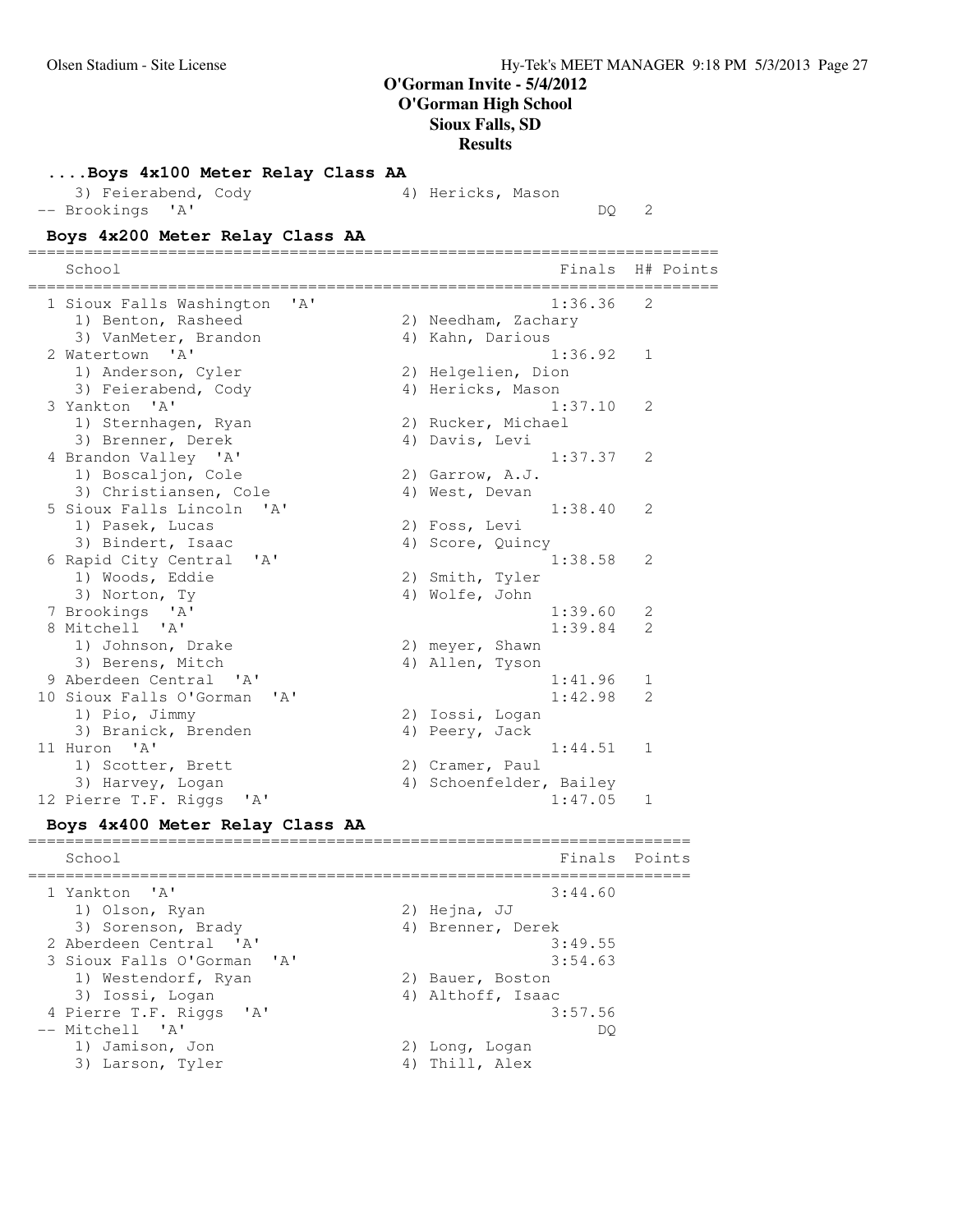### **....Boys 4x100 Meter Relay Class AA**

|                  | 3) Feierabend, Cody | 4) Hericks, Mason |  |
|------------------|---------------------|-------------------|--|
| -- Brookings 'A' |                     |                   |  |

DQ 2

### **Boys 4x200 Meter Relay Class AA**

========================================================================== School **Finals** H# Points ========================================================================== 1 Sioux Falls Washington 'A' 1:36.36 2 1) Benton, Rasheed 2) Needham, Zachary 3) VanMeter, Brandon (4) Kahn, Darious 2 Watertown 'A' 1:36.92 1 1) Anderson, Cyler 2) Helgelien, Dion 3) Feierabend, Cody (4) Hericks, Mason 3 Yankton 'A' 1:37.10 2 1) Sternhagen, Ryan 2) Rucker, Michael 3) Brenner, Derek (4) Davis, Levi 4 Brandon Valley 'A' 1:37.37 2 1) Boscaljon, Cole 2) Garrow, A.J. 3) Christiansen, Cole (4) West, Devan 5 Sioux Falls Lincoln 'A' 1:38.40 2 سعدس, Lucas<br>3) Bindert, Isaac<br>2) Pasand City 3) Bindert, Isaac (4) Score, Quincy 3) Bindert, Isaac<br>6 Rapid City Central 'A' 1:38.58 2<br>1:38.58 2 2) Smith, Tyler 1) Woods, Eddie 2) Smith, Tyler 3) Norton, Ty (4) Wolfe, John 7 Brookings 'A' 1:39.60 2 8 Mitchell 'A' 1:39.84 2<br>1) Johnson, Drake 2) meyer, Shawn<br>2) Meyer, Shawn 1) Johnson, Drake 2) meyer, Shawn 3) Berens, Mitch (4) Allen, Tyson 9 Aberdeen Central 'A' 1:41.96 1<br>0 Sioux Falls O'Gorman 'A' 1:42.98 2 10 Sioux Falls O'Gorman 'A' 1) Pio, Jimmy 2) Iossi, Logan 3) Branick, Brenden (4) Peery, Jack 11 Huron 'A' 1:44.51 1 1) Scotter, Brett 2) Cramer, Paul 3) Harvey, Logan 1988 (4) Schoenfelder, Bailey 12 Pierre T.F. Riggs 'A' 1:47.05 1

### **Boys 4x400 Meter Relay Class AA**

======================================================================= School Finals Points ======================================================================= 1 Yankton 'A' 3:44.60 1) Olson, Ryan 2) Hejna, JJ 2) Hejna, JJ<br>4) Brenner, Derek 2 Aberdeen Central 'A' 3:49.55 3 Sioux Falls O'Gorman 'A' 3:54.63 1) Westendorf, Ryan 2) Bauer, Boston 3) Iossi, Logan (4) Althoff, Isaac 4 Pierre T.F. Riggs 'A' 3:57.56<br>-- Mitchell 'A' DO -- Mitchell 'A' DQ 1) Jamison, Jon 20 2) Long, Logan 3) Larson, Tyler 4) Thill, Alex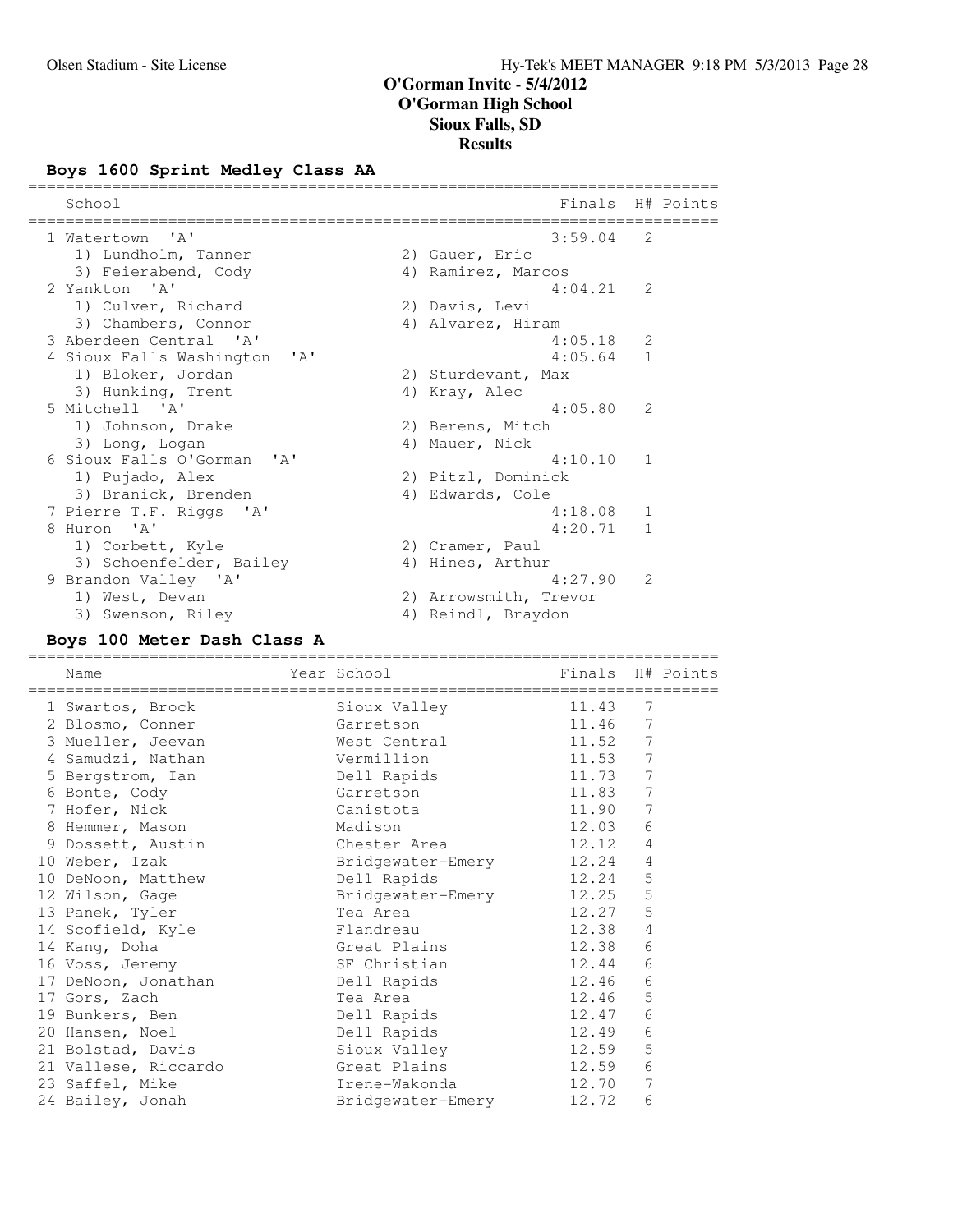### **Boys 1600 Sprint Medley Class AA**

| School                                                     | Finals                |               | H# Points |
|------------------------------------------------------------|-----------------------|---------------|-----------|
| 1 Watertown 'A'                                            | $3:59.04$ 2           |               |           |
| 1) Lundholm, Tanner                                        | 2) Gauer, Eric        |               |           |
| 3) Feierabend, Cody                                        | 4) Ramirez, Marcos    |               |           |
| 2 Yankton 'A'                                              | $4:04.21$ 2           |               |           |
| 1) Culver, Richard                                         | 2) Davis, Levi        |               |           |
| 3) Chambers, Connor                                        | 4) Alvarez, Hiram     |               |           |
| 3 Aberdeen Central 'A'                                     | $4:05.18$ 2           |               |           |
| 4 Sioux Falls Washington<br>$\mathsf{I} \wedge \mathsf{I}$ | 4:05.64               | $\mathbf{1}$  |           |
| 1) Bloker, Jordan                                          | 2) Sturdevant, Max    |               |           |
| 3) Hunking, Trent                                          | 4) Kray, Alec         |               |           |
| 5 Mitchell 'A'                                             | 4:05.80               | $\mathcal{L}$ |           |
| 1) Johnson, Drake                                          | 2) Berens, Mitch      |               |           |
| 3) Long, Logan                                             | 4) Mauer, Nick        |               |           |
| 6 Sioux Falls O'Gorman<br>$\mathsf{I} \wedge \mathsf{I}$   | 4:10.10               | -1            |           |
| 1) Pujado, Alex                                            | 2) Pitzl, Dominick    |               |           |
| 3) Branick, Brenden                                        | 4) Edwards, Cole      |               |           |
| 7 Pierre T.F. Riggs 'A'                                    | 4:18.08               | 1             |           |
| 8 Huron 'A'                                                | $4:20.71$ 1           |               |           |
| 1) Corbett, Kyle                                           | 2) Cramer, Paul       |               |           |
| 3) Schoenfelder, Bailey                                    | 4) Hines, Arthur      |               |           |
| 9 Brandon Valley 'A'                                       | 4:27.90               | 2             |           |
| 1) West, Devan                                             | 2) Arrowsmith, Trevor |               |           |
| 3) Swenson, Riley                                          | 4) Reindl, Braydon    |               |           |
|                                                            |                       |               |           |

### **Boys 100 Meter Dash Class A**

========================================================================== Name The Year School The Finals H# Points ========================================================================== 1 Swartos, Brock Sioux Valley 11.43 7 2 Blosmo, Conner Garretson 11.46 7 3 Mueller, Jeevan Mest Central 11.52 7 4 Samudzi, Nathan Vermillion 11.53 7 5 Bergstrom, Ian 11.73 Dell Rapids 11.73 7 6 Bonte, Cody Garretson 11.83 7 7 Hofer, Nick Canistota 11.90 7 8 Hemmer, Mason Madison 12.03 6 9 Dossett, Austin Chester Area 12.12 4 10 Weber, Izak Bridgewater-Emery 12.24 4 10 DeNoon, Matthew Dell Rapids 12.24 5 12 Wilson, Gage Bridgewater-Emery 12.25 5 13 Panek, Tyler Tea Area 12.27 5 14 Scofield, Kyle Flandreau 12.38 4 14 Kang, Doha Great Plains 12.38 6 16 Voss, Jeremy SF Christian 12.44 6 17 DeNoon, Jonathan Dell Rapids 12.46 6 17 Gors, Zach and Tea Area 12.46 5 19 Bunkers, Ben Dell Rapids 12.47 6 20 Hansen, Noel Dell Rapids 12.49 6 21 Bolstad, Davis Sioux Valley 12.59 5 21 Vallese, Riccardo Great Plains 12.59 6 23 Saffel, Mike Irene-Wakonda 12.70 7 24 Bailey, Jonah Bridgewater-Emery 12.72 6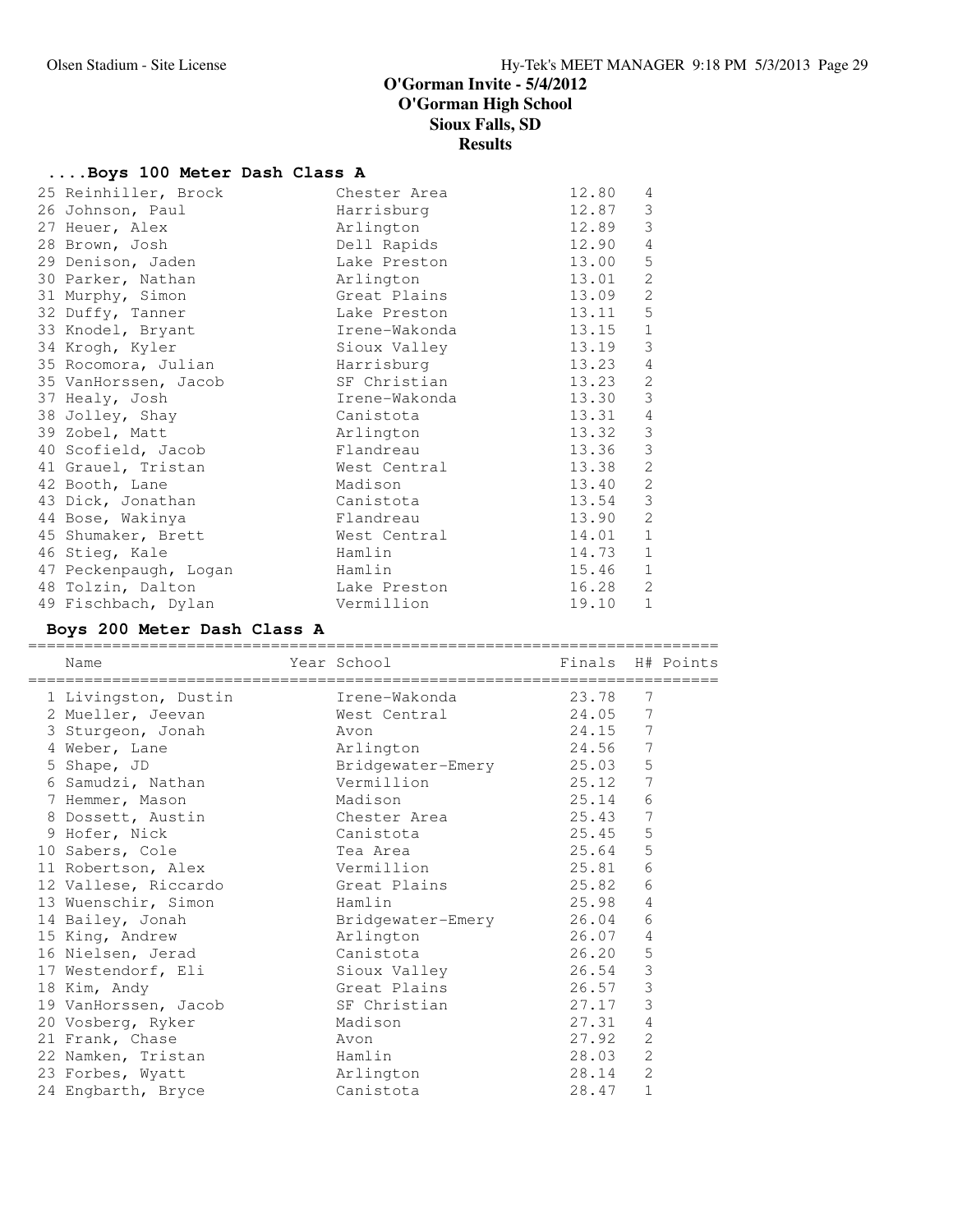### **....Boys 100 Meter Dash Class A**

| 25 Reinhiller, Brock  | Chester Area  | 12.80 | 4              |
|-----------------------|---------------|-------|----------------|
| 26 Johnson, Paul      | Harrisburg    | 12.87 | 3              |
| 27 Heuer, Alex        | Arlington     | 12.89 | 3              |
| 28 Brown, Josh        | Dell Rapids   | 12.90 | 4              |
| 29 Denison, Jaden     | Lake Preston  | 13.00 | 5              |
| 30 Parker, Nathan     | Arlington     | 13.01 | 2              |
| 31 Murphy, Simon      | Great Plains  | 13.09 | 2              |
| 32 Duffy, Tanner      | Lake Preston  | 13.11 | 5              |
| 33 Knodel, Bryant     | Irene-Wakonda | 13.15 | $\mathbf{1}$   |
| 34 Krogh, Kyler       | Sioux Valley  | 13.19 | 3              |
| 35 Rocomora, Julian   | Harrisburg    | 13.23 | 4              |
| 35 VanHorssen, Jacob  | SF Christian  | 13.23 | 2              |
| 37 Healy, Josh        | Irene-Wakonda | 13.30 | 3              |
| 38 Jolley, Shay       | Canistota     | 13.31 | 4              |
| 39 Zobel, Matt        | Arlington     | 13.32 | $\mathsf 3$    |
| 40 Scofield, Jacob    | Flandreau     | 13.36 | $\mathfrak{Z}$ |
| 41 Grauel, Tristan    | West Central  | 13.38 | 2              |
| 42 Booth, Lane        | Madison       | 13.40 | 2              |
| 43 Dick, Jonathan     | Canistota     | 13.54 | 3              |
| 44 Bose, Wakinya      | Flandreau     | 13.90 | 2              |
| 45 Shumaker, Brett    | West Central  | 14.01 | 1              |
| 46 Stieg, Kale        | Hamlin        | 14.73 | 1              |
| 47 Peckenpaugh, Logan | Hamlin        | 15.46 | 1              |
| 48 Tolzin, Dalton     | Lake Preston  | 16.28 | 2              |
| 49 Fischbach, Dylan   | Vermillion    | 19.10 | $\mathbf 1$    |

### **Boys 200 Meter Dash Class A**

========================================================================== Name The Year School The Finals H# Points ========================================================================== 1 Livingston, Dustin Irene-Wakonda 23.78 7 2 Mueller, Jeevan West Central 24.05 7 3 Sturgeon, Jonah Avon 24.15 7 4 Weber, Lane **Arlington** 24.56 7 5 Shape, JD Bridgewater-Emery 25.03 5 6 Samudzi, Nathan Vermillion 25.12 7 7 Hemmer, Mason Madison 25.14 6 8 Dossett, Austin Chester Area 25.43 7 9 Hofer, Nick Canistota 25.45 5 10 Sabers, Cole Tea Area 25.64 5 11 Robertson, Alex Vermillion 25.81 6 12 Vallese, Riccardo Great Plains 25.82 6 13 Wuenschir, Simon Hamlin 25.98 4 14 Bailey, Jonah Bridgewater-Emery 26.04 6 15 King, Andrew Arlington 26.07 4 16 Nielsen, Jerad Canistota 26.20 5 17 Westendorf, Eli Sioux Valley 26.54 3 18 Kim, Andy Great Plains 26.57 3 19 VanHorssen, Jacob SF Christian 27.17 3 20 Vosberg, Ryker Madison 27.31 4 21 Frank, Chase 27.92 2 22 Namken, Tristan Hamlin 28.03 2 23 Forbes, Wyatt Arlington 28.14 2 24 Engbarth, Bryce Canistota 28.47 1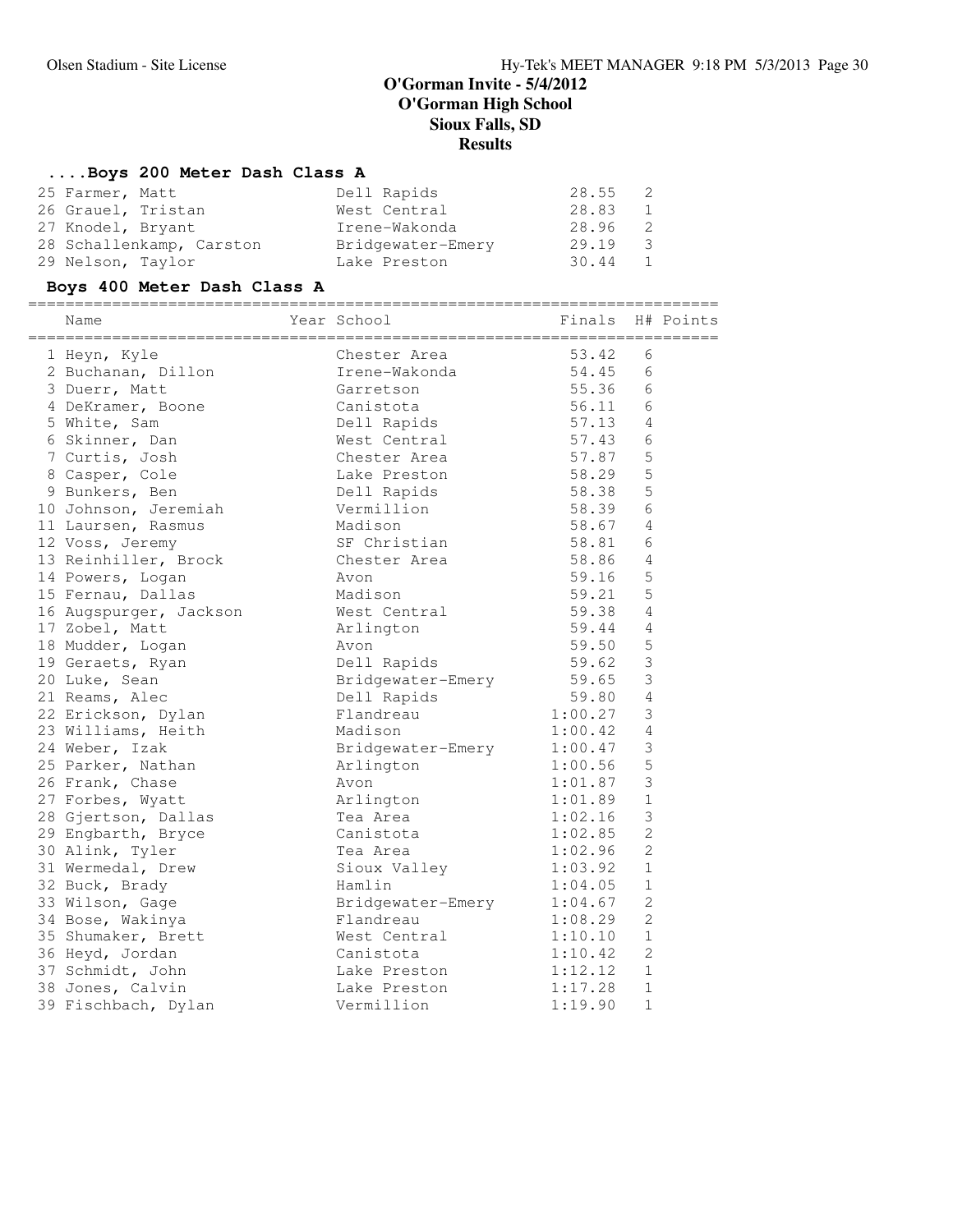# **....Boys 200 Meter Dash Class A**

| 25 Farmer, Matt          | Dell Rapids       | 28.55 2 |                |
|--------------------------|-------------------|---------|----------------|
| 26 Grauel, Tristan       | West Central      | 28.83   | 1              |
| 27 Knodel, Bryant        | Irene-Wakonda     | 28.96   | $\overline{2}$ |
| 28 Schallenkamp, Carston | Bridgewater-Emery | 29.19   | 3              |
| 29 Nelson, Taylor        | Lake Preston      | 30.44 1 |                |

# **Boys 400 Meter Dash Class A**

| Name                   | Year School       | Finals H# Points<br>_________________ | -------        |  |
|------------------------|-------------------|---------------------------------------|----------------|--|
| 1 Heyn, Kyle           | Chester Area      | 53.42                                 | 6              |  |
| 2 Buchanan, Dillon     | Irene-Wakonda     | 54.45                                 | 6              |  |
| 3 Duerr, Matt          | Garretson         | 55.36                                 | 6              |  |
| 4 DeKramer, Boone      | Canistota         | 56.11                                 | 6              |  |
| 5 White, Sam           | Dell Rapids       | 57.13                                 | 4              |  |
| 6 Skinner, Dan         | West Central      | 57.43                                 | 6              |  |
| 7 Curtis, Josh         | Chester Area      | 57.87                                 | 5              |  |
| 8 Casper, Cole         | Lake Preston      | 58.29                                 | 5              |  |
| 9 Bunkers, Ben         | Dell Rapids       | 58.38                                 | 5              |  |
| 10 Johnson, Jeremiah   | Vermillion        | 58.39                                 | 6              |  |
| 11 Laursen, Rasmus     | Madison           | 58.67                                 | $\overline{4}$ |  |
| 12 Voss, Jeremy        | SF Christian      | 58.81                                 | 6              |  |
| 13 Reinhiller, Brock   | Chester Area      | 58.86                                 | 4              |  |
| 14 Powers, Logan       | Avon              | 59.16                                 | 5              |  |
| 15 Fernau, Dallas      | Madison           | 59.21                                 | 5              |  |
| 16 Augspurger, Jackson | West Central      | 59.38                                 | 4              |  |
| 17 Zobel, Matt         | Arlington         | 59.44                                 | 4              |  |
| 18 Mudder, Logan       | Avon              | 59.50                                 | 5              |  |
| 19 Geraets, Ryan       | Dell Rapids       | 59.62                                 | 3              |  |
| 20 Luke, Sean          | Bridgewater-Emery | 59.65                                 | 3              |  |
| 21 Reams, Alec         | Dell Rapids       | 59.80                                 | $\overline{4}$ |  |
| 22 Erickson, Dylan     | Flandreau         | 1:00.27                               | 3              |  |
| 23 Williams, Heith     | Madison           | 1:00.42                               | 4              |  |
| 24 Weber, Izak         | Bridgewater-Emery | 1:00.47                               | 3              |  |
| 25 Parker, Nathan      | Arlington         | 1:00.56                               | 5              |  |
| 26 Frank, Chase        | Avon              | 1:01.87                               | 3              |  |
| 27 Forbes, Wyatt       | Arlington         | 1:01.89                               | $\mathbf 1$    |  |
| 28 Gjertson, Dallas    | Tea Area          | 1:02.16                               | 3              |  |
| 29 Engbarth, Bryce     | Canistota         | 1:02.85                               | $\overline{c}$ |  |
| 30 Alink, Tyler        | Tea Area          | 1:02.96                               | $\overline{c}$ |  |
| 31 Wermedal, Drew      | Sioux Valley      | 1:03.92                               | $\mathbf 1$    |  |
| 32 Buck, Brady         | Hamlin            | 1:04.05                               | $\mathbf 1$    |  |
| 33 Wilson, Gage        | Bridgewater-Emery | 1:04.67                               | $\mathbf{2}$   |  |
| 34 Bose, Wakinya       | Flandreau         | 1:08.29                               | $\overline{c}$ |  |
| 35 Shumaker, Brett     | West Central      | 1:10.10                               | $1\,$          |  |
| 36 Heyd, Jordan        | Canistota         | 1:10.42                               | $\overline{c}$ |  |
| 37 Schmidt, John       | Lake Preston      | 1:12.12                               | 1              |  |
| 38 Jones, Calvin       | Lake Preston      | 1:17.28                               | $\mathbf 1$    |  |
| 39 Fischbach, Dylan    | Vermillion        | 1:19.90                               | 1              |  |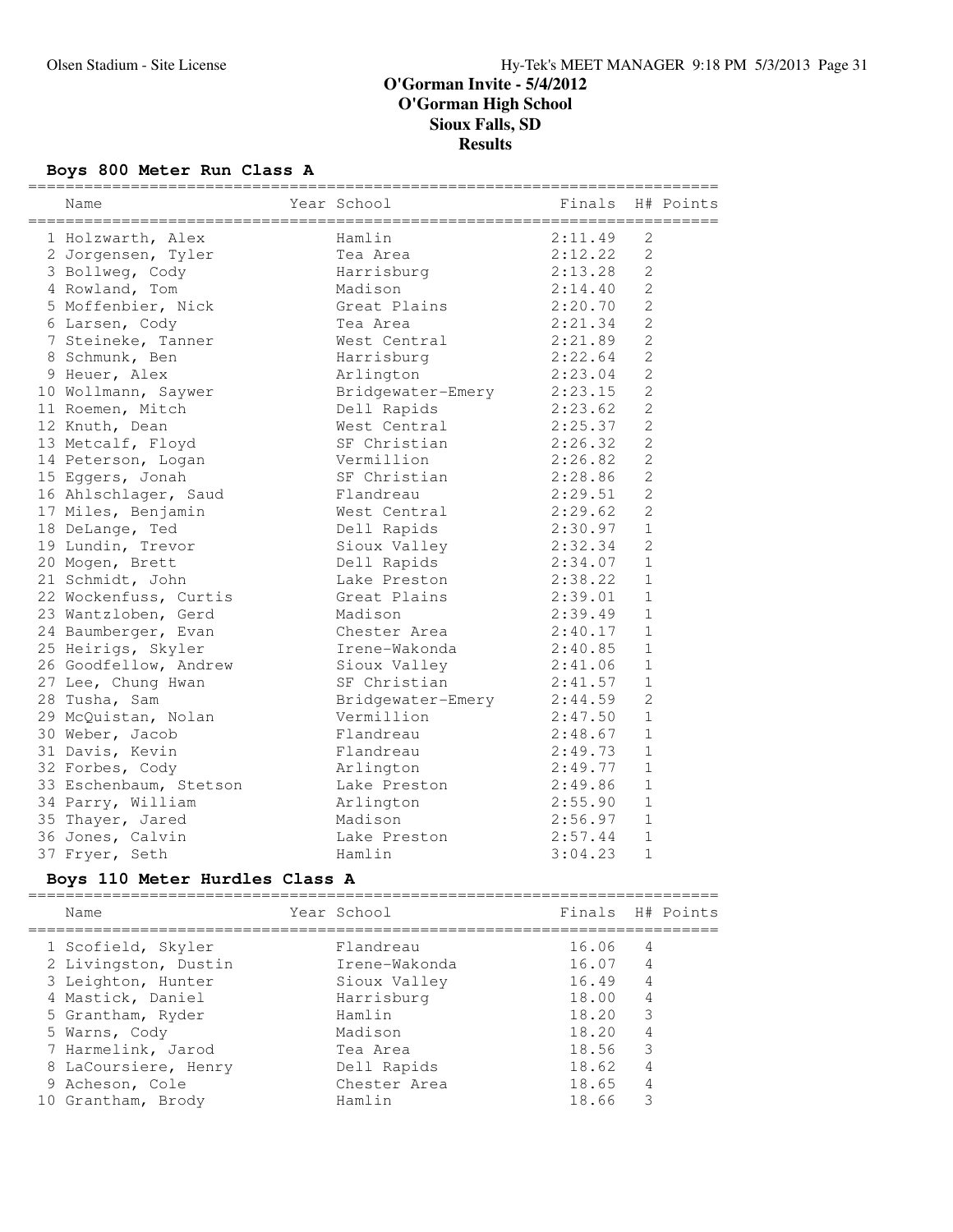# **Boys 800 Meter Run Class A**

| Name                   | Year School               | Finals  |                | H# Points |
|------------------------|---------------------------|---------|----------------|-----------|
| 1 Holzwarth, Alex      | Hamlin                    | 2:11.49 | 2              |           |
| 2 Jorgensen, Tyler     | Tea Area                  | 2:12.22 | $\overline{c}$ |           |
| 3 Bollweg, Cody        | Harrisburg                | 2:13.28 | $\overline{2}$ |           |
| 4 Rowland, Tom         | Madison                   | 2:14.40 | $\overline{c}$ |           |
| 5 Moffenbier, Nick     | Great Plains              | 2:20.70 | $\overline{2}$ |           |
| 6 Larsen, Cody         | Tea Area                  | 2:21.34 | $\overline{2}$ |           |
| 7 Steineke, Tanner     | West Central              | 2:21.89 | $\overline{c}$ |           |
| 8 Schmunk, Ben         | Harrisburg                | 2:22.64 | $\overline{c}$ |           |
| 9 Heuer, Alex          | Arlington                 | 2:23.04 | $\mathfrak{D}$ |           |
| 10 Wollmann, Saywer    | Bridgewater-Emery 2:23.15 |         | $\overline{c}$ |           |
| 11 Roemen, Mitch       | Dell Rapids               | 2:23.62 | $\overline{2}$ |           |
| 12 Knuth, Dean         | West Central              | 2:25.37 | $\overline{2}$ |           |
| 13 Metcalf, Floyd      | SF Christian              | 2:26.32 | $\overline{2}$ |           |
| 14 Peterson, Logan     | Vermillion                | 2:26.82 | $\overline{2}$ |           |
| 15 Eggers, Jonah       | SF Christian              | 2:28.86 | $\overline{2}$ |           |
| 16 Ahlschlager, Saud   | Flandreau                 | 2:29.51 | $\overline{2}$ |           |
| 17 Miles, Benjamin     | West Central              | 2:29.62 | $\overline{c}$ |           |
| 18 DeLange, Ted        | Dell Rapids               | 2:30.97 | $\mathbf{1}$   |           |
| 19 Lundin, Trevor      | Sioux Valley              | 2:32.34 | $\overline{2}$ |           |
| 20 Mogen, Brett        | Dell Rapids               | 2:34.07 | $\mathbf{1}$   |           |
| 21 Schmidt, John       | Lake Preston              | 2:38.22 | $\mathbf{1}$   |           |
| 22 Wockenfuss, Curtis  | Great Plains              | 2:39.01 | $\mathbf{1}$   |           |
| 23 Wantzloben, Gerd    | Madison                   | 2:39.49 | $\mathbf{1}$   |           |
| 24 Baumberger, Evan    | Chester Area              | 2:40.17 | $\mathbf{1}$   |           |
| 25 Heirigs, Skyler     | Irene-Wakonda             | 2:40.85 | $\mathbf{1}$   |           |
| 26 Goodfellow, Andrew  | Sioux Valley              | 2:41.06 | $\mathbf{1}$   |           |
| 27 Lee, Chung Hwan     | SF Christian              | 2:41.57 | $\mathbf{1}$   |           |
| 28 Tusha, Sam          | Bridgewater-Emery         | 2:44.59 | $\overline{2}$ |           |
| 29 McQuistan, Nolan    | Vermillion                | 2:47.50 | $\mathbf{1}$   |           |
| 30 Weber, Jacob        | Flandreau                 | 2:48.67 | $\mathbf{1}$   |           |
| 31 Davis, Kevin        | Flandreau                 | 2:49.73 | $\mathbf{1}$   |           |
| 32 Forbes, Cody        | Arlington                 | 2:49.77 | 1              |           |
| 33 Eschenbaum, Stetson | Lake Preston              | 2:49.86 | $\mathbf{1}$   |           |
| 34 Parry, William      | Arlington                 | 2:55.90 | $\mathbf{1}$   |           |
| 35 Thayer, Jared       | Madison                   | 2:56.97 | $\mathbf{1}$   |           |
| 36 Jones, Calvin       | Lake Preston              | 2:57.44 | $\mathbf{1}$   |           |
| 37 Fryer, Seth         | Hamlin                    | 3:04.23 | $\mathbf{1}$   |           |

# **Boys 110 Meter Hurdles Class A**

| Name                 | Year School   |       | Finals H# Points |
|----------------------|---------------|-------|------------------|
| 1 Scofield, Skyler   | Flandreau     | 16.06 | 4                |
| 2 Livingston, Dustin | Irene-Wakonda | 16.07 | 4                |
| 3 Leighton, Hunter   | Sioux Valley  | 16.49 | 4                |
| 4 Mastick, Daniel    | Harrisburg    | 18.00 | 4                |
| 5 Grantham, Ryder    | Hamlin        | 18.20 | 3                |
| 5 Warns, Cody        | Madison       | 18.20 | 4                |
| 7 Harmelink, Jarod   | Tea Area      | 18.56 | 3                |
| 8 LaCoursiere, Henry | Dell Rapids   | 18.62 | 4                |
| 9 Acheson, Cole      | Chester Area  | 18.65 | 4                |
| 10 Grantham, Brody   | Hamlin        | 18.66 | 3                |
|                      |               |       |                  |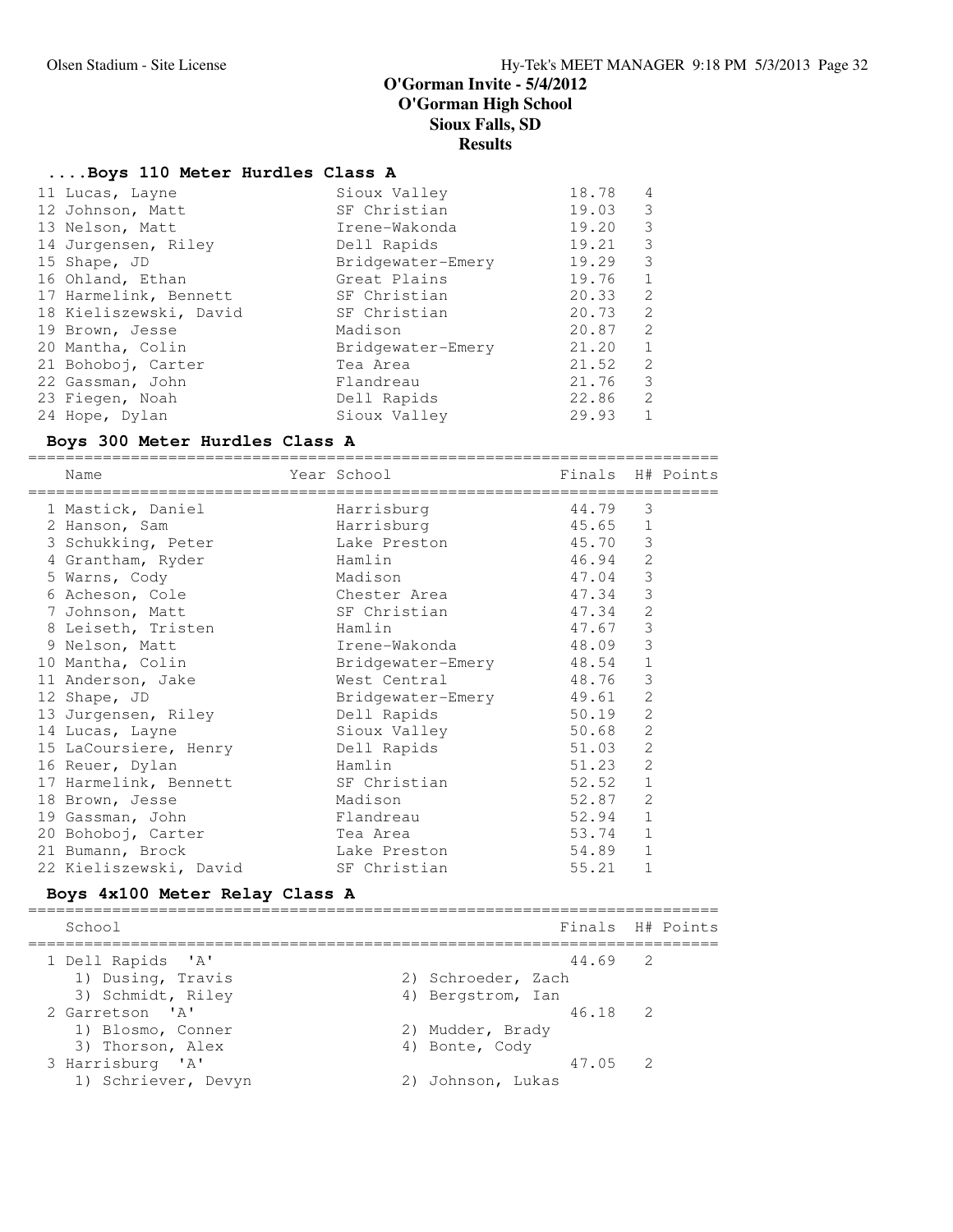### **....Boys 110 Meter Hurdles Class A**

| 11 Lucas, Layne        | Sioux Valley      | 18.78 | 4             |
|------------------------|-------------------|-------|---------------|
| 12 Johnson, Matt       | SF Christian      | 19.03 | 3             |
| 13 Nelson, Matt        | Irene-Wakonda     | 19.20 | 3             |
| 14 Jurgensen, Riley    | Dell Rapids       | 19.21 | 3             |
| 15 Shape, JD           | Bridgewater-Emery | 19.29 | 3             |
| 16 Ohland, Ethan       | Great Plains      | 19.76 | 1             |
| 17 Harmelink, Bennett  | SF Christian      | 20.33 | 2             |
| 18 Kieliszewski, David | SF Christian      | 20.73 | $\mathcal{L}$ |
| 19 Brown, Jesse        | Madison           | 20.87 | 2             |
| 20 Mantha, Colin       | Bridgewater-Emery | 21.20 | 1             |
| 21 Bohoboj, Carter     | Tea Area          | 21.52 | 2             |
| 22 Gassman, John       | Flandreau         | 21.76 | 3             |
| 23 Fiegen, Noah        | Dell Rapids       | 22.86 | 2             |
| 24 Hope, Dylan         | Sioux Valley      | 29.93 |               |
|                        |                   |       |               |

### **Boys 300 Meter Hurdles Class A**

========================================================================== Year School Finals H# Points ========================================================================== 1 Mastick, Daniel **Harrisburg** 1 Mastick, 1981 2 Hanson, Sam Harrisburg 45.65 1 3 Schukking, Peter Lake Preston 45.70 3 4 Grantham, Ryder Hamlin 46.94 2 5 Warns, Cody Madison 47.04 3 6 Acheson, Cole Chester Area 47.34 3 7 Johnson, Matt SF Christian 47.34 2 8 Leiseth, Tristen Mamlin 17.67 3 9 Nelson, Matt Irene-Wakonda 48.09 3 10 Mantha, Colin Bridgewater-Emery 48.54 1 11 Anderson, Jake West Central 48.76 3 12 Shape, JD Bridgewater-Emery 49.61 2 13 Jurgensen, Riley Dell Rapids 50.19 2 14 Lucas, Layne **Sioux Valley** 50.68 2 15 LaCoursiere, Henry Dell Rapids 51.03 2 16 Reuer, Dylan Hamlin 51.23 2 17 Harmelink, Bennett SF Christian 52.52 1 18 Brown, Jesse 2018 Madison 52.87 2 19 Gassman, John Flandreau 52.94 1 20 Bohoboj, Carter Tea Area 53.74 1 21 Bumann, Brock Lake Preston 54.89 1 22 Kieliszewski, David SF Christian 55.21 1

### **Boys 4x100 Meter Relay Class A**

========================================================================== School Finals H# Points ========================================================================== 1 Dell Rapids 'A' 44.69 2 1) Dusing, Travis 19, 2003, 2004, 2005, 2006 3) Schmidt, Riley (4) Bergstrom, Ian 2 Garretson 'A' 46.18 2 1) Blosmo, Conner 2) Mudder, Brady 3) Thorson, Alex (4) Bonte, Cody 3 Harrisburg 'A' 47.05 2 1) Schriever, Devyn 2) Johnson, Lukas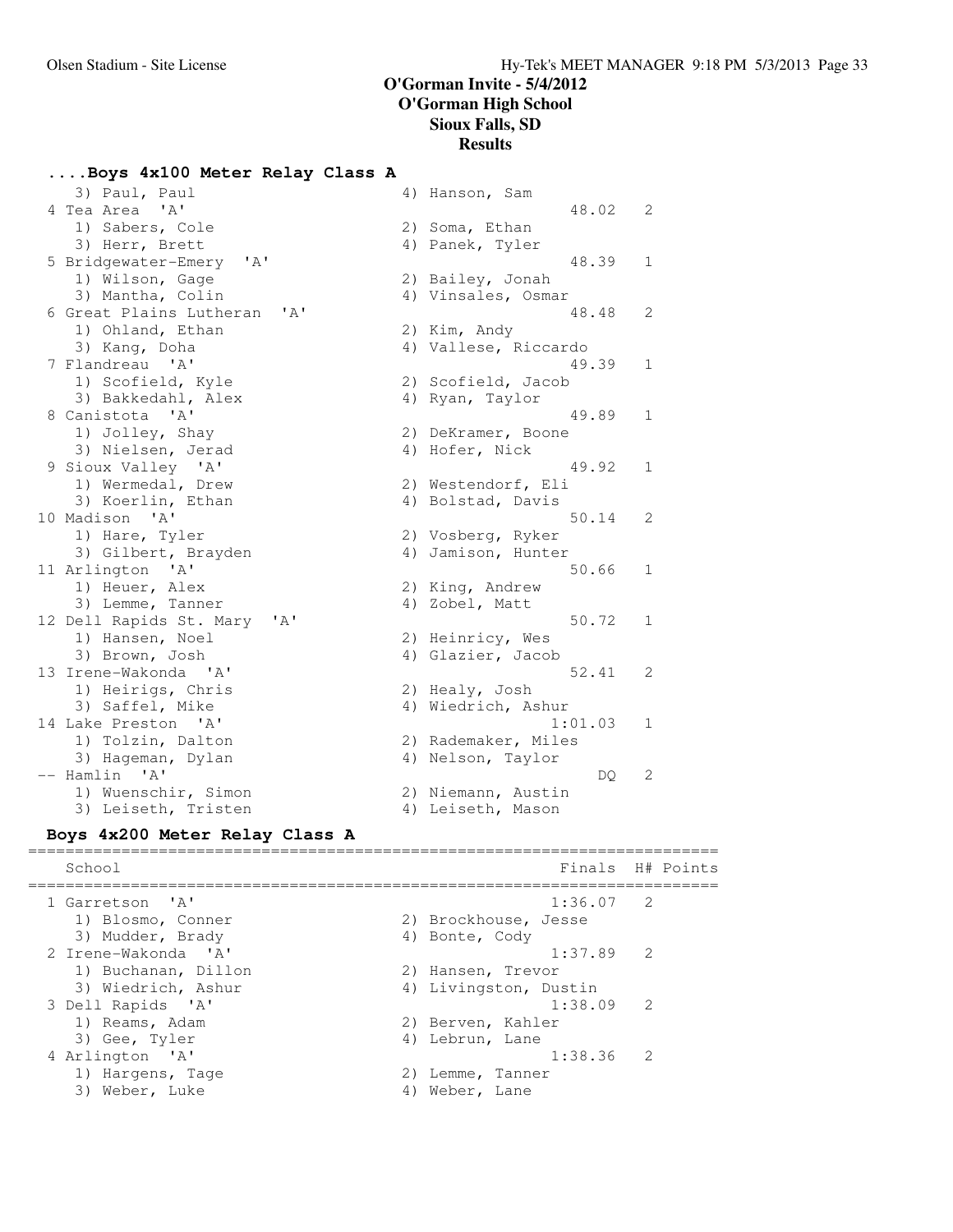### **....Boys 4x100 Meter Relay Class A**

3) Paul, Paul (4) Hanson, Sam 4 Tea Area 'A' 48.02 2 1) Sabers, Cole 2) Soma, Ethan 3) Herr, Brett (4) Panek, Tyler 3) Herr, Brett<br>
5 Bridgewater-Emery 'A' 48.39 1<br>
1) Wilson, Gage 2) Bailey, Jonah<br>
3) Mantha, Colin 4) Vinsales, Osmar 1) Wilson, Gage 2) Bailey, Jonah 3) Mantha, Colin (4) Vinsales, Osmar 6 Great Plains Lutheran 'A' 48.48 2 1) Ohland, Ethan 2) Kim, Andy 3) Kang, Doha (2008) (2008) 4) Vallese, Riccardo 7 Flandreau 'A' 49.39 1 1) Scofield, Kyle 2) Scofield, Jacob 3) Kang, Doha<br>
3) Kang, Doha<br>
Flandreau 'A' 49.39<br>
1) Scofield, Kyle 2) Scofield, Jacob<br>
3) Bakkedahl, Alex 4) Ryan, Taylor<br>
3) Bakkedahl, Alex 4) Ryan, Taylor<br>
3) Pakkedahl, Alex 4) Ryan, Taylor<br>
3) Pakkedahl, Alex 4) Rya 8 Canistota 'A' 49.89 1 1) Jolley, Shay 2) DeKramer, Boone 3) Nielsen, Jerad 4) Hofer, Nick 9 Sioux Valley 'A' 49.92 1 1) Wermedal, Drew 2) Westendorf, Eli 3) Koerlin, Ethan (4) Bolstad, Davis 10 Madison 'A' 50.14 2 1) Hare, Tyler 2) Vosberg, Ryker 3) Gilbert, Brayden (4) Jamison, Hunter 11 Arlington 'A' 50.66 1 1) Heuer, Alex 2) King, Andrew 3) Lemme, Tanner (4) Zobel, Matt 12 Dell Rapids St. Mary 'A' 50.72 1 1) Hansen, Noel 2) Heinricy, Wes 3) Brown, Josh (4) Glazier, Jacob 13 Irene-Wakonda 'A' 52.41 2 1) Heirigs, Chris 2) Healy, Josh 3) Saffel, Mike 4) Wiedrich, Ashur 14 Lake Preston 'A' 1:01.03 1 1) Tolzin, Dalton 2) Rademaker, Miles 3) Hageman, Dylan 1988 (4) Nelson, Taylor -- Hamlin 'A' DQ 2 1) Wuenschir, Simon 2) Niemann, Austin 1) Wuenschir, Simon<br>3) Leiseth, Tristen (4) Leiseth, Mason

### **Boys 4x200 Meter Relay Class A** ==========================================================================

School **Finals** H# Points ========================================================================== 1 Garretson 'A' 1:36.07 2 1) Blosmo, Conner 2) Brockhouse, Jesse 3) Mudder, Brady 19 (4) Bonte, Cody 2 Irene-Wakonda 'A' 1:37.89 2 1) Buchanan, Dillon 2) Hansen, Trevor 3) Wiedrich, Ashur 4) Livingston, Dustin 3 Dell Rapids 'A' 1:38.09 2 1) Reams, Adam 2) Berven, Kahler 3) Gee, Tyler (4) Lebrun, Lane 4 Arlington 'A' 1:38.36 2 1) Hargens, Tage 2) Lemme, Tanner 1) Hargens, Tage (2) Lemme, Tanner<br>3) Weber, Luke (4) Weber, Lane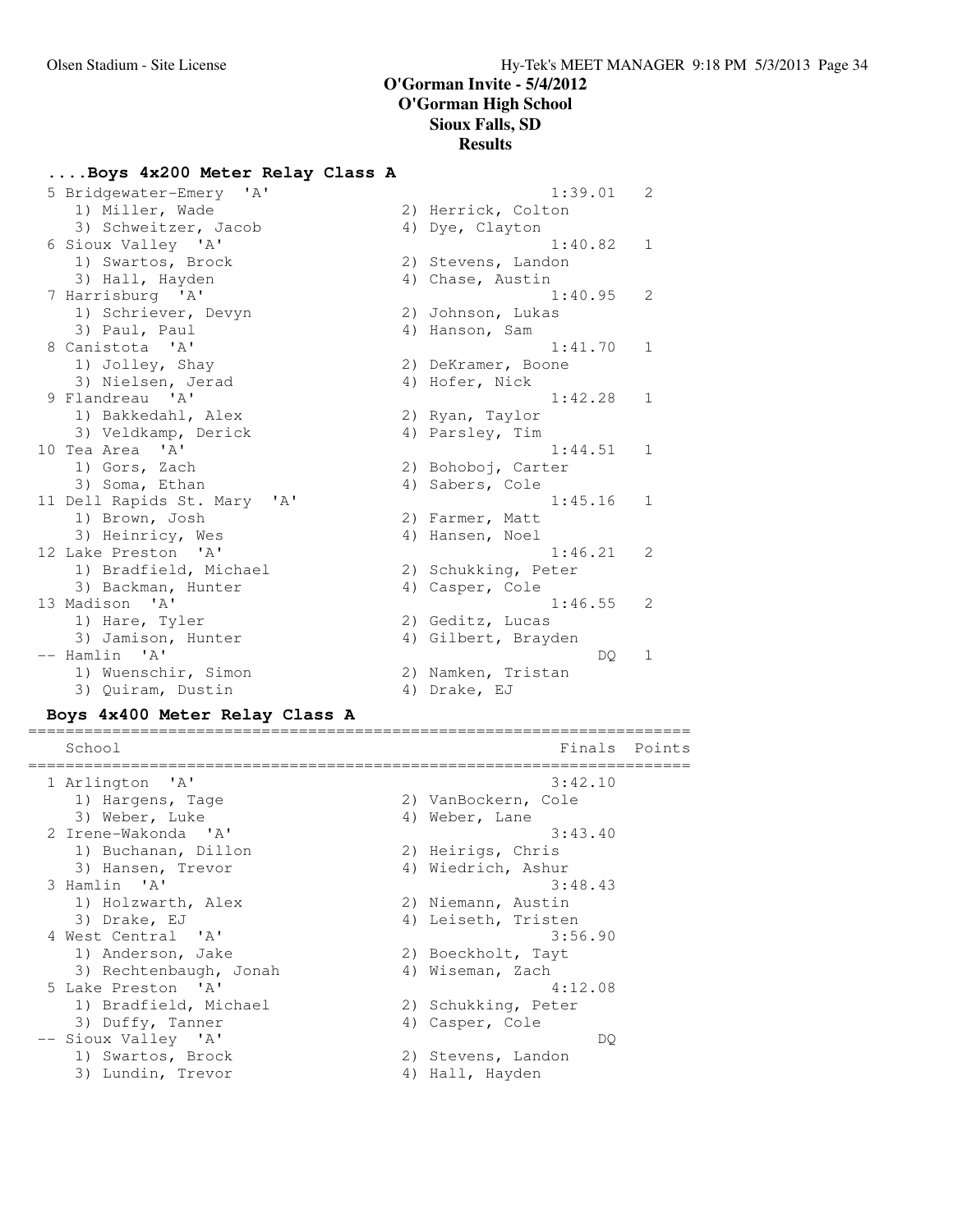# **....Boys 4x200 Meter Relay Class A**

| 5 Bridgewater-Emery 'A'                              | 1:39.01             | $\overline{2}$ |
|------------------------------------------------------|---------------------|----------------|
| 1) Miller, Wade                                      | 2) Herrick, Colton  |                |
| 3) Schweitzer, Jacob                                 | 4) Dye, Clayton     |                |
| 6 Sioux Valley 'A'                                   | 1:40.82             | $\mathbf{1}$   |
| 1) Swartos, Brock                                    | 2) Stevens, Landon  |                |
| 3) Hall, Hayden                                      | 4) Chase, Austin    |                |
| 7 Harrisburg 'A'                                     | 1:40.95             | 2              |
| 1) Schriever, Devyn                                  | 2) Johnson, Lukas   |                |
| 3) Paul, Paul                                        | 4) Hanson, Sam      |                |
| 8 Canistota 'A'                                      | 1:41.70             | $\mathbf{1}$   |
| 1) Jolley, Shay                                      | 2) DeKramer, Boone  |                |
| 3) Nielsen, Jerad                                    | 4) Hofer, Nick      |                |
| 9 Flandreau 'A'                                      | 1:42.28             | $\mathbf{1}$   |
| 1) Bakkedahl, Alex                                   | 2) Ryan, Taylor     |                |
| 3) Veldkamp, Derick                                  | 4) Parsley, Tim     |                |
| 10 Tea Area 'A'                                      | 1:44.51             | 1              |
| 1) Gors, Zach                                        | 2) Bohoboj, Carter  |                |
| 3) Soma, Ethan                                       | 4) Sabers, Cole     |                |
| 11 Dell Rapids St. Mary<br>$^{\prime}$ A $^{\prime}$ | 1:45.16             | $\mathbf 1$    |
| 1) Brown, Josh                                       | 2) Farmer, Matt     |                |
| 3) Heinricy, Wes                                     | 4) Hansen, Noel     |                |
| 12 Lake Preston 'A'                                  | 1:46.21             | 2              |
| 1) Bradfield, Michael                                | 2) Schukking, Peter |                |
| 3) Backman, Hunter                                   | 4) Casper, Cole     |                |
| 13 Madison 'A'                                       | 1:46.55             | 2              |
| 1) Hare, Tyler                                       | 2) Geditz, Lucas    |                |
| 3) Jamison, Hunter                                   | 4) Gilbert, Brayden |                |
| -- Hamlin 'A'                                        | DQ.                 | 1              |
| 1) Wuenschir, Simon                                  | 2) Namken, Tristan  |                |
| 3) Quiram, Dustin                                    | 4) Drake, EJ        |                |

# **Boys 4x400 Meter Relay Class A**

| School                 |                     | Finals Points |
|------------------------|---------------------|---------------|
|                        |                     |               |
| 1 Arlington 'A'        | 3:42.10             |               |
| 1) Hargens, Tage       | 2) VanBockern, Cole |               |
| 3) Weber, Luke         | 4) Weber, Lane      |               |
| 2 Irene-Wakonda 'A'    | 3:43.40             |               |
| 1) Buchanan, Dillon    | 2) Heirigs, Chris   |               |
| 3) Hansen, Trevor      | 4) Wiedrich, Ashur  |               |
| 3 Hamlin 'A'           | 3:48.43             |               |
| 1) Holzwarth, Alex     | 2) Niemann, Austin  |               |
| 3) Drake, EJ           | 4) Leiseth, Tristen |               |
| 4 West Central 'A'     | 3:56.90             |               |
| 1) Anderson, Jake      | 2) Boeckholt, Tayt  |               |
| 3) Rechtenbaugh, Jonah | 4) Wiseman, Zach    |               |
| 5 Lake Preston 'A'     | 4:12.08             |               |
| 1) Bradfield, Michael  | 2) Schukking, Peter |               |
| 3) Duffy, Tanner       | 4) Casper, Cole     |               |
| -- Sioux Valley 'A'    | DO.                 |               |
| 1) Swartos, Brock      | 2) Stevens, Landon  |               |
| 3) Lundin, Trevor      | 4) Hall, Hayden     |               |
|                        |                     |               |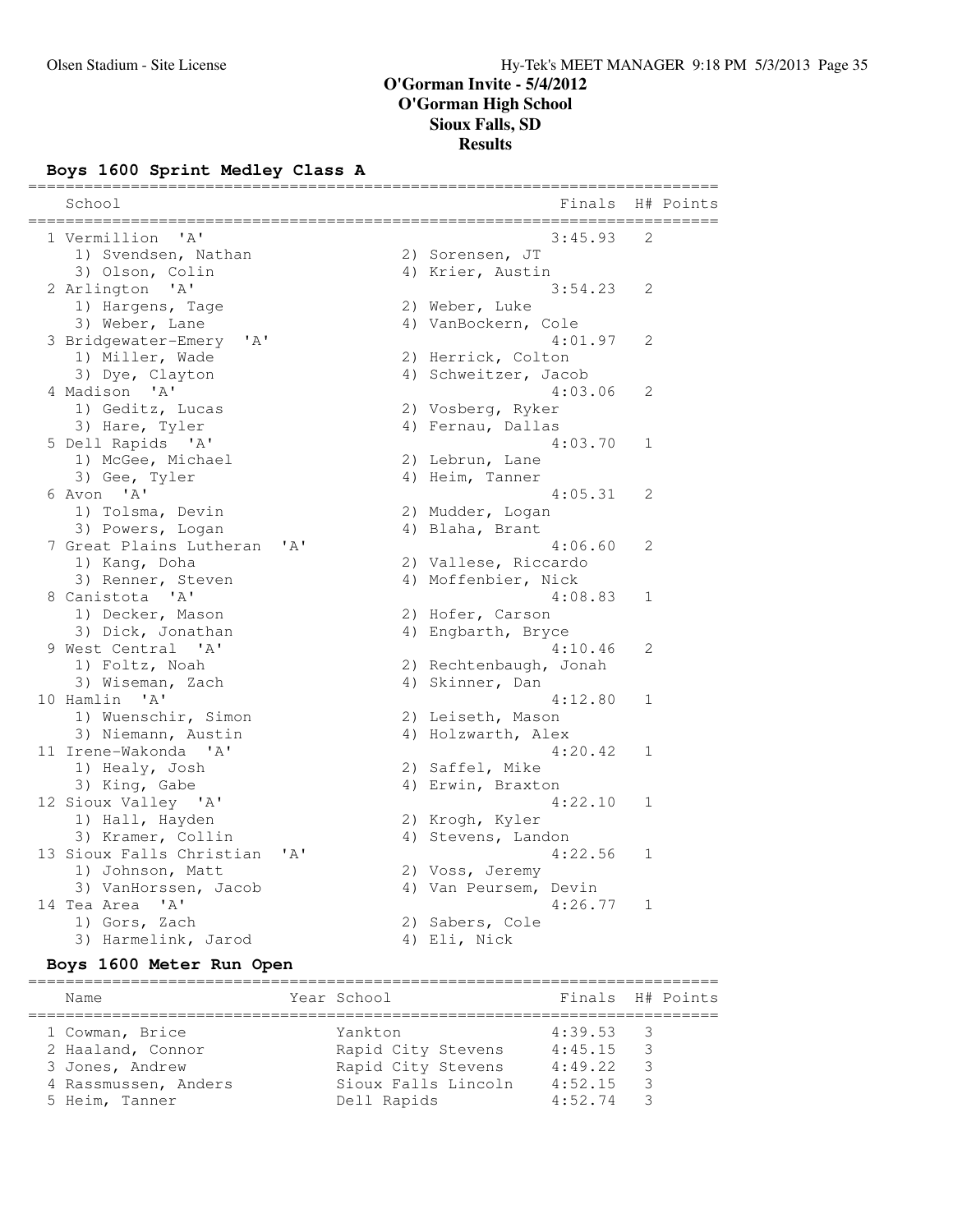### **Boys 1600 Sprint Medley Class A**

| School                      |      |                        |   | Finals H# Points |
|-----------------------------|------|------------------------|---|------------------|
| 1 Vermillion 'A'            |      | 3:45.93                | 2 |                  |
| 1) Svendsen, Nathan         |      | 2) Sorensen, JT        |   |                  |
| 3) Olson, Colin             |      | 4) Krier, Austin       |   |                  |
| 2 Arlington 'A'             |      | 3:54.23                | 2 |                  |
| 1) Hargens, Tage            |      | 2) Weber, Luke         |   |                  |
| 3) Weber, Lane              |      | 4) VanBockern, Cole    |   |                  |
| ' A'<br>3 Bridgewater-Emery |      | 4:01.97                | 2 |                  |
| 1) Miller, Wade             |      | 2) Herrick, Colton     |   |                  |
| 3) Dye, Clayton             |      | 4) Schweitzer, Jacob   |   |                  |
| 4 Madison 'A'               |      | 4:03.06                | 2 |                  |
| 1) Geditz, Lucas            |      | 2) Vosberg, Ryker      |   |                  |
| 3) Hare, Tyler              |      | 4) Fernau, Dallas      |   |                  |
| 5 Dell Rapids 'A'           |      | 4:03.70                | 1 |                  |
| 1) McGee, Michael           |      | 2) Lebrun, Lane        |   |                  |
| 3) Gee, Tyler               |      | 4) Heim, Tanner        |   |                  |
| 6 Avon 'A'                  |      | 4:05.31                | 2 |                  |
| 1) Tolsma, Devin            |      | 2) Mudder, Logan       |   |                  |
| 3) Powers, Logan            |      | 4) Blaha, Brant        |   |                  |
| 7 Great Plains Lutheran     | ' A' | 4:06.60                | 2 |                  |
| 1) Kang, Doha               |      | 2) Vallese, Riccardo   |   |                  |
| 3) Renner, Steven           |      | 4) Moffenbier, Nick    |   |                  |
| 8 Canistota 'A'             |      | 4:08.83                | 1 |                  |
| 1) Decker, Mason            |      | 2) Hofer, Carson       |   |                  |
| 3) Dick, Jonathan           |      | 4) Engbarth, Bryce     |   |                  |
| 9 West Central 'A'          |      | 4:10.46                | 2 |                  |
| 1) Foltz, Noah              |      | 2) Rechtenbaugh, Jonah |   |                  |
| 3) Wiseman, Zach            |      | 4) Skinner, Dan        |   |                  |
| 10 Hamlin 'A'               |      | 4:12.80                | 1 |                  |
| 1) Wuenschir, Simon         |      | 2) Leiseth, Mason      |   |                  |
| 3) Niemann, Austin          |      | 4) Holzwarth, Alex     |   |                  |
| 11 Irene-Wakonda 'A'        |      | 4:20.42                | 1 |                  |
| 1) Healy, Josh              |      | 2) Saffel, Mike        |   |                  |
| 3) King, Gabe               |      | 4) Erwin, Braxton      |   |                  |
| 12 Sioux Valley 'A'         |      | 4:22.10                | 1 |                  |
| 1) Hall, Hayden             |      | 2) Krogh, Kyler        |   |                  |
| 3) Kramer, Collin           |      | 4) Stevens, Landon     |   |                  |
| 13 Sioux Falls Christian    | ' A' | 4:22.56                | 1 |                  |
| 1) Johnson, Matt            |      | 2) Voss, Jeremy        |   |                  |
| 3) VanHorssen, Jacob        |      | 4) Van Peursem, Devin  |   |                  |
| 14 Tea Area 'A'             |      | 4:26.77                | 1 |                  |
| 1) Gors, Zach               |      | 2) Sabers, Cole        |   |                  |
| 3) Harmelink, Jarod         |      | 4) Eli, Nick           |   |                  |

### **Boys 1600 Meter Run Open**

========================================================================== Name Year School Finals H# Points ========================================================================== 1 Cowman, Brice Yankton 4:39.53 3 2 Haaland, Connor Rapid City Stevens 4:45.15 3 3 Jones, Andrew Rapid City Stevens 4:49.22 3 4 Rassmussen, Anders Sioux Falls Lincoln 4:52.15 3 5 Heim, Tanner Dell Rapids 4:52.74 3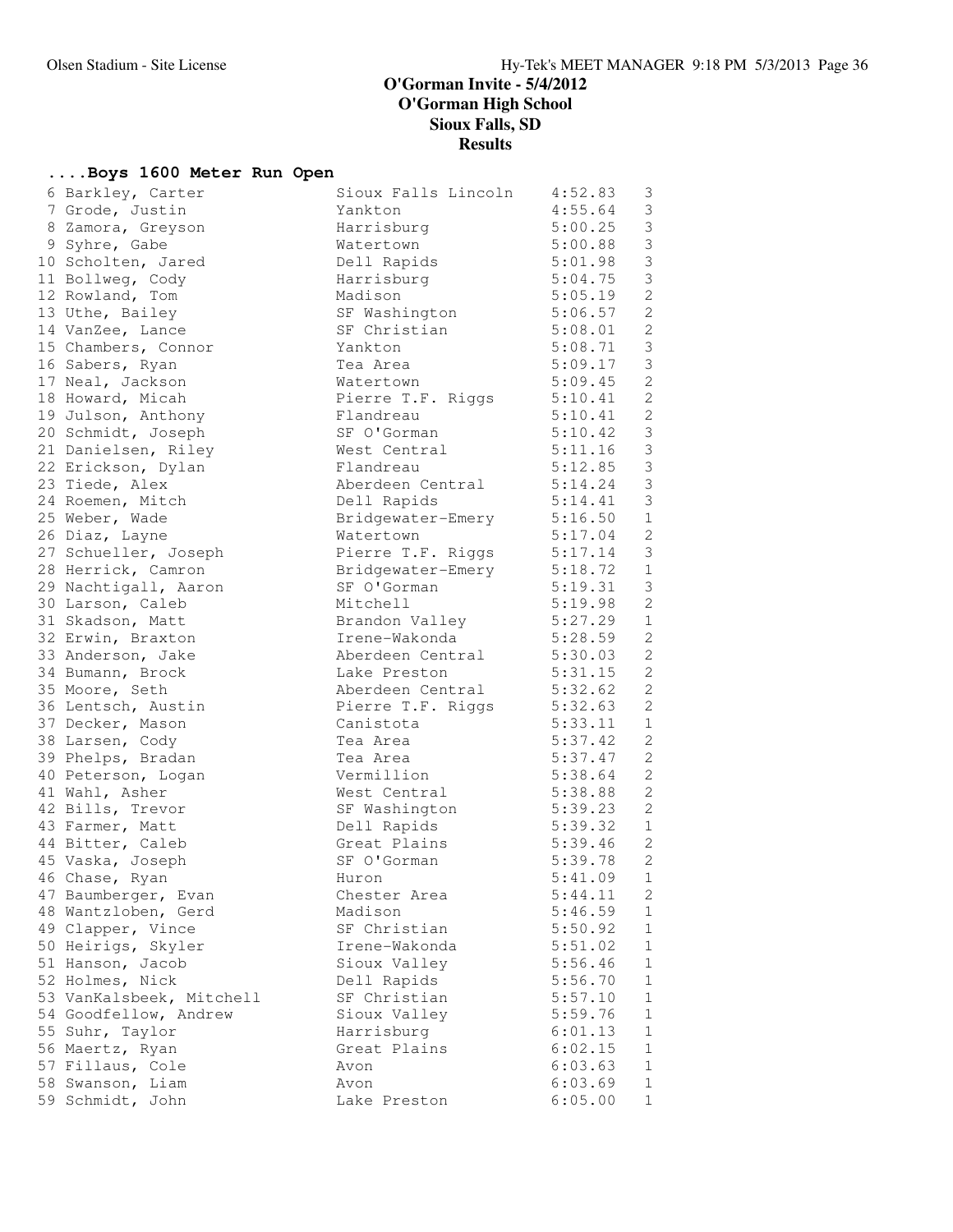# **....Boys 1600 Meter Run Open**

| 6 Barkley, Carter                    | Sioux Falls Lincoln         | 4:52.83            | 3                            |
|--------------------------------------|-----------------------------|--------------------|------------------------------|
| 7 Grode, Justin                      | Yankton                     | 4:55.64            | 3                            |
| 8 Zamora, Greyson                    | Harrisburg                  | 5:00.25            | $\mathfrak{Z}$               |
| 9 Syhre, Gabe                        | Watertown                   | 5:00.88            | $\mathfrak{Z}$               |
| 10 Scholten, Jared                   | Dell Rapids                 | 5:01.98            | $\mathfrak{Z}$               |
| 11 Bollweg, Cody                     | Harrisburg                  | 5:04.75            | $\mathfrak{Z}$               |
| 12 Rowland, Tom                      | Madison                     | 5:05.19            | $\mathbf{2}$                 |
| 13 Uthe, Bailey                      | SF Washington               | 5:06.57            | $\mathbf{2}$                 |
| 14 VanZee, Lance                     | SF Christian                | 5:08.01            | $\mathbf{2}$                 |
| 15 Chambers, Connor                  | Yankton                     | 5:08.71            | $\mathfrak{Z}$               |
| 16 Sabers, Ryan                      | Tea Area                    | 5:09.17            | $\mathfrak{Z}$               |
| 17 Neal, Jackson                     | Watertown                   | 5:09.45            | 2                            |
| 18 Howard, Micah                     | Pierre T.F. Riggs           | 5:10.41            | $\mathbf{2}$                 |
| 19 Julson, Anthony                   | Flandreau                   | 5:10.41            | $\mathbf{2}$                 |
| 20 Schmidt, Joseph                   | SF O'Gorman                 | 5:10.42            | $\mathfrak{Z}$               |
| 21 Danielsen, Riley                  | West Central                | 5:11.16            | $\mathfrak{Z}$               |
| 22 Erickson, Dylan                   | Flandreau                   | 5:12.85            | $\mathcal{S}$                |
| 23 Tiede, Alex                       | Aberdeen Central            | 5:14.24            | $\mathsf 3$                  |
| 24 Roemen, Mitch                     | Dell Rapids                 | 5:14.41            | $\mathfrak{Z}$               |
| 25 Weber, Wade                       | Bridgewater-Emery 5:16.50   |                    | $\mathbf{1}$                 |
| 26 Diaz, Layne                       | Watertown                   | 5:17.04            | $\mathbf{2}$                 |
| 27 Schueller, Joseph                 | Pierre T.F. Riggs           | 5:17.14            | 3                            |
| 28 Herrick, Camron                   | Bridgewater-Emery           | 5:18.72            | $1\,$                        |
| 29 Nachtigall, Aaron                 | SF O'Gorman                 | 5:19.31            | 3                            |
| 30 Larson, Caleb                     | Mitchell                    | 5:19.98            | $\mathbf{2}$                 |
| 31 Skadson, Matt                     | Brandon Valley              | 5:27.29            | $\mathbf{1}$                 |
| 32 Erwin, Braxton                    | Irene-Wakonda 5:28.59       |                    | $\mathbf{2}$                 |
| 33 Anderson, Jake                    | Aberdeen Central 5:30.03    |                    | $\mathbf{2}$                 |
| 34 Bumann, Brock                     | Lake Preston                | 5:31.15            | 2                            |
| 35 Moore, Seth                       | Aberdeen Central            | 5:32.62            | $\mathbf{2}$                 |
| 36 Lentsch, Austin                   | Pierre T.F. Riggs           | 5:32.63            | $\mathbf{2}$                 |
| 37 Decker, Mason                     | Canistota                   | 5:33.11            | $\mathbf 1$                  |
| 38 Larsen, Cody                      | Tea Area                    | 5:37.42            | $\mathbf{2}$                 |
| 39 Phelps, Bradan                    | Tea Area                    | 5:37.47            | $\mathbf{2}$                 |
| 40 Peterson, Logan                   | Vermillion                  | 5:38.64            | $\mathbf{2}$                 |
| 41 Wahl, Asher                       | West Central                | 5:38.88            | $\mathbf{2}$                 |
| 42 Bills, Trevor                     | SF Washington               | 5:39.23<br>5:39.32 | $\mathbf{2}$                 |
| 43 Farmer, Matt                      | Dell Rapids                 | 5:39.46            | $\mathbf{1}$<br>$\mathbf{2}$ |
| 44 Bitter, Caleb<br>45 Vaska, Joseph | Great Plains<br>SF O'Gorman | 5:39.78            | 2                            |
| 46 Chase, Ryan                       | Huron                       | 5:41.09            | $\mathbf 1$                  |
| 47 Baumberger, Evan                  | Chester Area                | 5:44.11            | $\mathbf{2}$                 |
| 48 Wantzloben, Gerd                  | Madison                     | 5:46.59            | $\mathbf 1$                  |
| 49 Clapper, Vince                    | SF Christian                | 5:50.92            | 1                            |
| 50 Heirigs, Skyler                   | Irene-Wakonda               | 5:51.02            | $\mathbf{1}$                 |
| 51 Hanson, Jacob                     | Sioux Valley                | 5:56.46            | 1                            |
| 52 Holmes, Nick                      | Dell Rapids                 | 5:56.70            | 1                            |
| 53 VanKalsbeek, Mitchell             | SF Christian                | 5:57.10            | $\mathbf{1}$                 |
| 54 Goodfellow, Andrew                | Sioux Valley                | 5:59.76            | 1                            |
| 55 Suhr, Taylor                      | Harrisburg                  | 6:01.13            | $\mathbf{1}$                 |
| 56 Maertz, Ryan                      | Great Plains                | 6:02.15            | $\mathbf{1}$                 |
| 57 Fillaus, Cole                     | Avon                        | 6:03.63            | $\mathbf{1}$                 |
| 58 Swanson, Liam                     | Avon                        | 6:03.69            | $\mathbf 1$                  |
| 59 Schmidt, John                     | Lake Preston                | 6:05.00            | $\mathbf{1}$                 |
|                                      |                             |                    |                              |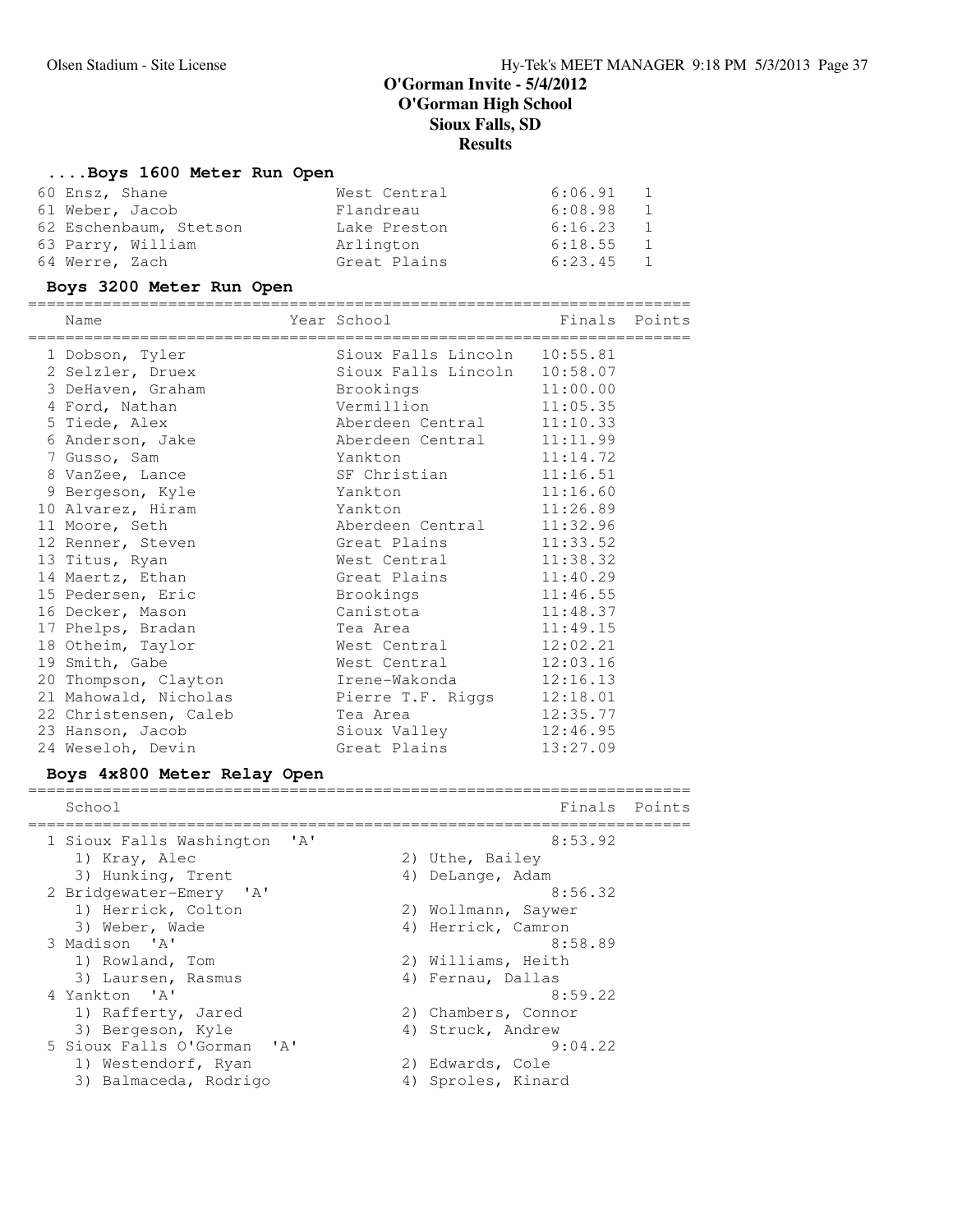# **....Boys 1600 Meter Run Open**

| 60 Ensz, Shane         | West Central | $6:06.91$ 1               |
|------------------------|--------------|---------------------------|
| 61 Weber, Jacob        | Flandreau    | 6:08.98<br>1              |
| 62 Eschenbaum, Stetson | Lake Preston | 6:16.23<br>$\overline{1}$ |
| 63 Parry, William      | Arlington    | $6:18.55$ 1               |
| 64 Werre, Zach         | Great Plains | 6:23.45 1                 |

# **Boys 3200 Meter Run Open**

=======================================================================

| Name                                    | Year School                  | Finals Points |  |
|-----------------------------------------|------------------------------|---------------|--|
| 1 Dobson, Tyler                         | Sioux Falls Lincoln 10:55.81 |               |  |
| 2 Selzler, Druex                        | Sioux Falls Lincoln          | 10:58.07      |  |
| 3 DeHaven, Graham                       | Brookings <b>Example 19</b>  | 11:00.00      |  |
| 4 Ford, Nathan                          | Vermillion                   | 11:05.35      |  |
| 5 Tiede, Alex                           | Aberdeen Central             | 11:10.33      |  |
| 6 Anderson, Jake                        | Aberdeen Central             | 11:11.99      |  |
| 7 Gusso, Sam                            | Yankton                      | 11:14.72      |  |
| 8 VanZee, Lance                         | SF Christian                 | 11:16.51      |  |
| 9 Bergeson, Kyle                        | Yankton                      | 11:16.60      |  |
| 10 Alvarez, Hiram                       | Yankton                      | 11:26.89      |  |
| 11 Moore, Seth                          | Aberdeen Central             | 11:32.96      |  |
| 12 Renner, Steven                       | Great Plains                 | 11:33.52      |  |
| 13 Titus, Ryan                          | West Central                 | 11:38.32      |  |
| 14 Maertz, Ethan                        | Great Plains                 | 11:40.29      |  |
| 15 Pedersen, Eric                       | Brookings                    | 11:46.55      |  |
| 16 Decker, Mason                        | Canistota                    | 11:48.37      |  |
| 17 Phelps, Bradan                       | Tea Area                     | 11:49.15      |  |
| 18 Otheim, Taylor                       | West Central                 | 12:02.21      |  |
| 19 Smith, Gabe                          | West Central                 | 12:03.16      |  |
| 20 Thompson, Clayton                    | Irene-Wakonda 12:16.13       |               |  |
| 21 Mahowald, Nicholas Pierre T.F. Riggs |                              | 12:18.01      |  |
| 22 Christensen, Caleb                   | Tea Area                     | 12:35.77      |  |
| 23 Hanson, Jacob                        | Sioux Valley                 | 12:46.95      |  |
| 24 Weseloh, Devin                       | Great Plains                 | 13:27.09      |  |

# **Boys 4x800 Meter Relay Open**

| School                                                | Finals              | Points |
|-------------------------------------------------------|---------------------|--------|
| 1 Sioux Falls Washington<br>$^{\prime}$ A $^{\prime}$ | 8:53.92             |        |
| 1) Kray, Alec                                         | 2) Uthe, Bailey     |        |
| 3) Hunking, Trent                                     | 4) DeLange, Adam    |        |
| 2 Bridgewater-Emery 'A'                               | 8:56.32             |        |
| 1) Herrick, Colton                                    | 2) Wollmann, Saywer |        |
| 3) Weber, Wade                                        | 4) Herrick, Camron  |        |
| 3 Madison 'A'                                         | 8:58.89             |        |
| 1) Rowland, Tom                                       | 2) Williams, Heith  |        |
| 3) Laursen, Rasmus                                    | 4) Fernau, Dallas   |        |
| 4 Yankton 'A'                                         | 8:59.22             |        |
| 1) Rafferty, Jared                                    | 2) Chambers, Connor |        |
| 3) Bergeson, Kyle                                     | 4) Struck, Andrew   |        |
| 5 Sioux Falls O'Gorman 'A'                            | 9:04.22             |        |
| 1) Westendorf, Ryan                                   | 2) Edwards, Cole    |        |
| 3) Balmaceda, Rodrigo                                 | 4) Sproles, Kinard  |        |
|                                                       |                     |        |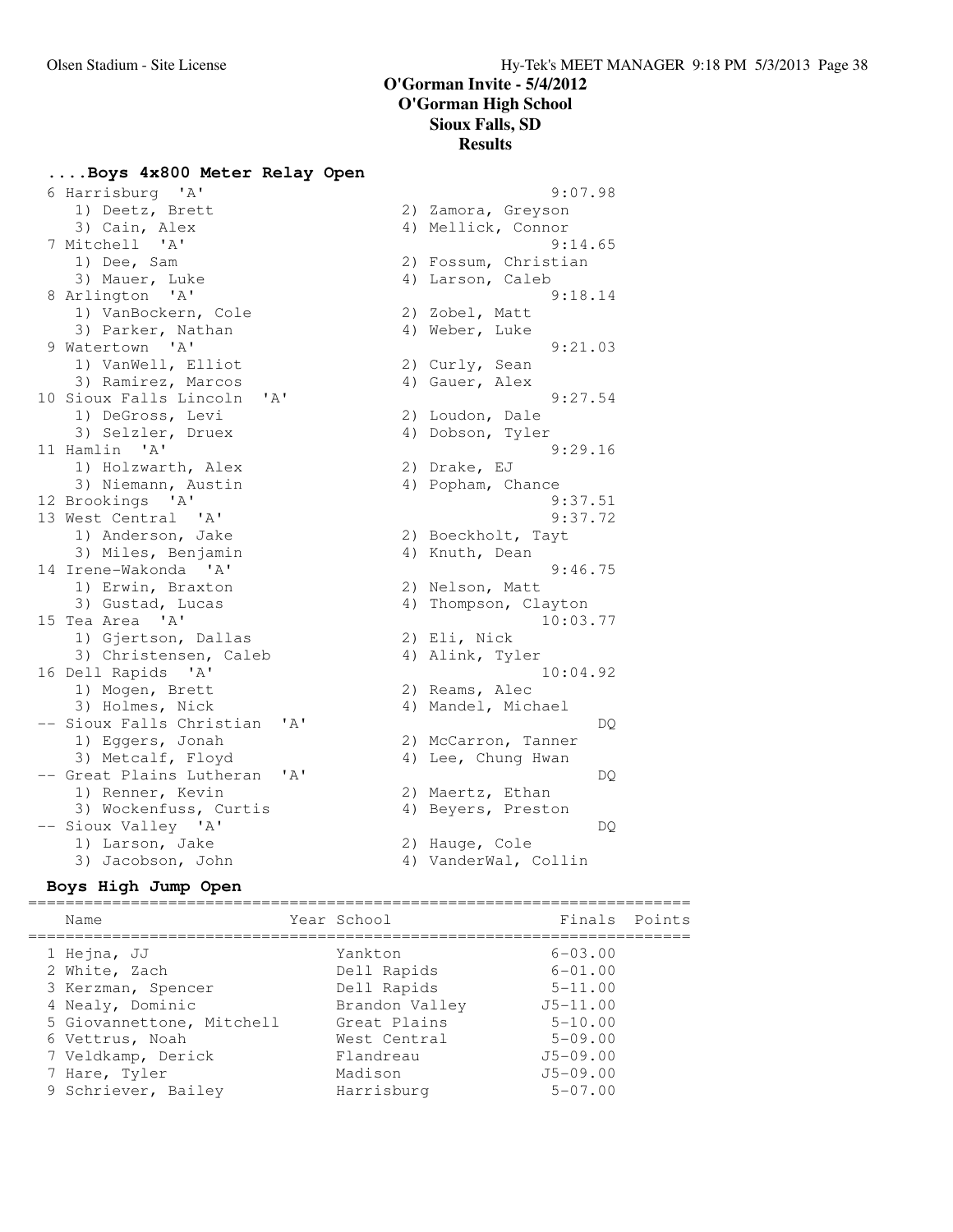### **....Boys 4x800 Meter Relay Open**

1) Deetz, Brett 2) Zamora, Greyson 7 Mitchell 'A' 9:14.65 1) Dee, Sam 2) Fossum, Christian 3) Mauer, Luke 4) Larson, Caleb 8 Arlington 'A' 9:18.14 1) VanBockern, Cole 2) Zobel, Matt 3) Parker, Nathan (4) Weber, Luke 9 Watertown 'A' 9:21.03 1) VanWell, Elliot (2) Curly, Sean 3) Ramirez, Marcos (4) Gauer, Alex 10 Sioux Falls Lincoln 'A' 9:27.54 1) DeGross, Levi 2) Loudon, Dale 3) Selzler, Druex (4) Dobson, Tyler 11 Hamlin 'A' 9:29.16 1) Holzwarth, Alex 2) Drake, EJ 3) Niemann, Austin (4) Popham, Chance 12 Brookings 'A' 9:37.51 13 West Central 'A' 9:37.72 1) Anderson, Jake 2) Boeckholt, Tayt 3) Miles, Benjamin (4) Knuth, Dean 14 Irene-Wakonda 'A' 9:46.75 1) Erwin, Braxton 2) Nelson, Matt 3) Gustad, Lucas (4) Thompson, Clayton 15 Tea Area 'A' 10:03.77 1) Gjertson, Dallas (2) Eli, Nick 3) Christensen, Caleb (4) Alink, Tyler 16 Dell Rapids 'A' 10:04.92 1) Mogen, Brett 2) Reams, Alec 3) Holmes, Nick 4) Mandel, Michael -- Sioux Falls Christian 'A' DQ 1) Eggers, Jonah 2) McCarron, Tanner 3) Metcalf, Floyd 4) Lee, Chung Hwan -- Great Plains Lutheran 'A' DQ 1) Renner, Kevin 2) Maertz, Ethan 3) Wockenfuss, Curtis (4) Beyers, Preston -- Sioux Valley 'A' DQ 1) Larson, Jake 2) Hauge, Cole 3) Jacobson, John 4) VanderWal, Collin

# 6 Harrisburg 'A' 9:07.98 3) Cain, Alex 4) Mellick, Connor<br>
4) Mellick, Connor<br>
4) 9:14.65

### **Boys High Jump Open**

======================================================================= Name The Year School The Finals Points ======================================================================= 1 Hejna, JJ Yankton 6-03.00 2 White, Zach Dell Rapids 6-01.00 3 Kerzman, Spencer Dell Rapids 5-11.00 4 Nealy, Dominic Brandon Valley J5-11.00 5 Giovannettone, Mitchell Great Plains 5-10.00 6 Vettrus, Noah West Central 5-09.00 7 Veldkamp, Derick Flandreau J5-09.00 7 Hare, Tyler Madison Madison J5-09.00 9 Schriever, Bailey Harrisburg 5-07.00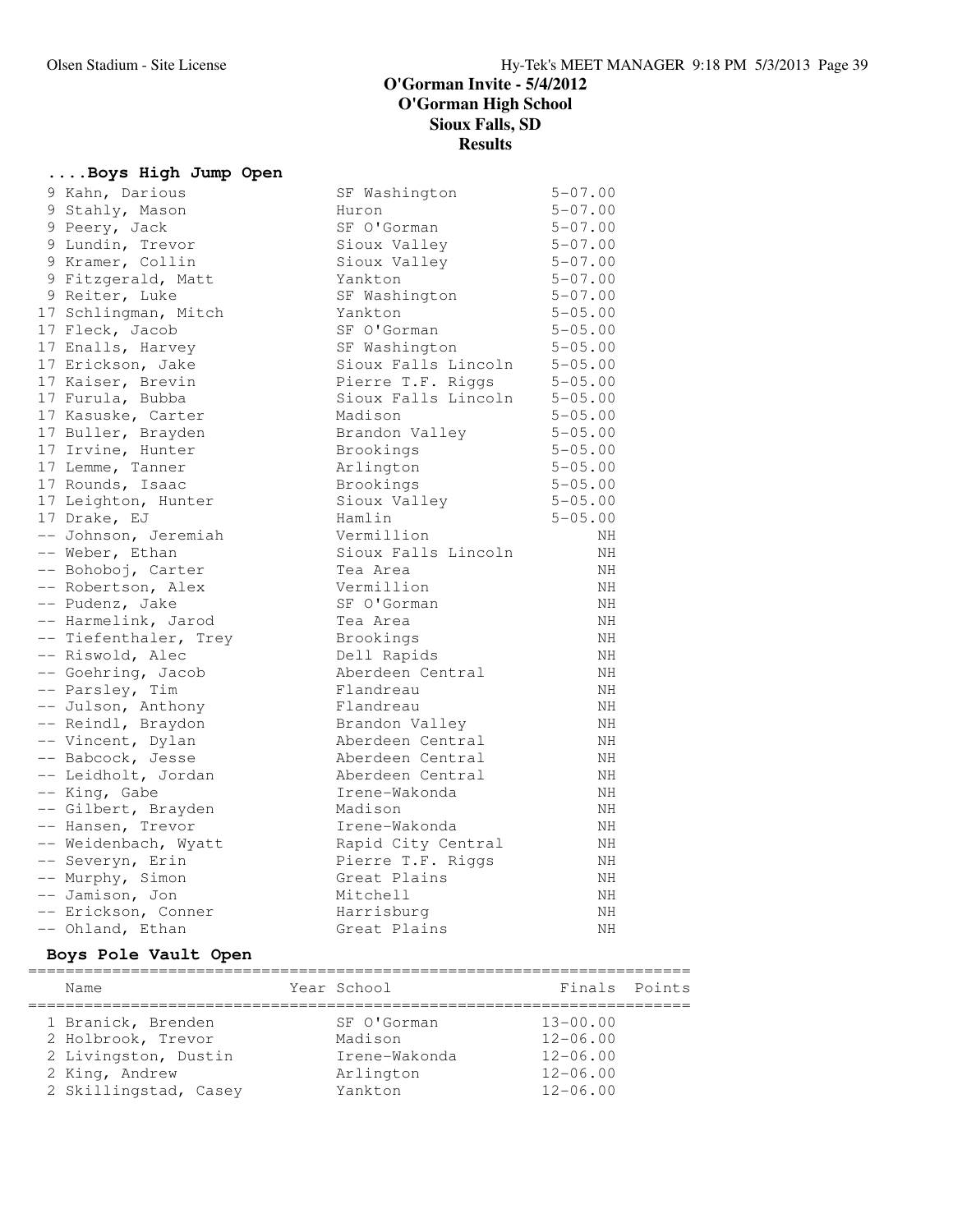# **....Boys High Jump Open**

| 9 Kahn, Darious       | SF Washington       | $5 - 07.00$ |
|-----------------------|---------------------|-------------|
| 9 Stahly, Mason       | Huron               | $5 - 07.00$ |
| 9 Peery, Jack         | SF O'Gorman         | $5 - 07.00$ |
| 9 Lundin, Trevor      | Sioux Valley        | $5 - 07.00$ |
| 9 Kramer, Collin      | Sioux Valley        | $5 - 07.00$ |
| 9 Fitzgerald, Matt    | Yankton             | $5 - 07.00$ |
| 9 Reiter, Luke        | SF Washington       | $5 - 07.00$ |
| 17 Schlingman, Mitch  | Yankton             | $5 - 05.00$ |
| 17 Fleck, Jacob       | SF O'Gorman         | $5 - 05.00$ |
| 17 Enalls, Harvey     | SF Washington       | $5 - 05.00$ |
| 17 Erickson, Jake     | Sioux Falls Lincoln | $5 - 05.00$ |
| 17 Kaiser, Brevin     | Pierre T.F. Riggs   | $5 - 05.00$ |
| 17 Furula, Bubba      | Sioux Falls Lincoln | $5 - 05.00$ |
| 17 Kasuske, Carter    | Madison             | $5 - 05.00$ |
| 17 Buller, Brayden    | Brandon Valley      | $5 - 05.00$ |
| 17 Irvine, Hunter     | Brookings           | $5 - 05.00$ |
| 17 Lemme, Tanner      | Arlington           | $5 - 05.00$ |
| 17 Rounds, Isaac      | Brookings           | $5 - 05.00$ |
| 17 Leighton, Hunter   | Sioux Valley        | $5 - 05.00$ |
| 17 Drake, EJ          | Hamlin              | $5 - 05.00$ |
| -- Johnson, Jeremiah  | Vermillion          | NΗ          |
| -- Weber, Ethan       | Sioux Falls Lincoln | NH          |
| -- Bohoboj, Carter    | Tea Area            | NH          |
| -- Robertson, Alex    | Vermillion          | NΗ          |
| -- Pudenz, Jake       | SF O'Gorman         | NΗ          |
| -- Harmelink, Jarod   | Tea Area            | NΗ          |
| -- Tiefenthaler, Trey | Brookings           | NH          |
| -- Riswold, Alec      | Dell Rapids         | NH.         |
| -- Goehring, Jacob    | Aberdeen Central    | NH          |
| -- Parsley, Tim       | Flandreau           | NH          |
| -- Julson, Anthony    | Flandreau           | NH          |
| -- Reindl, Braydon    | Brandon Valley      | NH          |
| -- Vincent, Dylan     | Aberdeen Central    | NH          |
| -- Babcock, Jesse     | Aberdeen Central    | ΝH          |
| -- Leidholt, Jordan   | Aberdeen Central    | NH          |
| -- King, Gabe         | Irene-Wakonda       | ΝH          |
| -- Gilbert, Brayden   | Madison             | NH          |
| -- Hansen, Trevor     | Irene-Wakonda       | NH          |
| -- Weidenbach, Wyatt  | Rapid City Central  | NH          |
| -- Severyn, Erin      | Pierre T.F. Riggs   | NH          |
| -- Murphy, Simon      | Great Plains        | NΗ          |
| -- Jamison, Jon       | Mitchell            | NH.         |
| -- Erickson, Conner   | Harrisburg          | NH.         |
| -- Ohland, Ethan      | Great Plains        | NΗ          |

# **Boys Pole Vault Open**

| Name                  | Year School   | Finals Points |  |
|-----------------------|---------------|---------------|--|
| 1 Branick, Brenden    | SF O'Gorman   | $13 - 00.00$  |  |
| 2 Holbrook, Trevor    | Madison       | $12 - 06.00$  |  |
| 2 Livingston, Dustin  | Irene-Wakonda | $12 - 06.00$  |  |
| 2 King, Andrew        | Arlington     | $12 - 06.00$  |  |
| 2 Skillingstad, Casey | Yankton       | $12 - 06.00$  |  |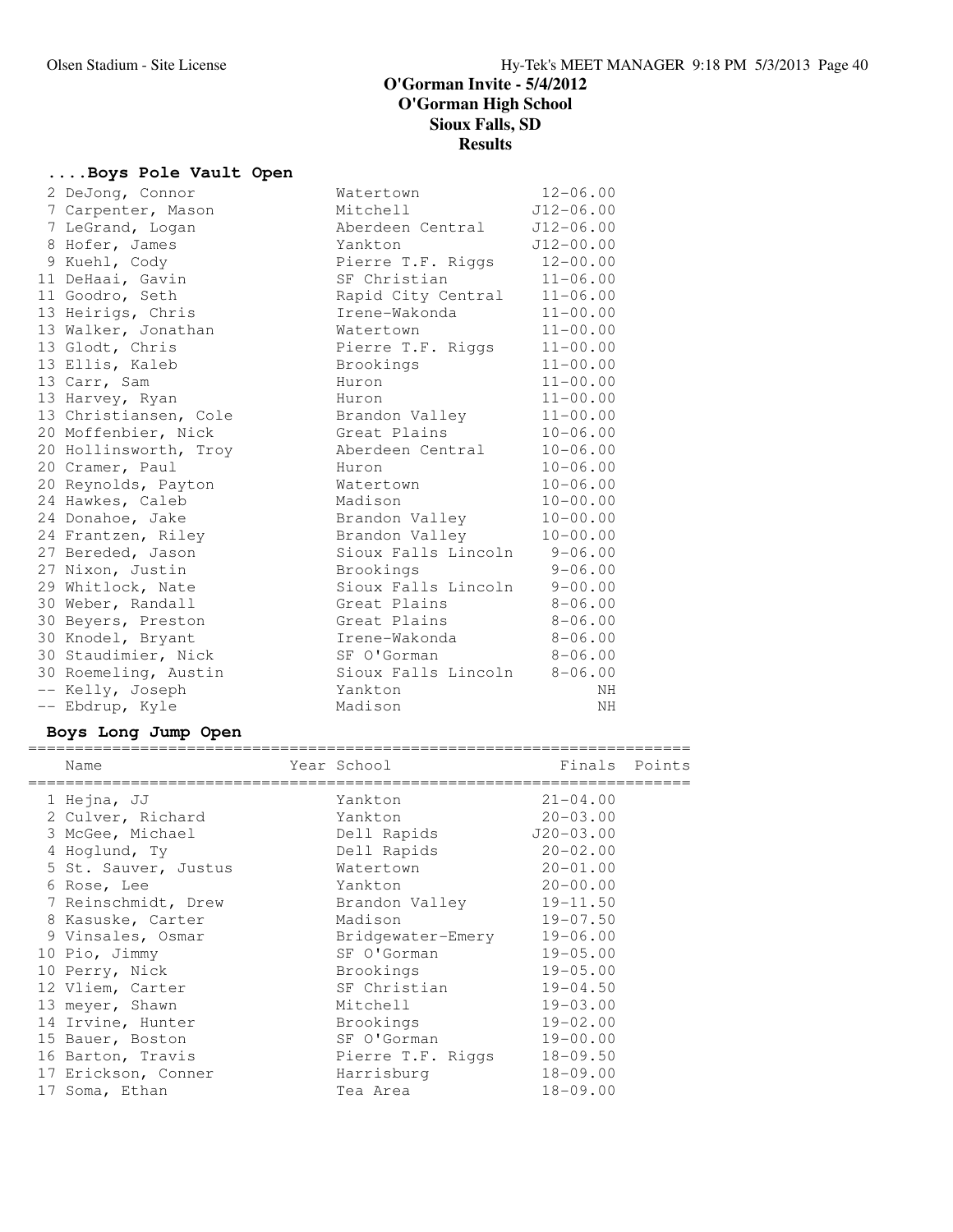# **....Boys Pole Vault Open**

| Watertown                                                                                                                                                                                                                                                                                                                                                                                                                                                                                                                                                                                                                                                      | $12 - 06.00$   |
|----------------------------------------------------------------------------------------------------------------------------------------------------------------------------------------------------------------------------------------------------------------------------------------------------------------------------------------------------------------------------------------------------------------------------------------------------------------------------------------------------------------------------------------------------------------------------------------------------------------------------------------------------------------|----------------|
| Mitchell                                                                                                                                                                                                                                                                                                                                                                                                                                                                                                                                                                                                                                                       | $J12-06.00$    |
| Aberdeen Central                                                                                                                                                                                                                                                                                                                                                                                                                                                                                                                                                                                                                                               | $J12-06.00$    |
| Yankton                                                                                                                                                                                                                                                                                                                                                                                                                                                                                                                                                                                                                                                        | $J12 - 00.00$  |
| Pierre T.F. Riggs                                                                                                                                                                                                                                                                                                                                                                                                                                                                                                                                                                                                                                              | $12 - 00.00$   |
| SF Christian                                                                                                                                                                                                                                                                                                                                                                                                                                                                                                                                                                                                                                                   | $11 - 06.00$   |
| Rapid City Central                                                                                                                                                                                                                                                                                                                                                                                                                                                                                                                                                                                                                                             | $11 - 06.00$   |
| Irene-Wakonda                                                                                                                                                                                                                                                                                                                                                                                                                                                                                                                                                                                                                                                  | $11 - 00.00$   |
| Watertown                                                                                                                                                                                                                                                                                                                                                                                                                                                                                                                                                                                                                                                      | $11 - 00.00$   |
| Pierre T.F. Riggs                                                                                                                                                                                                                                                                                                                                                                                                                                                                                                                                                                                                                                              | $11 - 00.00$   |
| Brookings                                                                                                                                                                                                                                                                                                                                                                                                                                                                                                                                                                                                                                                      | $11 - 00.00$   |
| Huron                                                                                                                                                                                                                                                                                                                                                                                                                                                                                                                                                                                                                                                          | $11 - 00.00$   |
| Huron                                                                                                                                                                                                                                                                                                                                                                                                                                                                                                                                                                                                                                                          | $11 - 00.00$   |
|                                                                                                                                                                                                                                                                                                                                                                                                                                                                                                                                                                                                                                                                | $11 - 00.00$   |
| Great Plains                                                                                                                                                                                                                                                                                                                                                                                                                                                                                                                                                                                                                                                   | $10 - 06.00$   |
| Aberdeen Central                                                                                                                                                                                                                                                                                                                                                                                                                                                                                                                                                                                                                                               | $10 - 06.00$   |
| Huron                                                                                                                                                                                                                                                                                                                                                                                                                                                                                                                                                                                                                                                          | $10 - 06.00$   |
| Watertown                                                                                                                                                                                                                                                                                                                                                                                                                                                                                                                                                                                                                                                      | $10 - 06.00$   |
| Madison                                                                                                                                                                                                                                                                                                                                                                                                                                                                                                                                                                                                                                                        | $10 - 00.00$   |
| Brandon Valley                                                                                                                                                                                                                                                                                                                                                                                                                                                                                                                                                                                                                                                 | $10 - 00.00$   |
| Brandon Valley                                                                                                                                                                                                                                                                                                                                                                                                                                                                                                                                                                                                                                                 | $10 - 00.00$   |
| Sioux Falls Lincoln                                                                                                                                                                                                                                                                                                                                                                                                                                                                                                                                                                                                                                            | $9 - 06.00$    |
| Brookings                                                                                                                                                                                                                                                                                                                                                                                                                                                                                                                                                                                                                                                      | $9 - 06.00$    |
| Sioux Falls Lincoln                                                                                                                                                                                                                                                                                                                                                                                                                                                                                                                                                                                                                                            | $9 - 00.00$    |
| Great Plains                                                                                                                                                                                                                                                                                                                                                                                                                                                                                                                                                                                                                                                   | $8 - 06.00$    |
| Great Plains                                                                                                                                                                                                                                                                                                                                                                                                                                                                                                                                                                                                                                                   | $8 - 06.00$    |
| Irene-Wakonda                                                                                                                                                                                                                                                                                                                                                                                                                                                                                                                                                                                                                                                  | $8 - 06.00$    |
| SF O'Gorman 8-06.00                                                                                                                                                                                                                                                                                                                                                                                                                                                                                                                                                                                                                                            |                |
| Sioux Falls Lincoln 8-06.00                                                                                                                                                                                                                                                                                                                                                                                                                                                                                                                                                                                                                                    |                |
| Yankton                                                                                                                                                                                                                                                                                                                                                                                                                                                                                                                                                                                                                                                        | NH             |
| Madison                                                                                                                                                                                                                                                                                                                                                                                                                                                                                                                                                                                                                                                        | NH             |
| 2 DeJong, Connor<br>7 Carpenter, Mason<br>7 LeGrand, Logan<br>8 Hofer, James<br>9 Kuehl, Cody<br>11 DeHaai, Gavin<br>11 Goodro, Seth<br>13 Heirigs, Chris<br>13 Walker, Jonathan<br>13 Glodt, Chris<br>13 Ellis, Kaleb<br>13 Carr, Sam<br>13 Harvey, Ryan<br>13 Christiansen, Cole<br>20 Moffenbier, Nick<br>20 Hollinsworth, Troy<br>20 Cramer, Paul<br>20 Reynolds, Payton<br>24 Hawkes, Caleb<br>24 Donahoe, Jake<br>24 Frantzen, Riley<br>27 Bereded, Jason<br>27 Nixon, Justin<br>29 Whitlock, Nate<br>30 Weber, Randall<br>30 Beyers, Preston<br>30 Knodel, Bryant<br>30 Staudimier, Nick<br>30 Roemeling, Austin<br>-- Kelly, Joseph<br>-- Ebdrup, Kyle | Brandon Valley |

# **Boys Long Jump Open**

| Name |                      | Year School       | Finals       | Points |
|------|----------------------|-------------------|--------------|--------|
|      | 1 Hejna, JJ          | Yankton           | $21 - 04.00$ |        |
|      | 2 Culver, Richard    | Yankton           | $20 - 03.00$ |        |
|      | 3 McGee, Michael     | Dell Rapids       | $J20-03.00$  |        |
|      | 4 Hoqlund, Ty        | Dell Rapids       | $20 - 02.00$ |        |
|      | 5 St. Sauver, Justus | Watertown         | $20 - 01.00$ |        |
|      | 6 Rose, Lee          | Yankton           | $20 - 00.00$ |        |
|      | 7 Reinschmidt, Drew  | Brandon Valley    | $19 - 11.50$ |        |
|      | 8 Kasuske, Carter    | Madison           | $19 - 07.50$ |        |
|      | 9 Vinsales, Osmar    | Bridgewater-Emery | $19 - 06.00$ |        |
|      | 10 Pio, Jimmy        | SF O'Gorman       | $19 - 05.00$ |        |
|      | 10 Perry, Nick       | Brookings         | $19 - 05.00$ |        |
|      | 12 Vliem, Carter     | SF Christian      | $19 - 04.50$ |        |
|      | 13 meyer, Shawn      | Mitchell          | $19 - 03.00$ |        |
|      | 14 Irvine, Hunter    | Brookings         | $19 - 02.00$ |        |
|      | 15 Bauer, Boston     | SF O'Gorman       | $19 - 00.00$ |        |
|      | 16 Barton, Travis    | Pierre T.F. Riggs | $18 - 09.50$ |        |
|      | 17 Erickson, Conner  | Harrisburg        | $18 - 09.00$ |        |
|      | 17 Soma, Ethan       | Tea Area          | $18 - 09.00$ |        |
|      |                      |                   |              |        |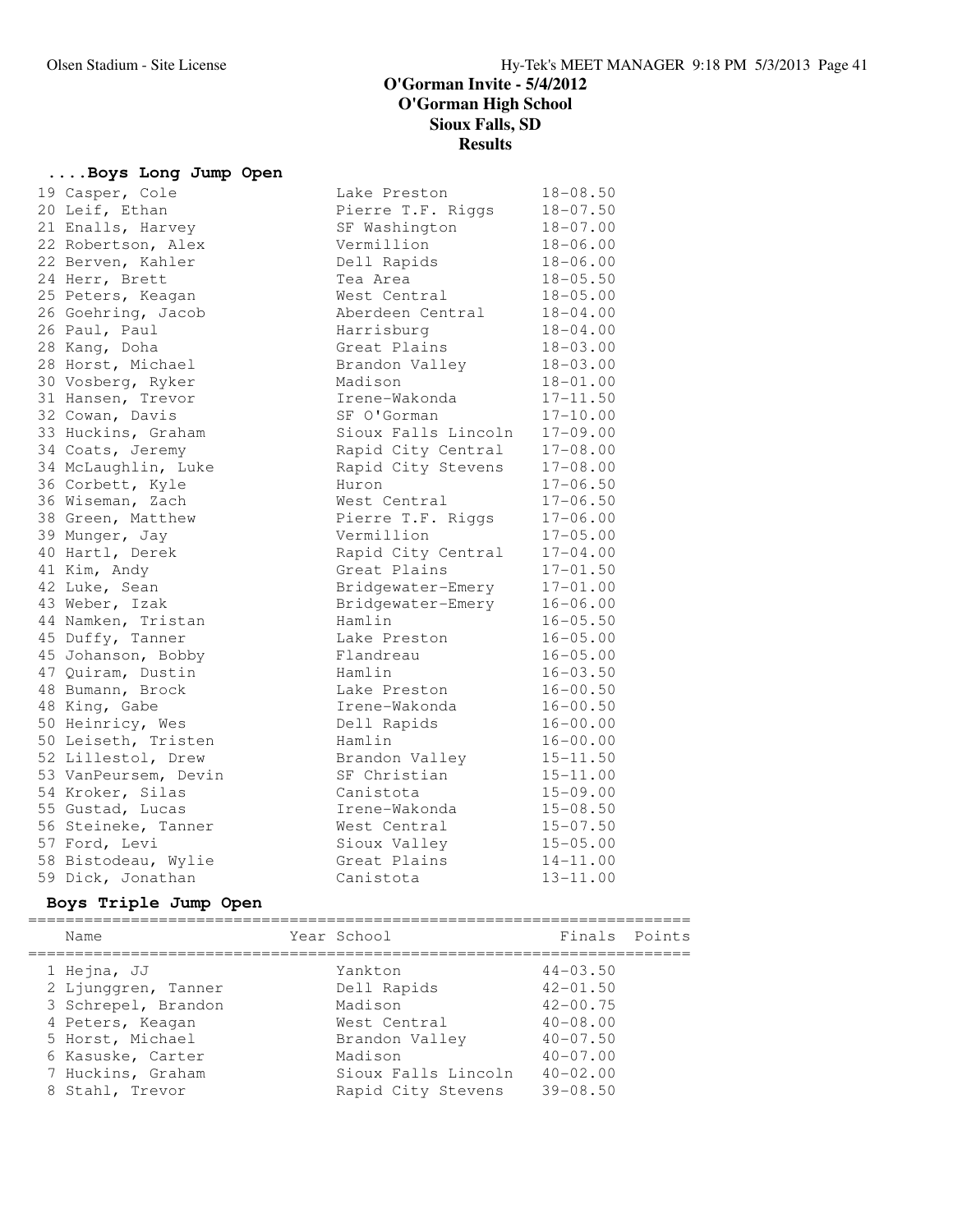### **....Boys Long Jump Open**

|  | 19 Casper, Cole      | Lake Preston        | $18 - 08.50$ |
|--|----------------------|---------------------|--------------|
|  | 20 Leif, Ethan       | Pierre T.F. Riggs   | $18 - 07.50$ |
|  | 21 Enalls, Harvey    | SF Washington       | $18 - 07.00$ |
|  | 22 Robertson, Alex   | Vermillion          | $18 - 06.00$ |
|  | 22 Berven, Kahler    | Dell Rapids         | $18 - 06.00$ |
|  | 24 Herr, Brett       | Tea Area            | $18 - 05.50$ |
|  | 25 Peters, Keagan    | West Central        | $18 - 05.00$ |
|  | 26 Goehring, Jacob   | Aberdeen Central    | $18 - 04.00$ |
|  | 26 Paul, Paul        | Harrisburg          | $18 - 04.00$ |
|  | 28 Kang, Doha        | Great Plains        | $18 - 03.00$ |
|  | 28 Horst, Michael    | Brandon Valley      | $18 - 03.00$ |
|  | 30 Vosberg, Ryker    | Madison             | $18 - 01.00$ |
|  | 31 Hansen, Trevor    | Irene-Wakonda       | $17 - 11.50$ |
|  | 32 Cowan, Davis      | SF O'Gorman         | $17 - 10.00$ |
|  | 33 Huckins, Graham   | Sioux Falls Lincoln | $17 - 09.00$ |
|  | 34 Coats, Jeremy     | Rapid City Central  | $17 - 08.00$ |
|  | 34 McLaughlin, Luke  | Rapid City Stevens  | $17 - 08.00$ |
|  | 36 Corbett, Kyle     | Huron               | $17 - 06.50$ |
|  | 36 Wiseman, Zach     | West Central        | $17 - 06.50$ |
|  | 38 Green, Matthew    | Pierre T.F. Riggs   | $17 - 06.00$ |
|  | 39 Munger, Jay       | Vermillion          | $17 - 05.00$ |
|  | 40 Hartl, Derek      | Rapid City Central  | $17 - 04.00$ |
|  | 41 Kim, Andy         | Great Plains        | $17 - 01.50$ |
|  | 42 Luke, Sean        | Bridgewater-Emery   | $17 - 01.00$ |
|  | 43 Weber, Izak       | Bridgewater-Emery   | $16 - 06.00$ |
|  | 44 Namken, Tristan   | Hamlin              | $16 - 05.50$ |
|  | 45 Duffy, Tanner     | Lake Preston        | $16 - 05.00$ |
|  | 45 Johanson, Bobby   | Flandreau           | $16 - 05.00$ |
|  | 47 Quiram, Dustin    | Hamlin              | $16 - 03.50$ |
|  | 48 Bumann, Brock     | Lake Preston        | $16 - 00.50$ |
|  | 48 King, Gabe        | Irene-Wakonda       | $16 - 00.50$ |
|  | 50 Heinricy, Wes     | Dell Rapids         | $16 - 00.00$ |
|  | 50 Leiseth, Tristen  | Hamlin              | $16 - 00.00$ |
|  | 52 Lillestol, Drew   | Brandon Valley      | $15 - 11.50$ |
|  | 53 VanPeursem, Devin | SF Christian        | $15 - 11.00$ |
|  | 54 Kroker, Silas     | Canistota           | $15 - 09.00$ |
|  | 55 Gustad, Lucas     | Irene-Wakonda       | $15 - 08.50$ |
|  | 56 Steineke, Tanner  | West Central        | $15 - 07.50$ |
|  | 57 Ford, Levi        | Sioux Valley        | $15 - 05.00$ |
|  | 58 Bistodeau, Wylie  | Great Plains        | $14 - 11.00$ |
|  | 59 Dick, Jonathan    | Canistota           | $13 - 11.00$ |
|  |                      |                     |              |

### **Boys Triple Jump Open**

======================================================================= Name The Year School The Finals Points ======================================================================= 1 Hejna, JJ Yankton 44-03.50 2 Ljunggren, Tanner Dell Rapids 42-01.50 3 Schrepel, Brandon Madison 42-00.75 4 Peters, Keagan West Central 40-08.00 5 Horst, Michael Brandon Valley 40-07.50 6 Kasuske, Carter Madison 40-07.00 7 Huckins, Graham Sioux Falls Lincoln 40-02.00 8 Stahl, Trevor Rapid City Stevens 39-08.50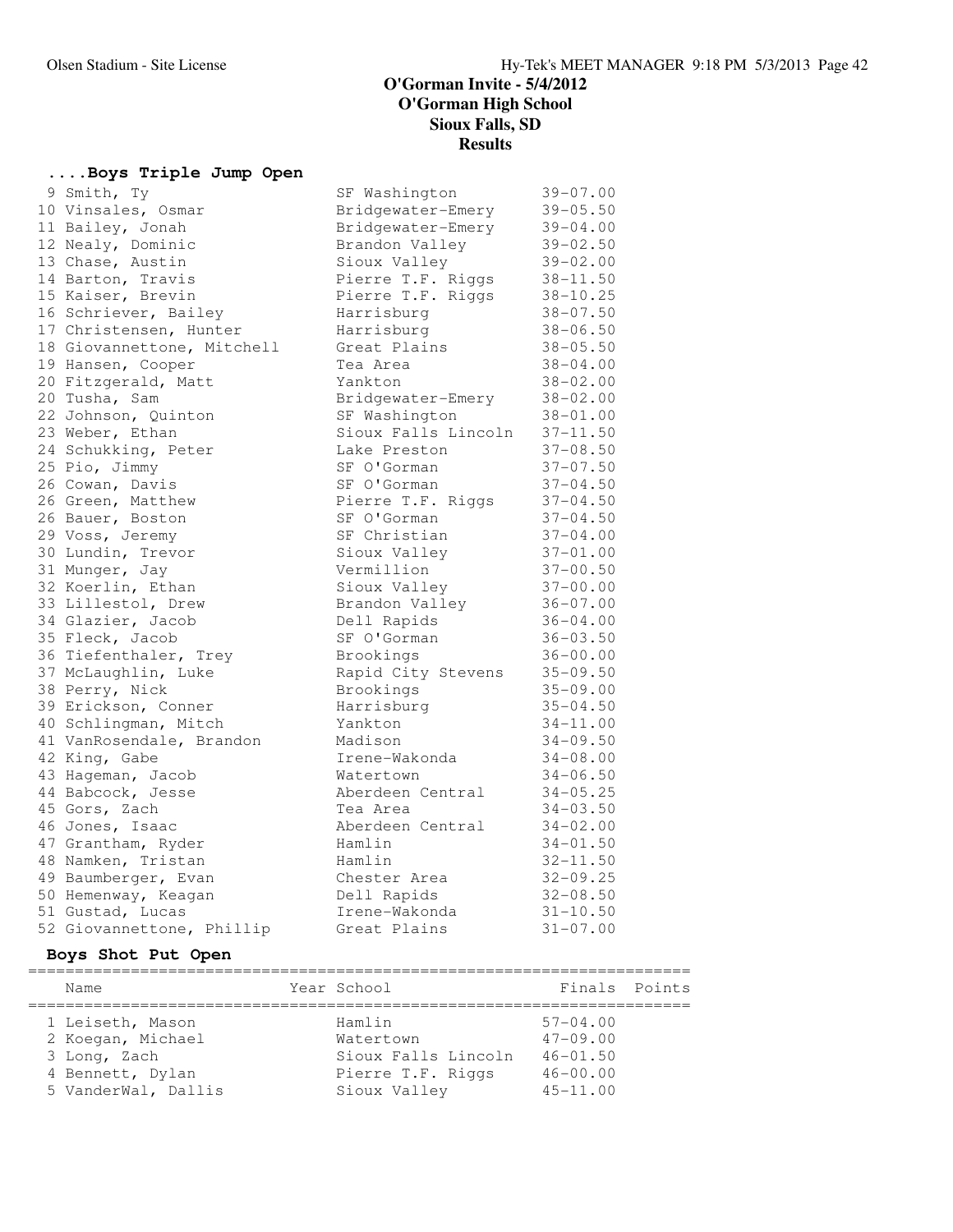### **....Boys Triple Jump Open**

| 9 Smith, Ty                | SF Washington       | $39 - 07.00$ |
|----------------------------|---------------------|--------------|
| 10 Vinsales, Osmar         | Bridgewater-Emery   | $39 - 05.50$ |
| 11 Bailey, Jonah           | Bridgewater-Emery   | $39 - 04.00$ |
| 12 Nealy, Dominic          | Brandon Valley      | $39 - 02.50$ |
| 13 Chase, Austin           | Sioux Valley        | $39 - 02.00$ |
| 14 Barton, Travis          | Pierre T.F. Riggs   | $38 - 11.50$ |
| 15 Kaiser, Brevin          | Pierre T.F. Riggs   | $38 - 10.25$ |
| 16 Schriever, Bailey       | Harrisburg          | $38 - 07.50$ |
| 17 Christensen, Hunter     | Harrisburg          | $38 - 06.50$ |
| 18 Giovannettone, Mitchell | Great Plains        | $38 - 05.50$ |
| 19 Hansen, Cooper          | Tea Area            | $38 - 04.00$ |
| 20 Fitzgerald, Matt        | Yankton             | $38 - 02.00$ |
| 20 Tusha, Sam              | Bridgewater-Emery   | $38 - 02.00$ |
| 22 Johnson, Quinton        | SF Washington       | $38 - 01.00$ |
| 23 Weber, Ethan            | Sioux Falls Lincoln | $37 - 11.50$ |
| 24 Schukking, Peter        | Lake Preston        | $37 - 08.50$ |
| 25 Pio, Jimmy              | SF O'Gorman         | $37 - 07.50$ |
| 26 Cowan, Davis            | SF O'Gorman         | $37 - 04.50$ |
| 26 Green, Matthew          | Pierre T.F. Riggs   | $37 - 04.50$ |
| 26 Bauer, Boston           | SF O'Gorman         | $37 - 04.50$ |
| 29 Voss, Jeremy            | SF Christian        | $37 - 04.00$ |
| 30 Lundin, Trevor          | Sioux Valley        | $37 - 01.00$ |
| 31 Munger, Jay             | Vermillion          | $37 - 00.50$ |
| 32 Koerlin, Ethan          | Sioux Valley        | $37 - 00.00$ |
| 33 Lillestol, Drew         | Brandon Valley      | $36 - 07.00$ |
| 34 Glazier, Jacob          | Dell Rapids         | $36 - 04.00$ |
| 35 Fleck, Jacob            | SF O'Gorman         | $36 - 03.50$ |
| 36 Tiefenthaler, Trey      | Brookings           | $36 - 00.00$ |
| 37 McLaughlin, Luke        | Rapid City Stevens  | $35 - 09.50$ |
| 38 Perry, Nick             | Brookings           | $35 - 09.00$ |
| 39 Erickson, Conner        | Harrisburg          | $35 - 04.50$ |
| 40 Schlingman, Mitch       | Yankton             | $34 - 11.00$ |
| 41 VanRosendale, Brandon   | Madison             | $34 - 09.50$ |
| 42 King, Gabe              | Irene-Wakonda       | $34 - 08.00$ |
| 43 Hageman, Jacob          | Watertown           | $34 - 06.50$ |
| 44 Babcock, Jesse          | Aberdeen Central    | $34 - 05.25$ |
| 45 Gors, Zach              | Tea Area            | $34 - 03.50$ |
| 46 Jones, Isaac            | Aberdeen Central    | $34 - 02.00$ |
| 47 Grantham, Ryder         | Hamlin              | $34 - 01.50$ |
| 48 Namken, Tristan         | Hamlin              | $32 - 11.50$ |
| 49 Baumberger, Evan        | Chester Area        | $32 - 09.25$ |
| 50 Hemenway, Keagan        | Dell Rapids         | $32 - 08.50$ |
| 51 Gustad, Lucas           | Irene-Wakonda       | $31 - 10.50$ |
| 52 Giovannettone, Phillip  | Great Plains        | $31 - 07.00$ |

### **Boys Shot Put Open**

| Name                | Year School         | Finals Points |  |
|---------------------|---------------------|---------------|--|
| 1 Leiseth, Mason    | Hamlin              | $57 - 04.00$  |  |
| 2 Koegan, Michael   | Watertown           | $47 - 09.00$  |  |
| 3 Long, Zach        | Sioux Falls Lincoln | $46 - 01.50$  |  |
| 4 Bennett, Dylan    | Pierre T.F. Riggs   | $46 - 00.00$  |  |
| 5 VanderWal, Dallis | Sioux Valley        | $45 - 11.00$  |  |
|                     |                     |               |  |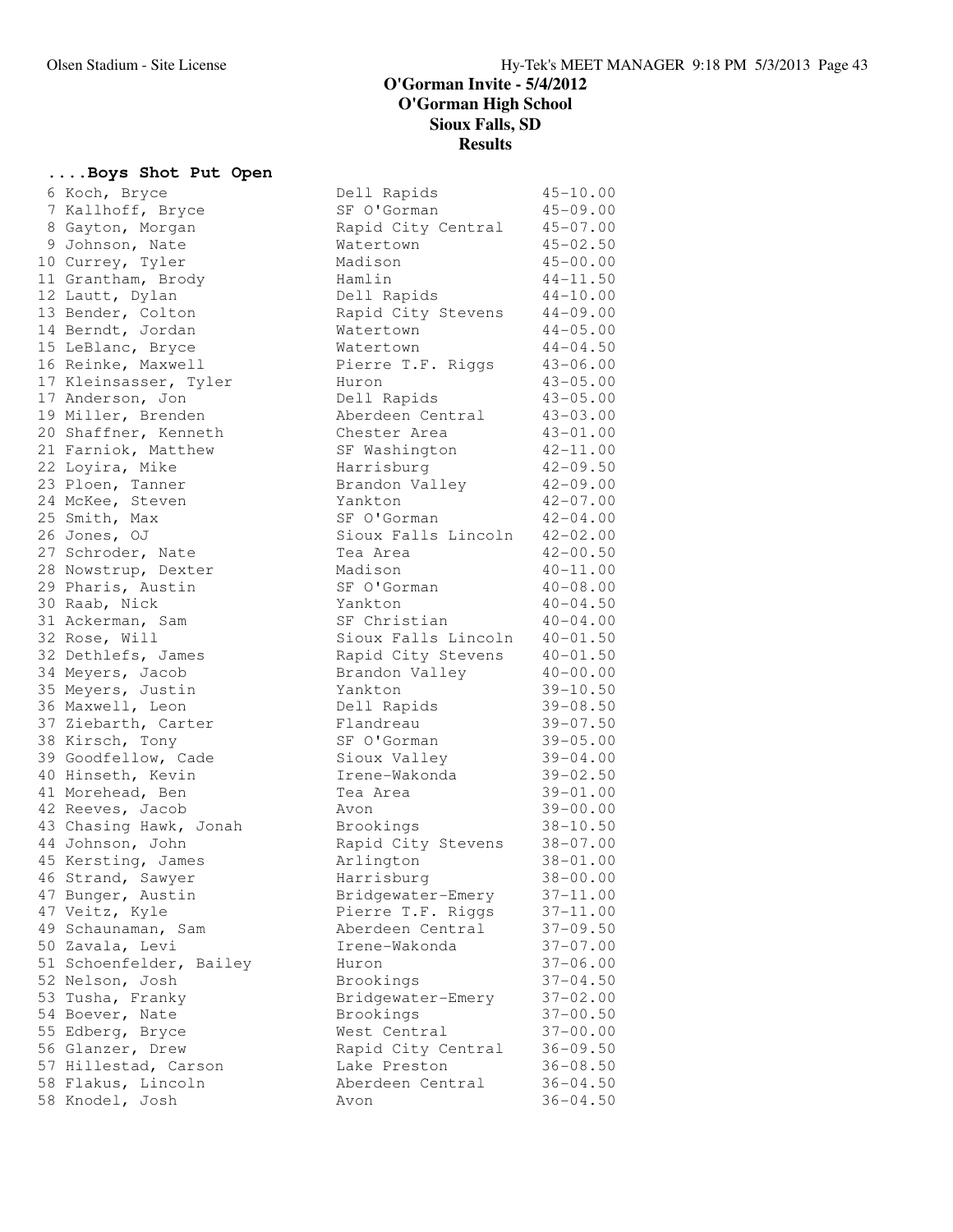### **....Boys Shot Put Open**

6 Koch, Bryce 7 Kallhoff, Bryce 8 Gayton, Morgan 9 Johnson, Nate 10 Currey, Tyler 11 Grantham, Brody 12 Lautt, Dylan 13 Bender, Colton 14 Berndt, Jordan 15 LeBlanc, Bryce 16 Reinke, Maxwell 17 Kleinsasser, Tyler 17 Anderson, Jon 19 Miller, Brenden 20 Shaffner, Kenneth 21 Farniok, Matthew 22 Loyira, Mike 23 Ploen, Tanner 24 McKee, Steven 25 Smith, Max 26 Jones, OJ 27 Schroder, Nate 28 Nowstrup, Dexter 29 Pharis, Austin 30 Raab, Nick 31 Ackerman, Sam 32 Rose, Will 32 Dethlefs, James 34 Meyers, Jacob 35 Meyers, Justin 36 Maxwell, Leon 37 Ziebarth, Carter 38 Kirsch, Tony 39 Goodfellow, Cade 40 Hinseth, Kevin 41 Morehead, Ben 42 Reeves, Jacob 43 Chasing Hawk, Jonah 44 Johnson, John 45 Kersting, James 46 Strand, Sawyer 47 Bunger, Austin 47 Veitz, Kyle 49 Schaunaman, Sam 50 Zavala, Levi 51 Schoenfelder, Bailey 52 Nelson, Josh 53 Tusha, Franky 54 Boever, Nate 55 Edberg, Bryce 56 Glanzer, Drew 57 Hillestad, Carson 58 Flakus, Lincoln 58 Knodel, Josh

| Dell Rapids                     | $45 - 10.00$                 |
|---------------------------------|------------------------------|
| SF O'Gorman                     | $45 - 09.00$                 |
| Rapid City Central              | $45 - 07.00$                 |
| Watertown                       | $45 - 02.50$                 |
| Madison                         | $45 - 00.00$                 |
| Hamlin                          | $44 - 11.50$                 |
| Dell Rapids                     | $44 - 10.00$                 |
| Rapid City Stevens              | $44 - 09.00$                 |
| Watertown                       | $44 - 05.00$                 |
| Watertown                       | $44 - 04.50$                 |
| Pierre T.F. Riggs               | $43 - 06.00$                 |
| Huron                           | $43 - 05.00$                 |
| Dell Rapids                     | $43 - 05.00$                 |
| Aberdeen Central                | $43 - 03.00$                 |
| Chester Area                    | $43 - 01.00$                 |
| SF Washington                   | $42 - 11.00$                 |
| Harrisburg                      | $42 - 09.50$                 |
| Brandon Valley                  | $42 - 09.00$                 |
| Yankton                         | $42 - 07.00$                 |
| SF O'Gorman                     | $42 - 04.00$                 |
| Sioux Falls Lincoln             | $42 - 02.00$                 |
| Tea Area                        | $42 - 00.50$                 |
| Madison                         | $40 - 11.00$                 |
| SF O'Gorman                     | $40 - 08.00$                 |
| Yankton                         | $40 - 04.50$                 |
| SF Christian                    | $40 - 04.00$                 |
| Sioux Falls Lincoln             | $40 - 01.50$                 |
| Rapid City Stevens              | $40 - 01.50$                 |
|                                 | $40 - 00.00$                 |
| Brandon Valley<br>Yankton       | $39 - 10.50$                 |
|                                 | $39 - 08.50$                 |
| Dell Rapids                     |                              |
| Flandreau<br>SF O'Gorman        | $39 - 07.50$<br>$39 - 05.00$ |
|                                 |                              |
| Sioux Valley                    | $39 - 04.00$                 |
| Irene-Wakonda<br>Tea Area       | $39 - 02.50$<br>$39 - 01.00$ |
| Avon                            | $39 - 00.00$                 |
| Brookings                       | $38 - 10.50$                 |
|                                 | $38 - 07.00$                 |
| Rapid City Stevens<br>Arlington | $38 - 01.00$                 |
|                                 |                              |
| Harrisburg                      | $38 - 00.00$<br>$37 - 11.00$ |
| Bridgewater-Emery               | $37 - 11.00$                 |
| Pierre T.F. Riggs               | $37 - 09.50$                 |
| Aberdeen Central                |                              |
| Irene-Wakonda                   | $37 - 07.00$                 |
| Huron                           | $37 - 06.00$                 |
| Brookings                       | $37 - 04.50$                 |
| Bridgewater-Emery               | $37 - 02.00$                 |
| Brookings                       | $37 - 00.50$                 |
| West Central                    | $37 - 00.00$                 |
| Rapid City Central              | $36 - 09.50$                 |
| Lake Preston                    | $36 - 08.50$                 |
| Aberdeen Central                | $36 - 04.50$                 |
| Avon                            | $36 - 04.50$                 |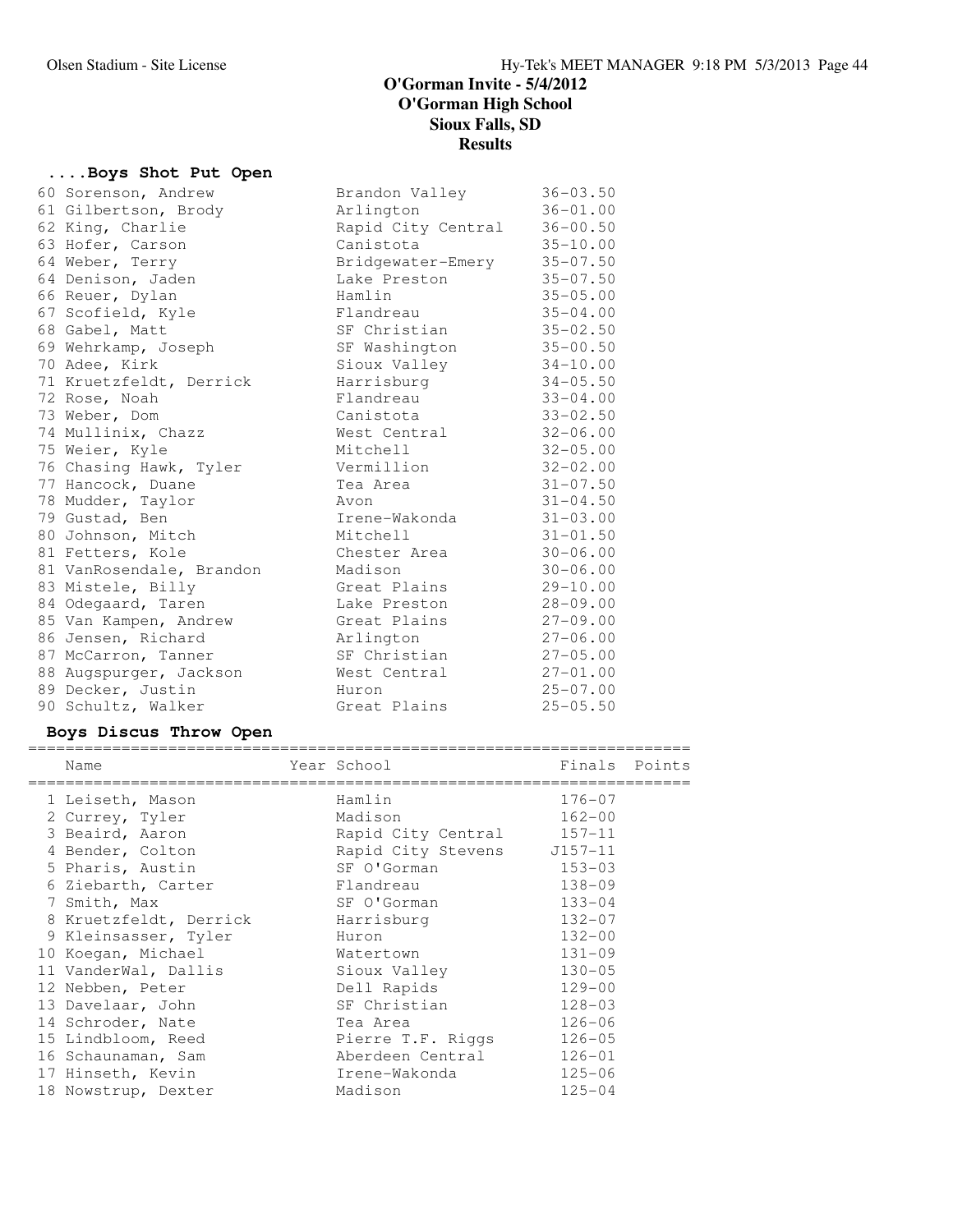# **....Boys Shot Put Open**

|  | 60 Sorenson, Andrew      | Brandon Valley     | $36 - 03.50$ |
|--|--------------------------|--------------------|--------------|
|  | 61 Gilbertson, Brody     | Arlington          | $36 - 01.00$ |
|  | 62 King, Charlie         | Rapid City Central | $36 - 00.50$ |
|  | 63 Hofer, Carson         | Canistota          | $35 - 10.00$ |
|  | 64 Weber, Terry          | Bridgewater-Emery  | $35 - 07.50$ |
|  | 64 Denison, Jaden        | Lake Preston       | $35 - 07.50$ |
|  | 66 Reuer, Dylan          | Hamlin             | $35 - 05.00$ |
|  | 67 Scofield, Kyle        | Flandreau          | $35 - 04.00$ |
|  | 68 Gabel, Matt           | SF Christian       | $35 - 02.50$ |
|  | 69 Wehrkamp, Joseph      | SF Washington      | $35 - 00.50$ |
|  | 70 Adee, Kirk            | Sioux Valley       | $34 - 10.00$ |
|  | 71 Kruetzfeldt, Derrick  | Harrisburg         | $34 - 05.50$ |
|  | 72 Rose, Noah            | Flandreau          | $33 - 04.00$ |
|  | 73 Weber, Dom            | Canistota          | $33 - 02.50$ |
|  | 74 Mullinix, Chazz       | West Central       | $32 - 06.00$ |
|  | 75 Weier, Kyle           | Mitchell           | $32 - 05.00$ |
|  | 76 Chasing Hawk, Tyler   | Vermillion         | $32 - 02.00$ |
|  | 77 Hancock, Duane        | Tea Area           | $31 - 07.50$ |
|  | 78 Mudder, Taylor        | Avon               | $31 - 04.50$ |
|  | 79 Gustad, Ben           | Irene-Wakonda      | $31 - 03.00$ |
|  | 80 Johnson, Mitch        | Mitchell           | $31 - 01.50$ |
|  | 81 Fetters, Kole         | Chester Area       | $30 - 06.00$ |
|  | 81 VanRosendale, Brandon | Madison            | $30 - 06.00$ |
|  | 83 Mistele, Billy        | Great Plains       | $29 - 10.00$ |
|  | 84 Odegaard, Taren       | Lake Preston       | $28 - 09.00$ |
|  | 85 Van Kampen, Andrew    | Great Plains       | $27 - 09.00$ |
|  | 86 Jensen, Richard       | Arlington          | $27 - 06.00$ |
|  | 87 McCarron, Tanner      | SF Christian       | $27 - 05.00$ |
|  | 88 Augspurger, Jackson   | West Central       | $27 - 01.00$ |
|  | 89 Decker, Justin        | Huron              | $25 - 07.00$ |
|  | 90 Schultz, Walker       | Great Plains       | $25 - 05.50$ |
|  |                          |                    |              |

# **Boys Discus Throw Open**

| Name                   | Year School                | Finals Points |  |
|------------------------|----------------------------|---------------|--|
| 1 Leiseth, Mason       | Hamlin                     | $176 - 07$    |  |
| 2 Currey, Tyler        | Madison                    | $162 - 00$    |  |
| 3 Beaird, Aaron        | Rapid City Central 157-11  |               |  |
| 4 Bender, Colton       | Rapid City Stevens J157-11 |               |  |
| 5 Pharis, Austin       | SF O'Gorman                | $153 - 03$    |  |
| 6 Ziebarth, Carter     | Flandreau                  | $138 - 09$    |  |
| 7 Smith, Max           | SF O'Gorman                | $133 - 04$    |  |
| 8 Kruetzfeldt, Derrick | Harrisburg                 | $132 - 07$    |  |
| 9 Kleinsasser, Tyler   | Huron                      | $132 - 00$    |  |
| 10 Koegan, Michael     | Watertown                  | $131 - 09$    |  |
| 11 VanderWal, Dallis   | Sioux Valley               | $130 - 05$    |  |
| 12 Nebben, Peter       | Dell Rapids                | $129 - 00$    |  |
| 13 Davelaar, John      | SF Christian               | $128 - 03$    |  |
| 14 Schroder, Nate      | Tea Area                   | $126 - 06$    |  |
| 15 Lindbloom, Reed     | Pierre T.F. Riggs          | $126 - 05$    |  |
| 16 Schaunaman, Sam     | Aberdeen Central           | $126 - 01$    |  |
| 17 Hinseth, Kevin      | Irene-Wakonda              | $125 - 06$    |  |
| 18 Nowstrup, Dexter    | Madison                    | $125 - 04$    |  |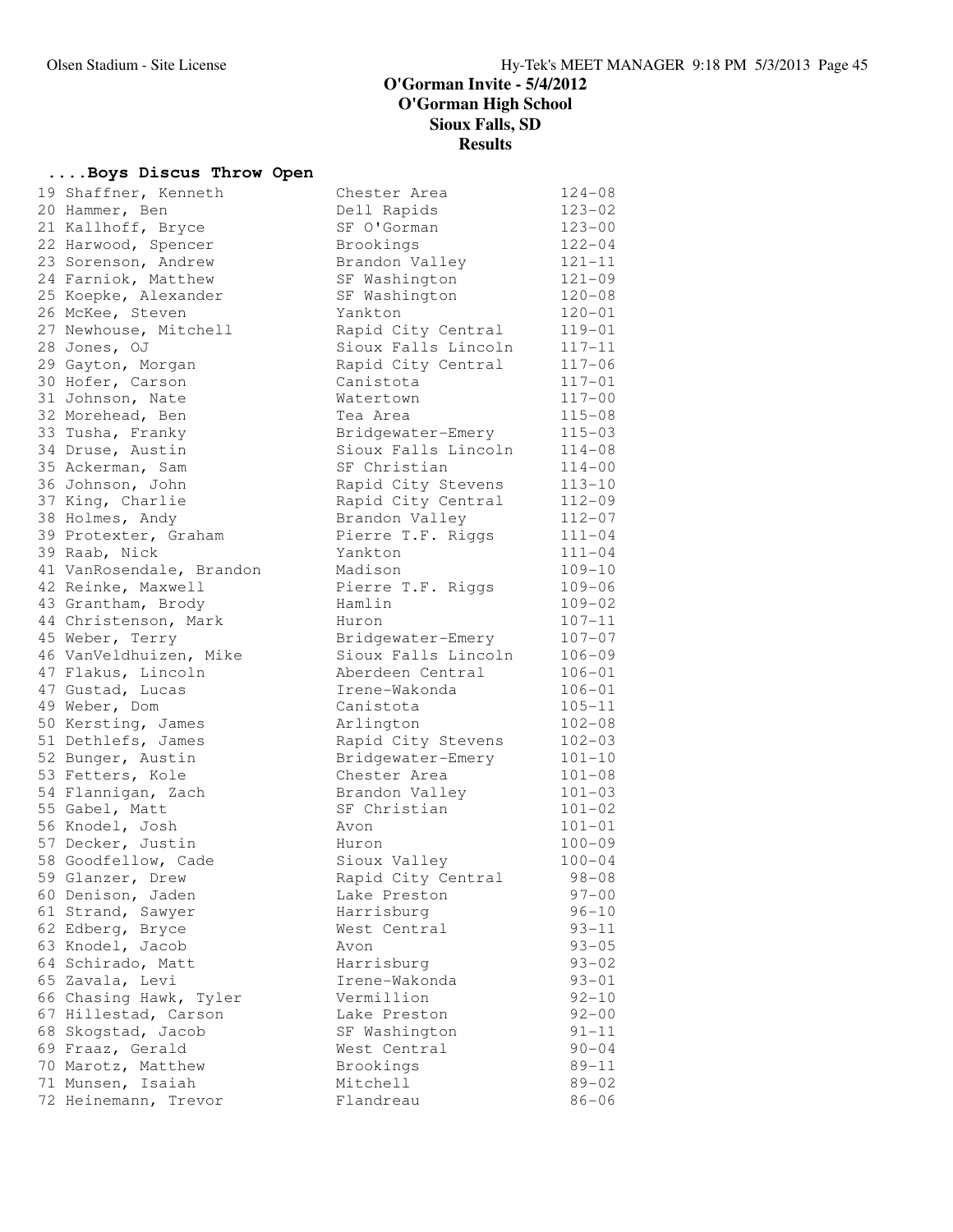# **....Boys Discus Throw Open**

| połs niscns imiow oben   |                     |            |
|--------------------------|---------------------|------------|
| 19 Shaffner, Kenneth     | Chester Area        | $124 - 08$ |
| 20 Hammer, Ben           | Dell Rapids         | $123 - 02$ |
| 21 Kallhoff, Bryce       | SF O'Gorman         | $123 - 00$ |
| 22 Harwood, Spencer      | Brookings           | $122 - 04$ |
| 23 Sorenson, Andrew      | Brandon Valley      | $121 - 11$ |
| 24 Farniok, Matthew      | SF Washington       | $121 - 09$ |
| 25 Koepke, Alexander     | SF Washington       | $120 - 08$ |
| 26 McKee, Steven         | Yankton             | $120 - 01$ |
| 27 Newhouse, Mitchell    | Rapid City Central  | $119 - 01$ |
| 28 Jones, OJ             | Sioux Falls Lincoln | $117 - 11$ |
| 29 Gayton, Morgan        | Rapid City Central  | $117 - 06$ |
| 30 Hofer, Carson         | Canistota           | $117 - 01$ |
| 31 Johnson, Nate         | Watertown           | $117 - 00$ |
| 32 Morehead, Ben         | Tea Area            | $115 - 08$ |
| 33 Tusha, Franky         | Bridgewater-Emery   | $115 - 03$ |
| 34 Druse, Austin         | Sioux Falls Lincoln | $114 - 08$ |
| 35 Ackerman, Sam         | SF Christian        | $114 - 00$ |
| 36 Johnson, John         | Rapid City Stevens  | $113 - 10$ |
| 37 King, Charlie         | Rapid City Central  | $112 - 09$ |
| 38 Holmes, Andy          | Brandon Valley      | $112 - 07$ |
| 39 Protexter, Graham     | Pierre T.F. Riggs   | $111 - 04$ |
| 39 Raab, Nick            | Yankton             | $111 - 04$ |
| 41 VanRosendale, Brandon | Madison             | $109 - 10$ |
| 42 Reinke, Maxwell       | Pierre T.F. Riggs   | $109 - 06$ |
| 43 Grantham, Brody       | Hamlin              | $109 - 02$ |
| 44 Christenson, Mark     | Huron               | $107 - 11$ |
| 45 Weber, Terry          | Bridgewater-Emery   | $107 - 07$ |
| 46 VanVeldhuizen, Mike   | Sioux Falls Lincoln | $106 - 09$ |
| 47 Flakus, Lincoln       | Aberdeen Central    | $106 - 01$ |
| 47 Gustad, Lucas         | Irene-Wakonda       | $106 - 01$ |
| 49 Weber, Dom            | Canistota           | $105 - 11$ |
| 50 Kersting, James       | Arlington           | $102 - 08$ |
| 51 Dethlefs, James       | Rapid City Stevens  | $102 - 03$ |
| 52 Bunger, Austin        | Bridgewater-Emery   | $101 - 10$ |
| 53 Fetters, Kole         | Chester Area        | $101 - 08$ |
| 54 Flannigan, Zach       | Brandon Valley      | $101 - 03$ |
| 55 Gabel, Matt           | SF Christian        | $101 - 02$ |
| 56 Knodel, Josh          | Avon                | $101 - 01$ |
| 57 Decker, Justin        | Huron               | $100 - 09$ |
| 58 Goodfellow, Cade      | Sioux Valley        | $100 - 04$ |
| 59 Glanzer, Drew         | Rapid City Central  | $98 - 08$  |
| 60 Denison, Jaden        | Lake Preston        | $97 - 00$  |
| 61 Strand, Sawyer        | Harrisburg          | $96 - 10$  |
| 62 Edberg, Bryce         | West Central        | $93 - 11$  |
| 63 Knodel, Jacob         | Avon                | $93 - 05$  |
| 64 Schirado, Matt        | Harrisburg          | $93 - 02$  |
| 65 Zavala, Levi          | Irene-Wakonda       | $93 - 01$  |
| 66 Chasing Hawk, Tyler   | Vermillion          | $92 - 10$  |
| 67 Hillestad, Carson     | Lake Preston        | $92 - 00$  |
| 68 Skogstad, Jacob       | SF Washington       | $91 - 11$  |
| 69 Fraaz, Gerald         | West Central        | $90 - 04$  |
| 70 Marotz, Matthew       | Brookings           | $89 - 11$  |
| 71 Munsen, Isaiah        | Mitchell            | $89 - 02$  |
| 72 Heinemann, Trevor     | Flandreau           | $86 - 06$  |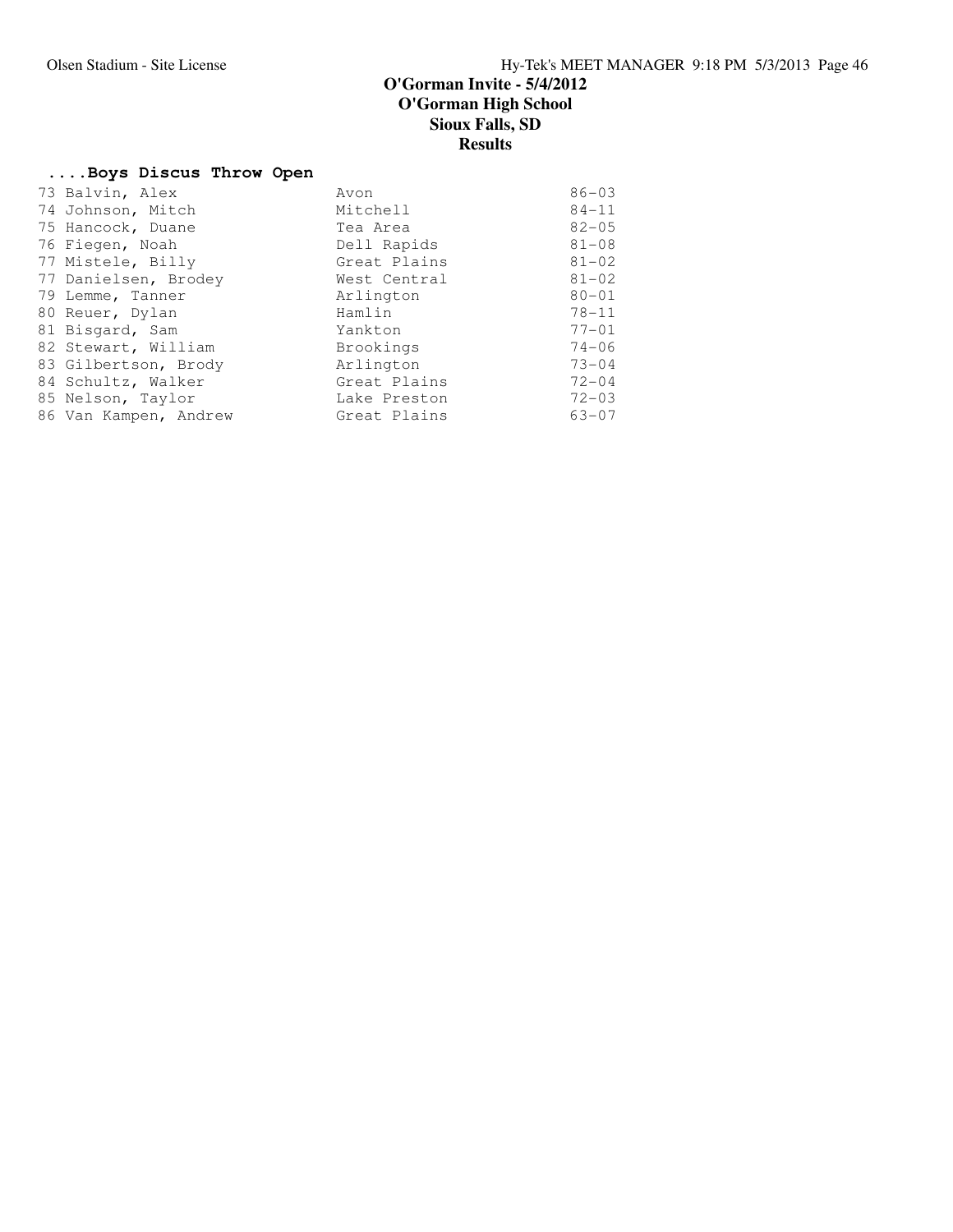# **....Boys Discus Throw Open**

| 73 Balvin, Alex       | Avon         | $86 - 03$ |
|-----------------------|--------------|-----------|
| 74 Johnson, Mitch     | Mitchell     | $84 - 11$ |
| 75 Hancock, Duane     | Tea Area     | $82 - 05$ |
| 76 Fiegen, Noah       | Dell Rapids  | $81 - 08$ |
| 77 Mistele, Billy     | Great Plains | $81 - 02$ |
| 77 Danielsen, Brodey  | West Central | $81 - 02$ |
| 79 Lemme, Tanner      | Arlington    | $80 - 01$ |
| 80 Reuer, Dylan       | Hamlin       | $78 - 11$ |
| 81 Bisgard, Sam       | Yankton      | $77 - 01$ |
| 82 Stewart, William   | Brookings    | $74 - 06$ |
| 83 Gilbertson, Brody  | Arlington    | $73 - 04$ |
| 84 Schultz, Walker    | Great Plains | $72 - 04$ |
| 85 Nelson, Taylor     | Lake Preston | $72 - 03$ |
| 86 Van Kampen, Andrew | Great Plains | $63 - 07$ |